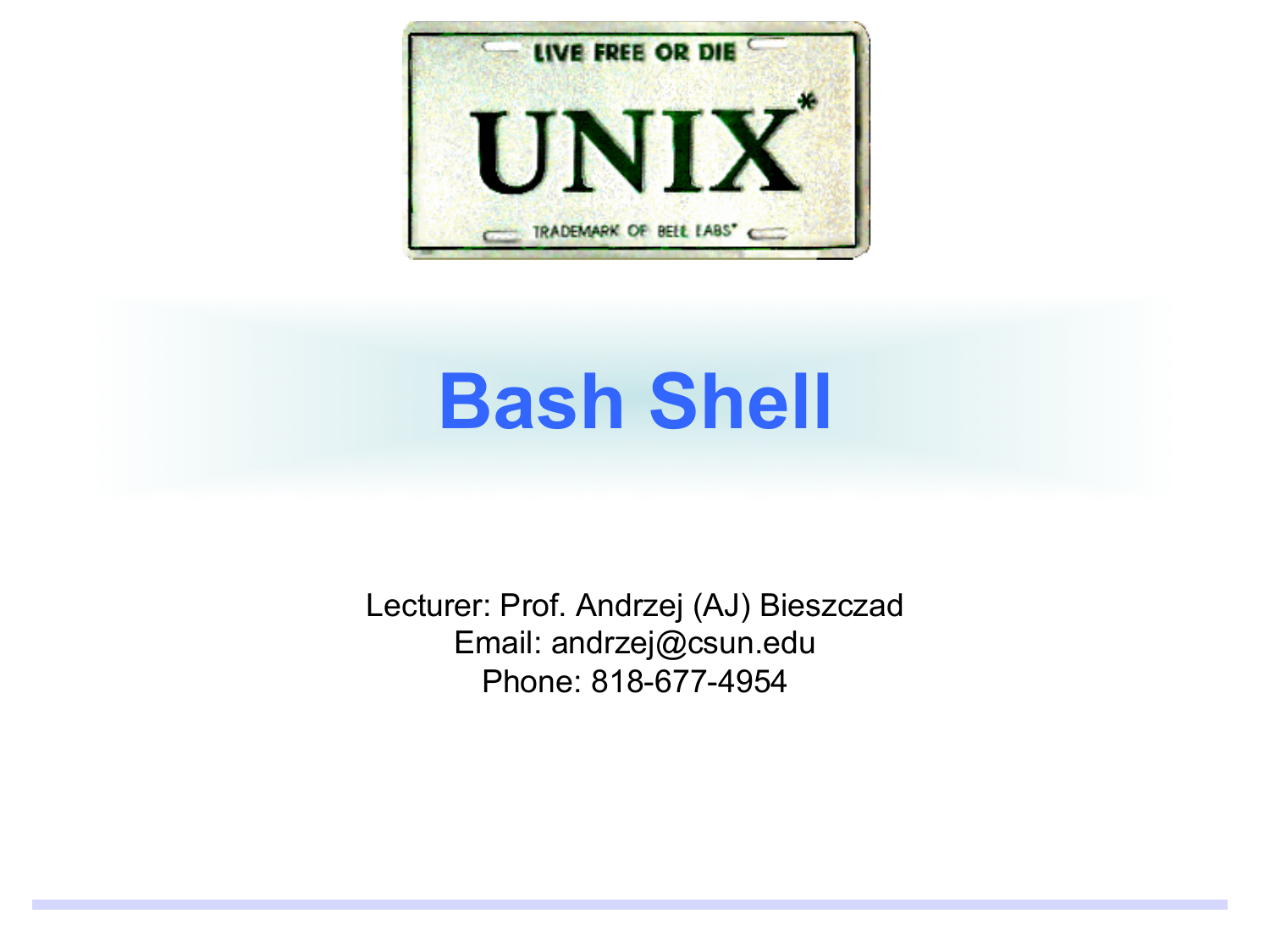

Lecturer: Prof. Andrzej (AJ) Bieszczad Email: andrzej@csun.edu Phone: 818-677-4954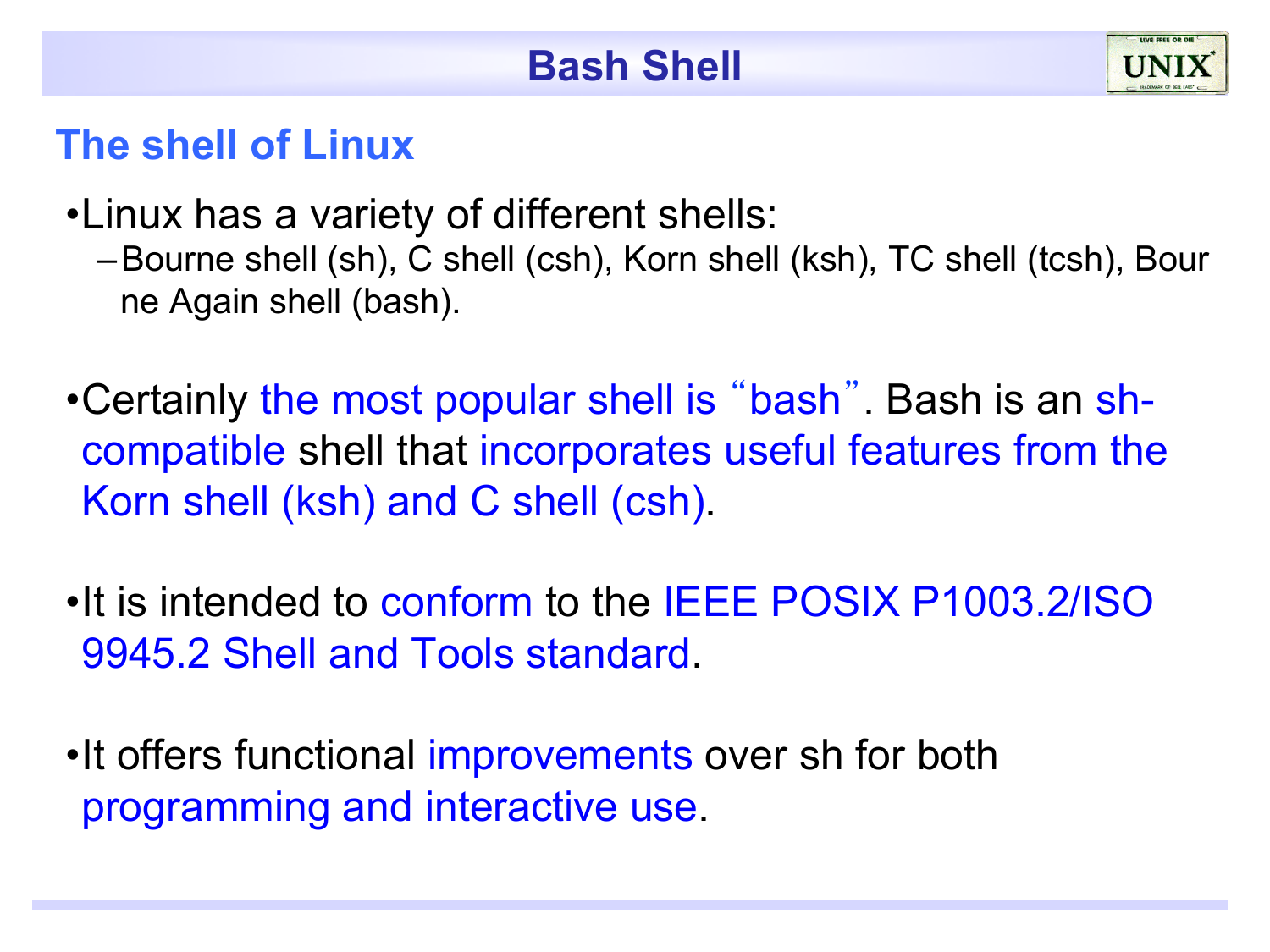#### **The shell of Linux**

- •Linux has a variety of different shells:
	- –Bourne shell (sh), C shell (csh), Korn shell (ksh), TC shell (tcsh), Bour ne Again shell (bash).
- •Certainly the most popular shell is "bash". Bash is an shcompatible shell that incorporates useful features from the Korn shell (ksh) and C shell (csh).
- •It is intended to conform to the IEEE POSIX P1003.2/ISO 9945.2 Shell and Tools standard.
- •It offers functional improvements over sh for both programming and interactive use.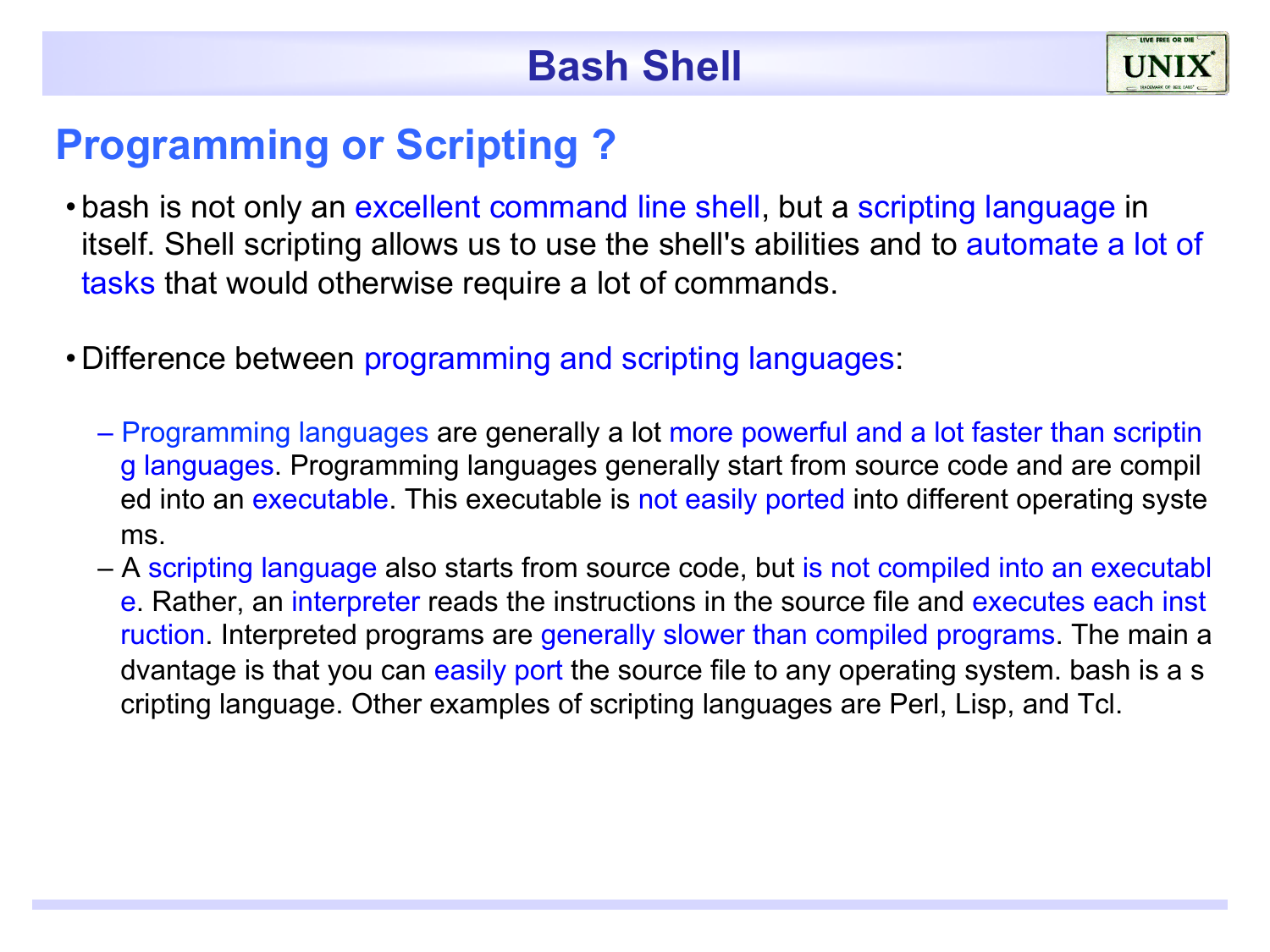

#### **Programming or Scripting ?**

- bash is not only an excellent command line shell, but a scripting language in itself. Shell scripting allows us to use the shell's abilities and to automate a lot of tasks that would otherwise require a lot of commands.
- Difference between programming and scripting languages:
	- Programming languages are generally a lot more powerful and a lot faster than scriptin g languages. Programming languages generally start from source code and are compil ed into an executable. This executable is not easily ported into different operating syste ms.
	- A scripting language also starts from source code, but is not compiled into an executabl e. Rather, an interpreter reads the instructions in the source file and executes each inst ruction. Interpreted programs are generally slower than compiled programs. The main a dvantage is that you can easily port the source file to any operating system. bash is a s cripting language. Other examples of scripting languages are Perl, Lisp, and Tcl.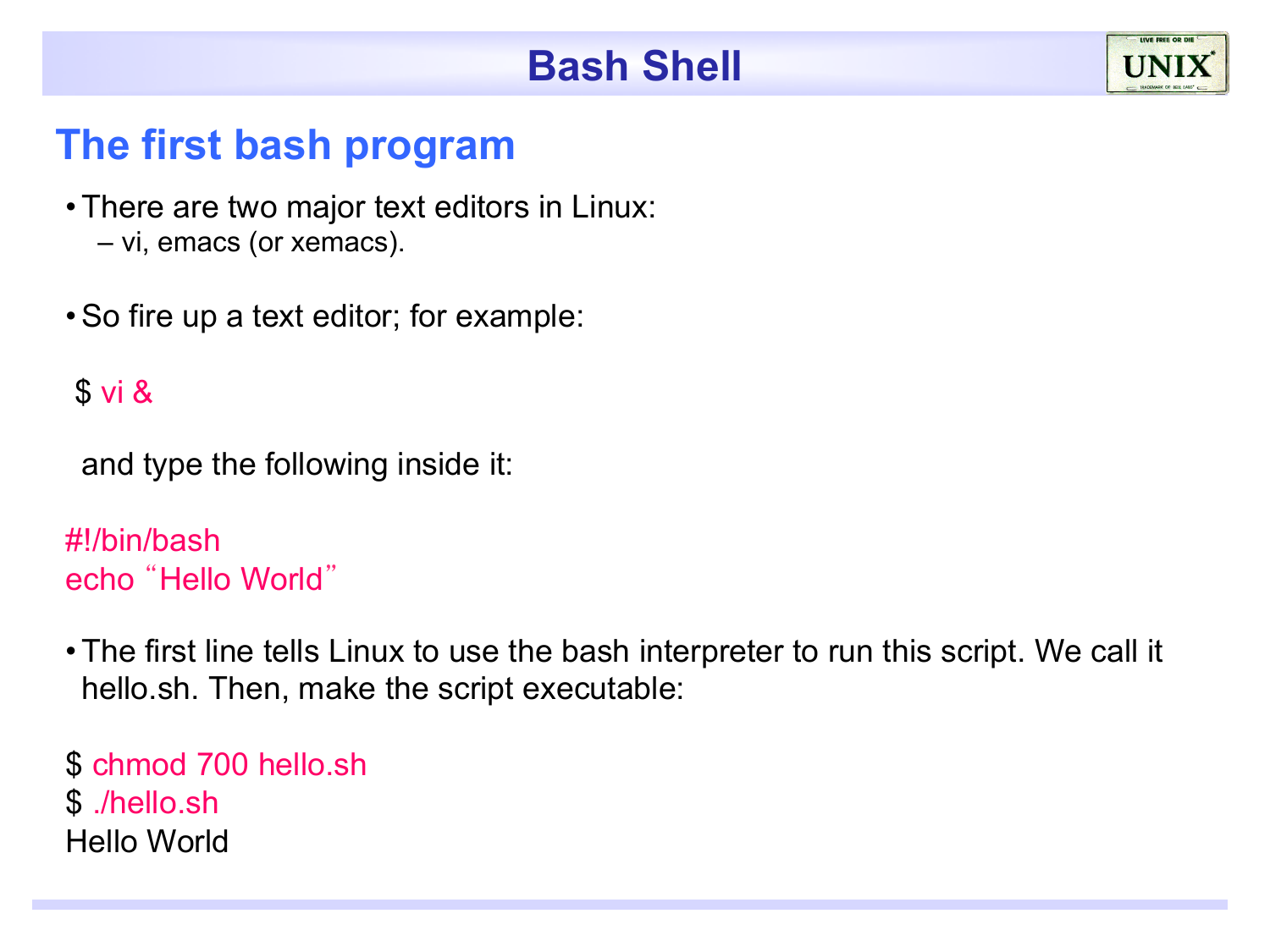#### **The first bash program**

- •There are two major text editors in Linux: – vi, emacs (or xemacs).
- •So fire up a text editor; for example:

#### \$ vi &

and type the following inside it:

```
#!/bin/bash 
echo "Hello World"
```
•The first line tells Linux to use the bash interpreter to run this script. We call it hello.sh. Then, make the script executable:

\$ chmod 700 hello.sh \$ ./hello.sh Hello World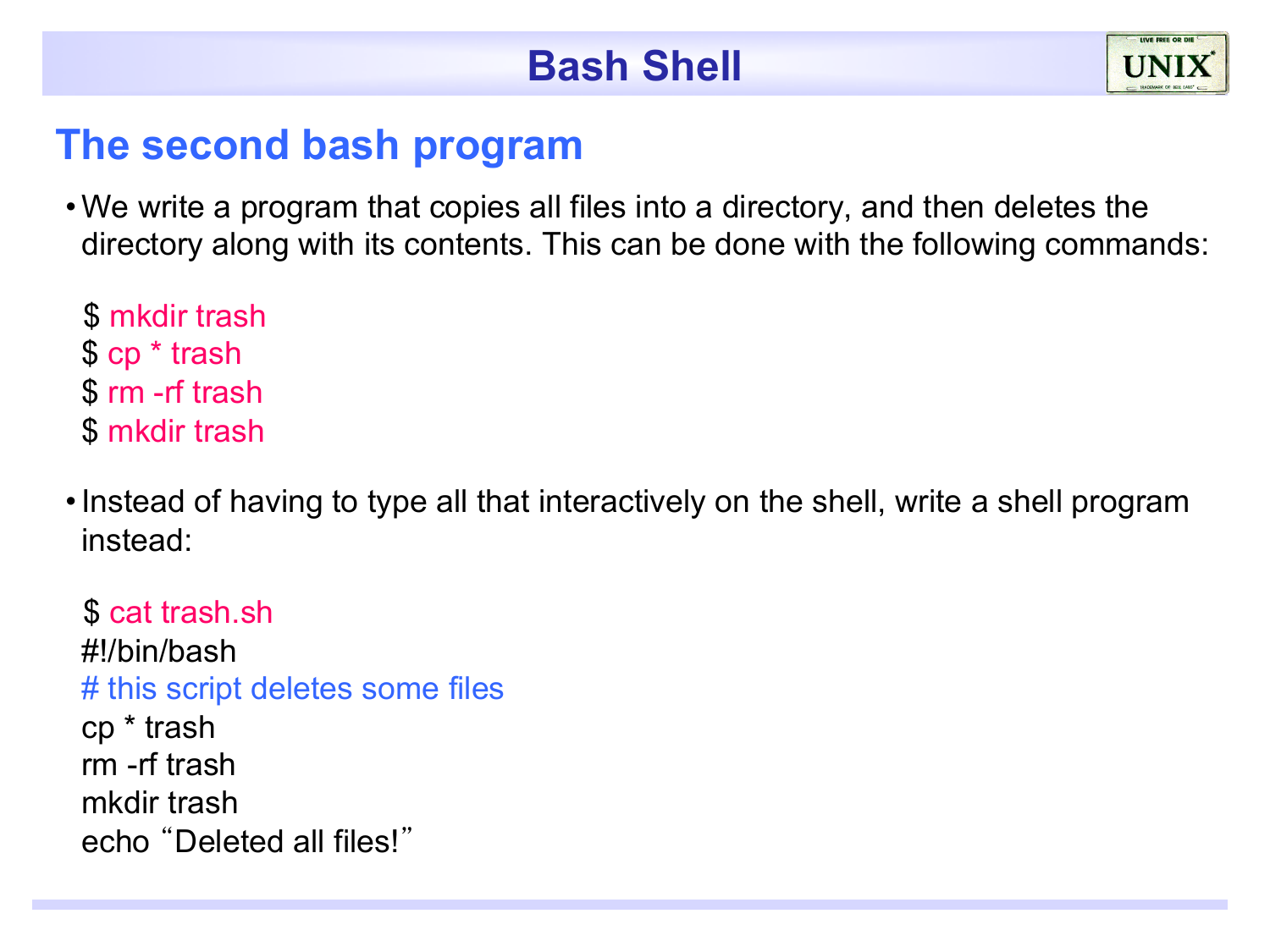#### **The second bash program**

•We write a program that copies all files into a directory, and then deletes the directory along with its contents. This can be done with the following commands:

 \$ mkdir trash \$ cp \* trash \$ rm -rf trash \$ mkdir trash

•Instead of having to type all that interactively on the shell, write a shell program instead:

 \$ cat trash.sh #!/bin/bash # this script deletes some files cp \* trash rm -rf trash mkdir trash echo "Deleted all files!"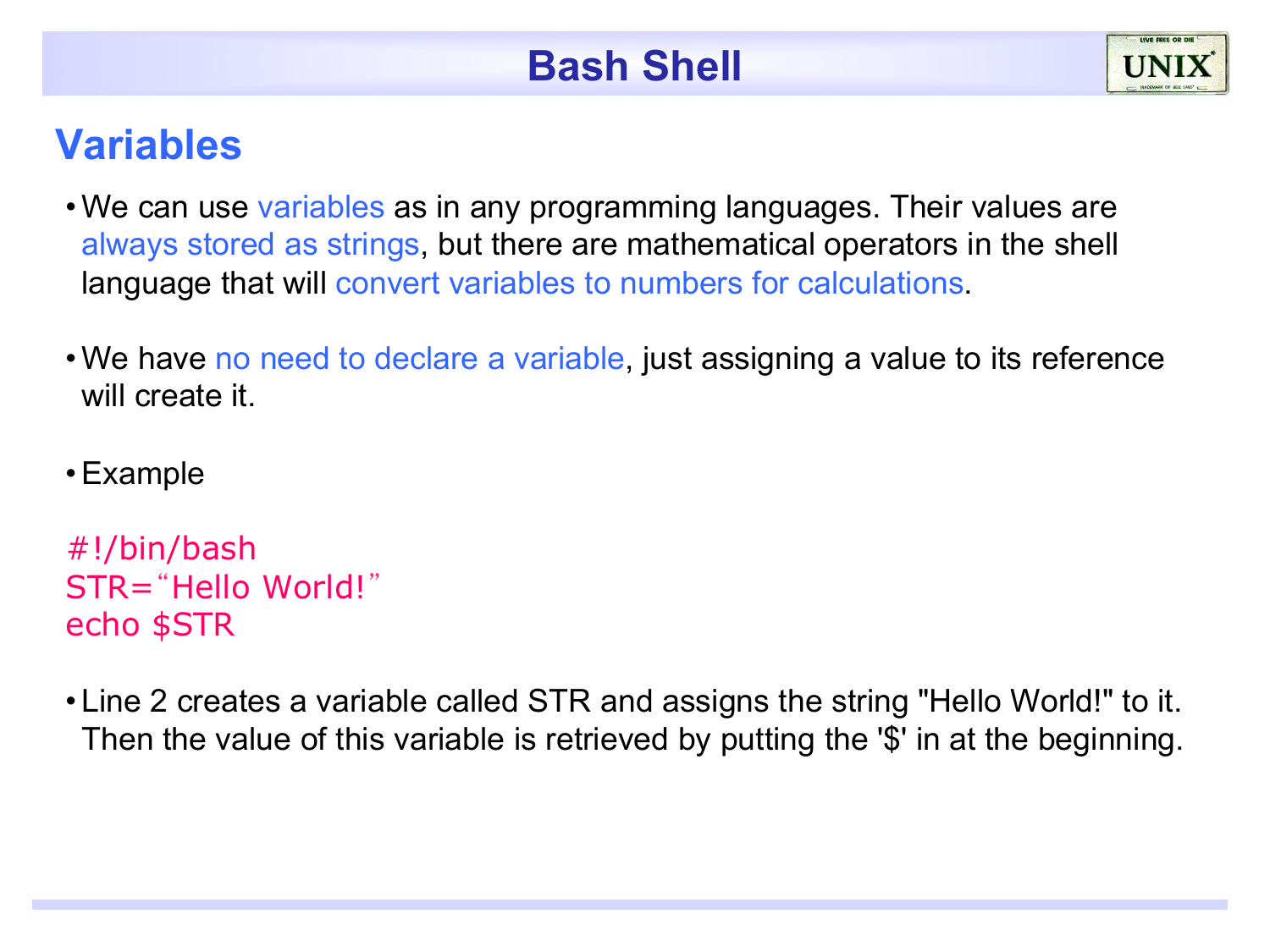#### **Variables**

- We can use variables as in any programming languages. Their values are always stored as strings, but there are mathematical operators in the shell language that will convert variables to numbers for calculations.
- •We have no need to declare a variable, just assigning a value to its reference will create it.
- •Example

```
#!/bin/bash 
STR="Hello World!"
echo $STR
```
• Line 2 creates a variable called STR and assigns the string "Hello World!" to it. Then the value of this variable is retrieved by putting the '\$' in at the beginning.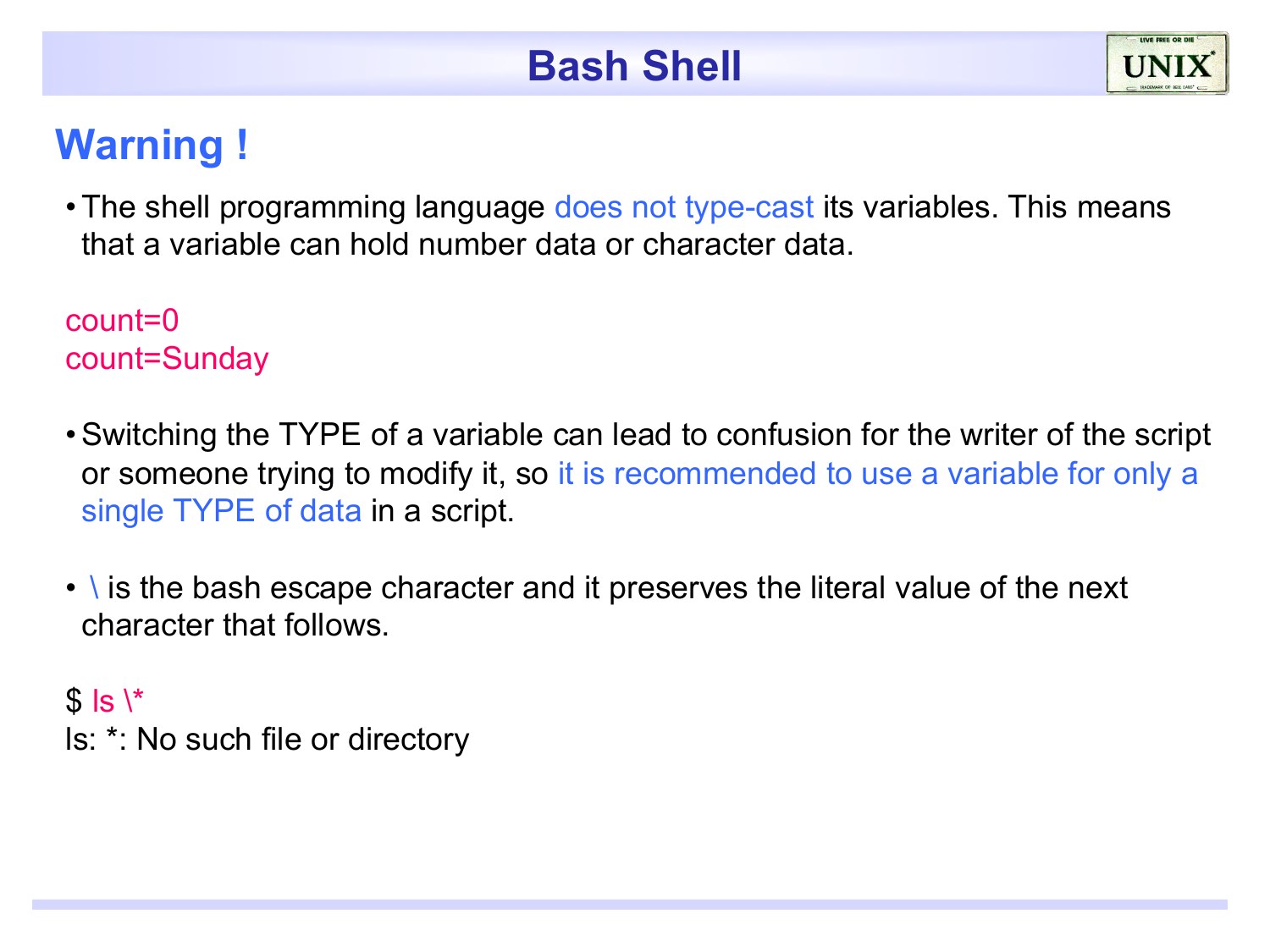## **Warning !**

• The shell programming language does not type-cast its variables. This means that a variable can hold number data or character data.

count=0 count=Sunday

- •Switching the TYPE of a variable can lead to confusion for the writer of the script or someone trying to modify it, so it is recommended to use a variable for only a single TYPE of data in a script.
- \ is the bash escape character and it preserves the literal value of the next character that follows.

 $$$  ls  $\mathsf{R}^*$ ls: \*: No such file or directory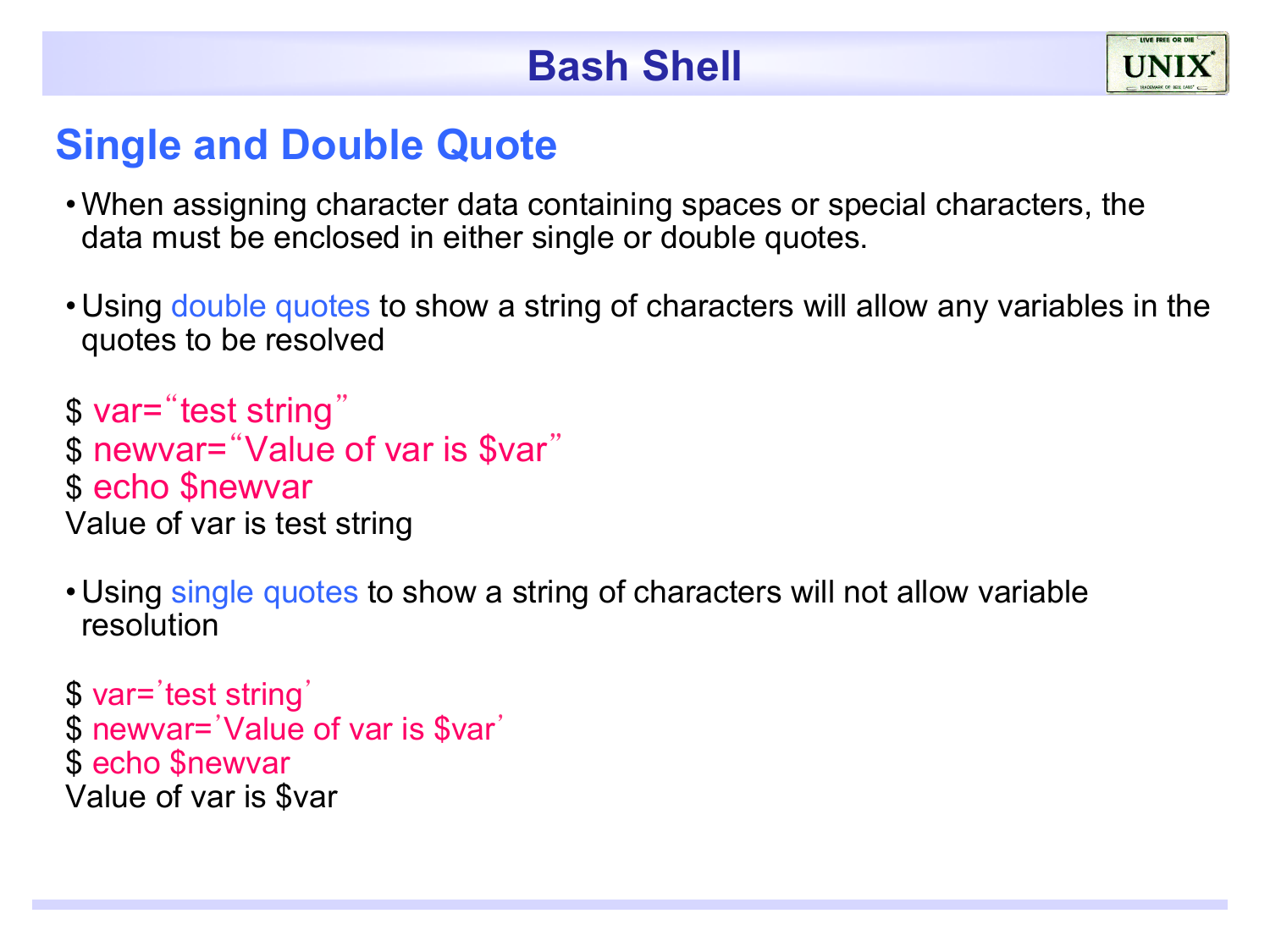#### **Single and Double Quote**

- •When assigning character data containing spaces or special characters, the data must be enclosed in either single or double quotes.
- Using double quotes to show a string of characters will allow any variables in the quotes to be resolved

\$ var="test string" \$ newvar="Value of var is \$var" \$ echo \$newvar Value of var is test string

• Using single quotes to show a string of characters will not allow variable resolution

\$ var='test string' \$ newvar='Value of var is \$var' \$ echo \$newvar Value of var is \$var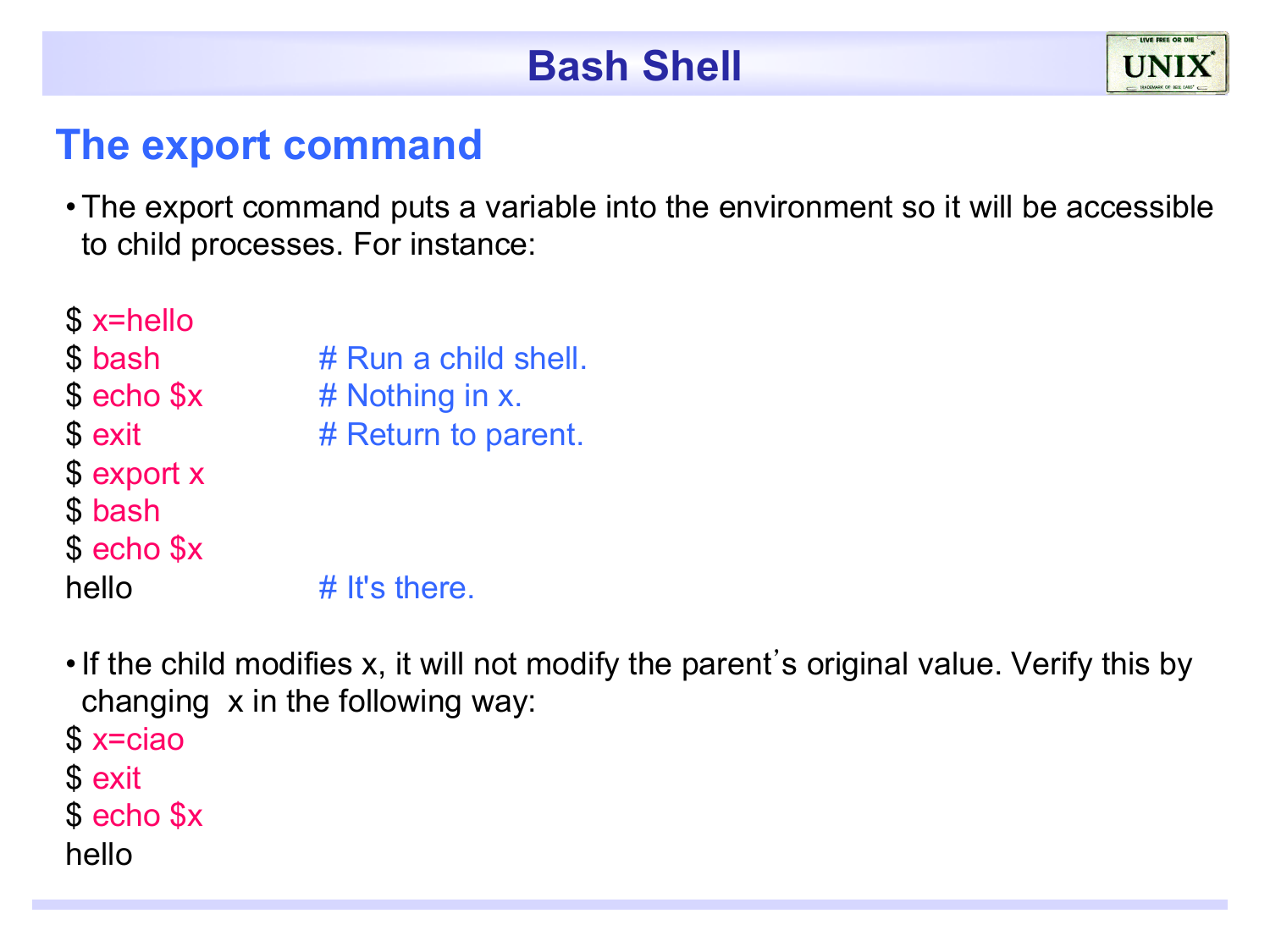#### **The export command**

•The export command puts a variable into the environment so it will be accessible to child processes. For instance:

| $$x =$ hello           |                      |
|------------------------|----------------------|
| \$ bash                | # Run a child shell. |
| \$ echo \$x            | # Nothing in x.      |
| \$ exit                | # Return to parent.  |
| \$ export x<br>\$ bash |                      |
| \$ echo \$x            |                      |
| hello                  | $#$ It's there.      |

- •If the child modifies x, it will not modify the parent's original value. Verify this by changing x in the following way:
- \$ x=ciao
- \$ exit
- \$ echo \$x
- hello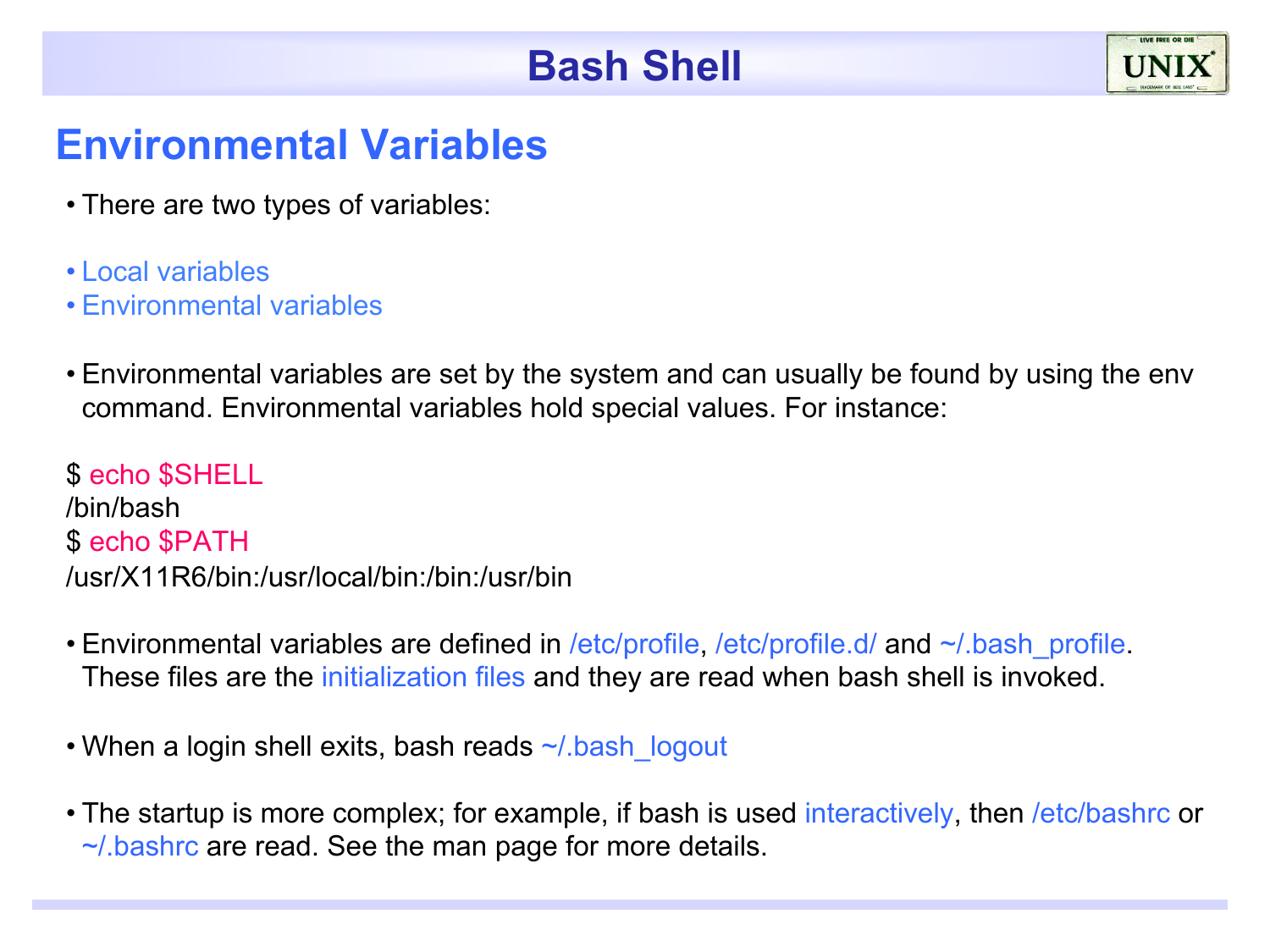

#### **Environmental Variables**

- There are two types of variables:
- Local variables
- Environmental variables
- Environmental variables are set by the system and can usually be found by using the env command. Environmental variables hold special values. For instance:

\$ echo \$SHELL /bin/bash \$ echo \$PATH /usr/X11R6/bin:/usr/local/bin:/bin:/usr/bin

- Environmental variables are defined in /etc/profile, /etc/profile.d/ and  $\sim$ /.bash\_profile. These files are the initialization files and they are read when bash shell is invoked.
- When a login shell exits, bash reads ~/.bash\_logout
- The startup is more complex; for example, if bash is used interactively, then /etc/bashrc or ~/.bashrc are read. See the man page for more details.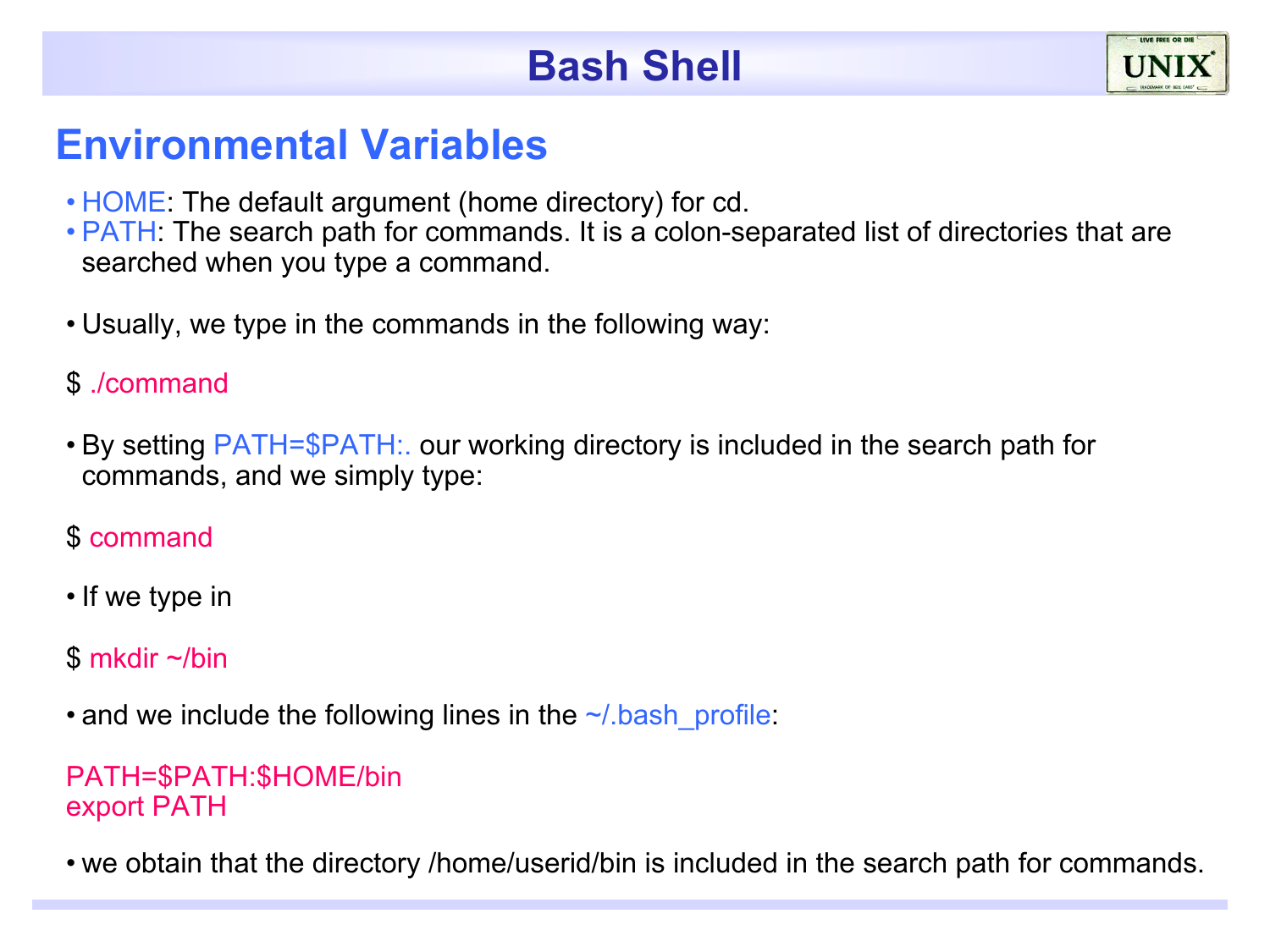#### **Environmental Variables**

- HOME: The default argument (home directory) for cd.
- PATH: The search path for commands. It is a colon-separated list of directories that are searched when you type a command.
- Usually, we type in the commands in the following way:

#### \$ ./command

• By setting PATH=\$PATH:. our working directory is included in the search path for commands, and we simply type:

#### \$ command

• If we type in

#### \$ mkdir ~/bin

• and we include the following lines in the  $\sim$ / bash profile:

#### PATH=\$PATH:\$HOME/bin export PATH

• we obtain that the directory /home/userid/bin is included in the search path for commands.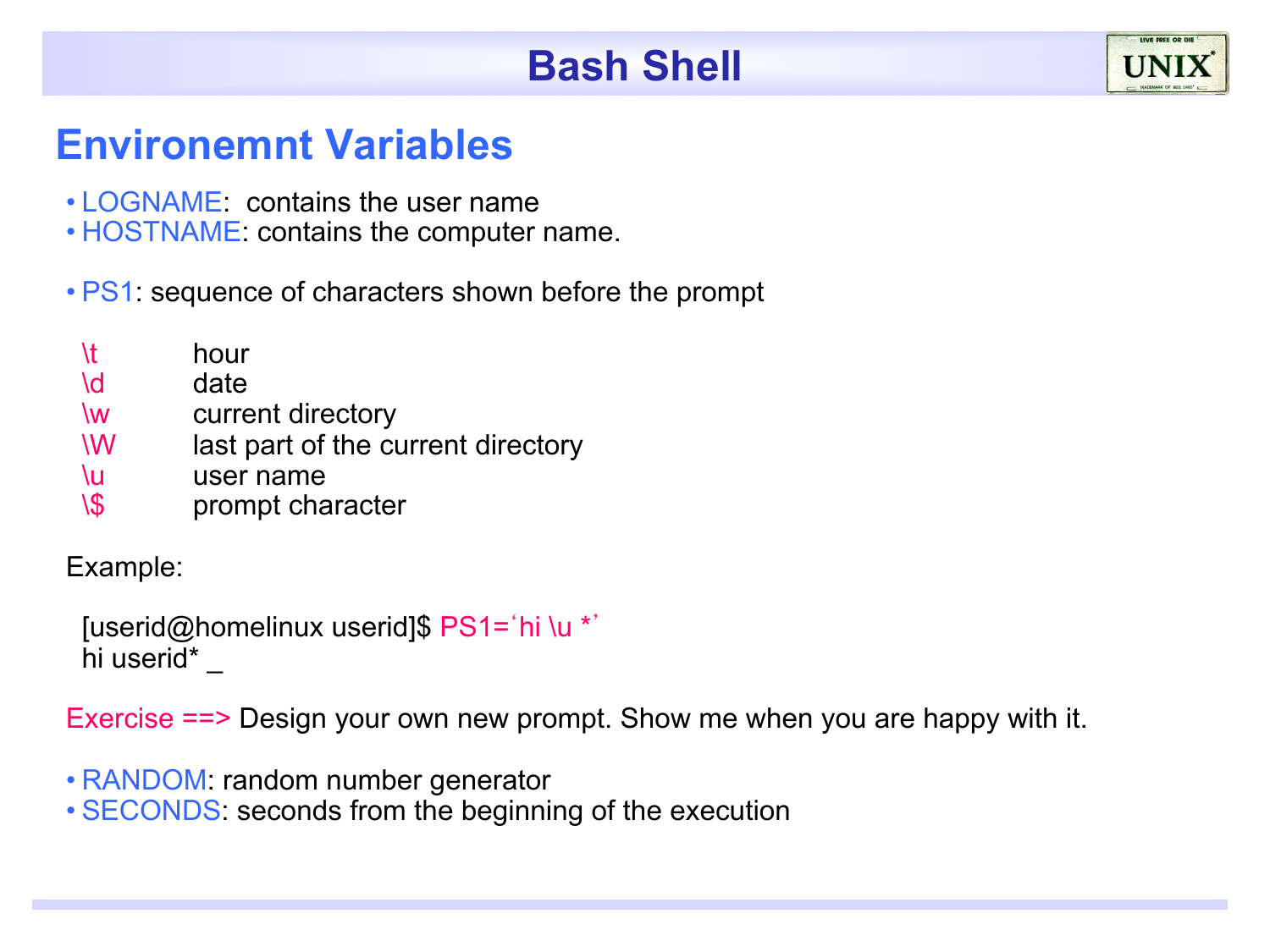#### **Environemnt Variables**

- LOGNAME: contains the user name
- HOSTNAME: contains the computer name.

• PS1: sequence of characters shown before the prompt

- \t hour
- \d date
- \w current directory
- \W last part of the current directory
- \u user name
- \\$ prompt character

Example:

[userid@homelinux userid]\$ PS1='hi \u \*' hi userid\*

Exercise ==> Design your own new prompt. Show me when you are happy with it.

- RANDOM: random number generator
- SECONDS: seconds from the beginning of the execution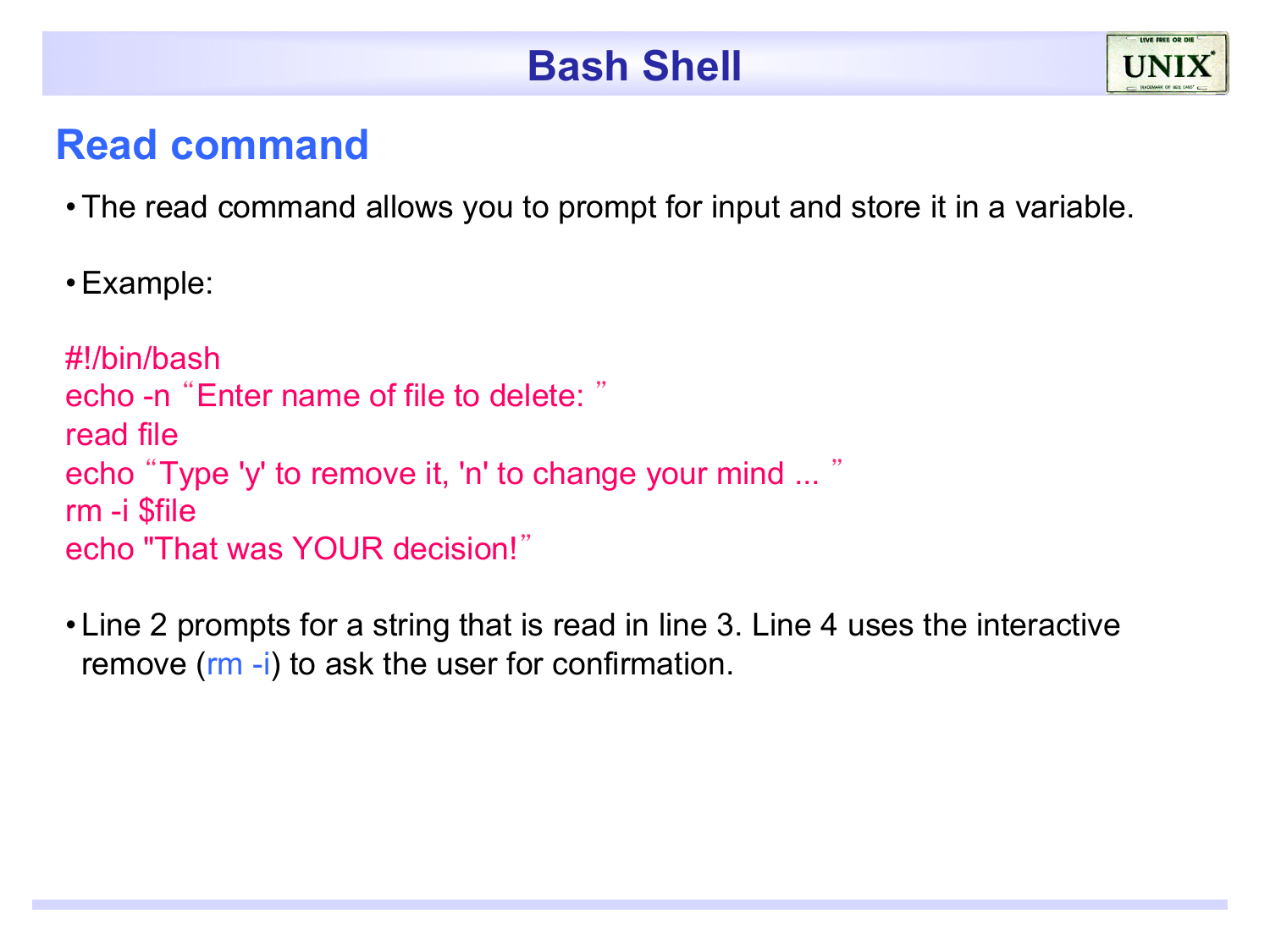#### **Read command**

- •The read command allows you to prompt for input and store it in a variable.
- •Example:

```
#!/bin/bash 
echo -n "Enter name of file to delete: "
read file 
echo "Type 'y' to remove it, 'n' to change your mind ... "
rm -i $file 
echo "That was YOUR decision!"
```
• Line 2 prompts for a string that is read in line 3. Line 4 uses the interactive remove (rm -i) to ask the user for confirmation.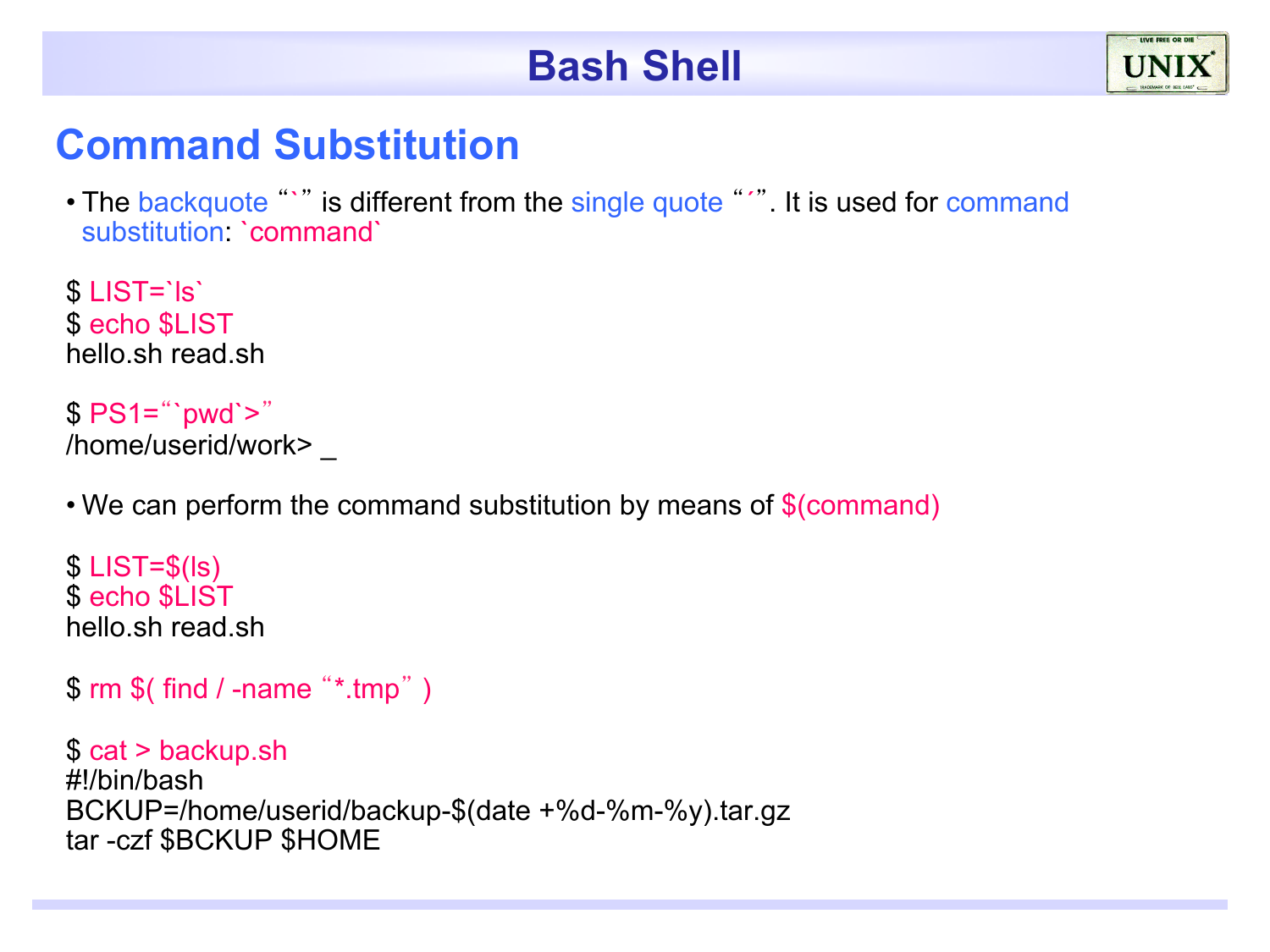#### **Command Substitution**

• The backquote "" is different from the single quote "". It is used for command substitution: `command`

\$ LIST=`ls` \$ echo \$LIST hello.sh read.sh

 $$ PS1="ywd'>'$ /home/userid/work> \_

• We can perform the command substitution by means of \$(command)

 $$$  LIST= $$$ (Is) \$ echo \$LIST hello.sh read.sh

```
$ rm $( find / -name "*.tmp" )
```
\$ cat > backup.sh #!/bin/bash BCKUP=/home/userid/backup-\$(date +%d-%m-%y).tar.gz tar -czf \$BCKUP \$HOME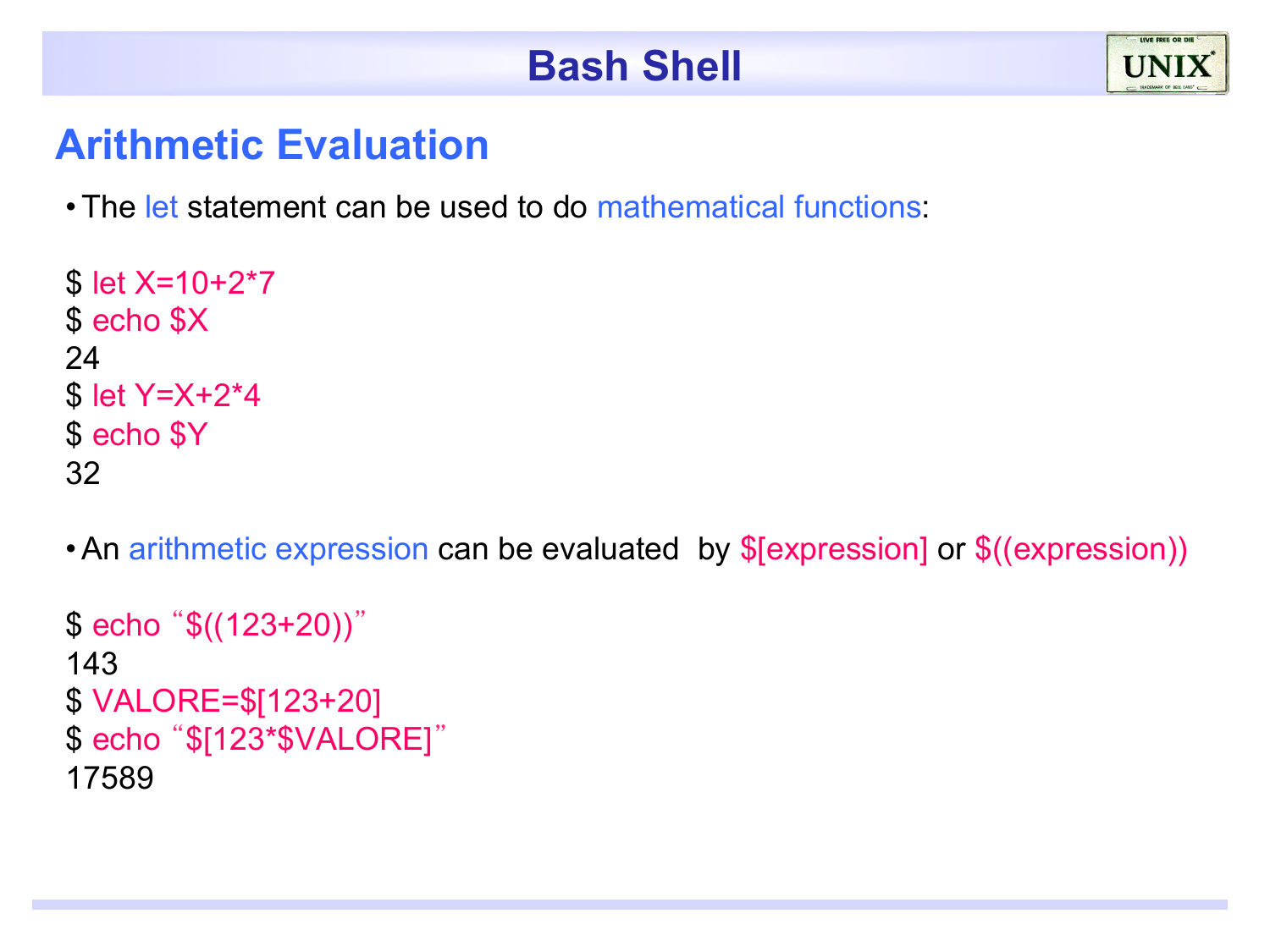

#### **Arithmetic Evaluation**

•The let statement can be used to do mathematical functions:

```
$ let X=10+2*7 
$ echo $X
24 
$ let Y=X+2*4
$ echo $Y
32
```
•An arithmetic expression can be evaluated by \$[expression] or \$((expression))

```
$ echo "$((123+20))"
143 
$ VALORE=$[123+20]
$ echo "$[123*$VALORE]"
17589
```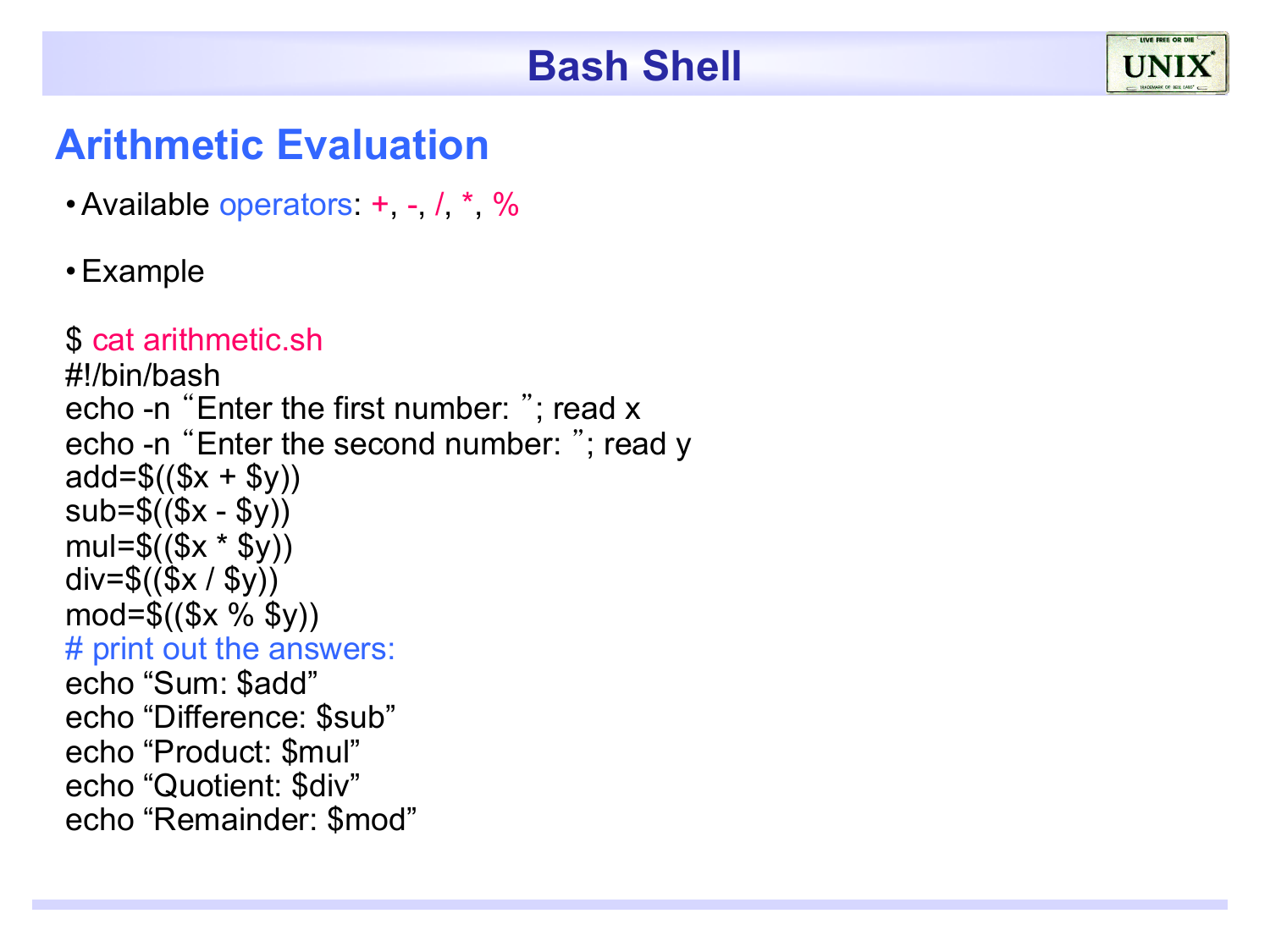

#### **Arithmetic Evaluation**

• Available operators:  $+$ ,  $-$ ,  $/$ ,  $*$ ,  $\%$ 

#### •Example

```
$ cat arithmetic.sh
#!/bin/bash 
echo -n "Enter the first number: "; read x 
echo -n "Enter the second number: "; read y
add = \$((\$x + \$y))sub=$(($x - $y))mul = $(\$x * \$y))div=$((\$x / \$y))mod = \$((\$x \% \$y))# print out the answers: 
echo "Sum: $add" 
echo "Difference: $sub" 
echo "Product: $mul" 
echo "Quotient: $div" 
echo "Remainder: $mod"
```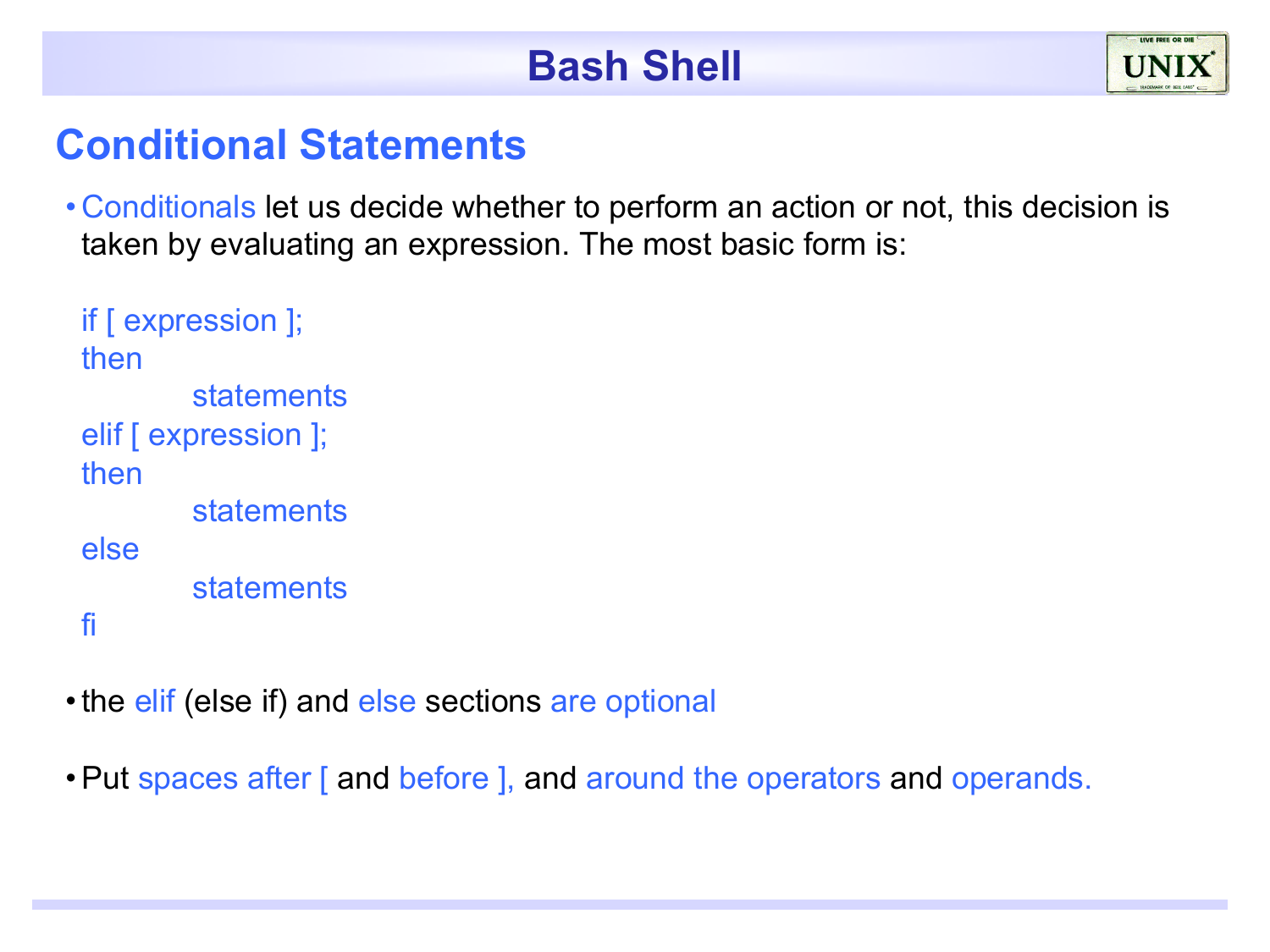#### **Conditional Statements**

• Conditionals let us decide whether to perform an action or not, this decision is taken by evaluating an expression. The most basic form is:

```
if [ expression ]; 
then 
        statements
elif [ expression ];
then 
        statements
else 
        statements 
fi
```
- the elif (else if) and else sections are optional
- •Put spaces after [ and before ], and around the operators and operands.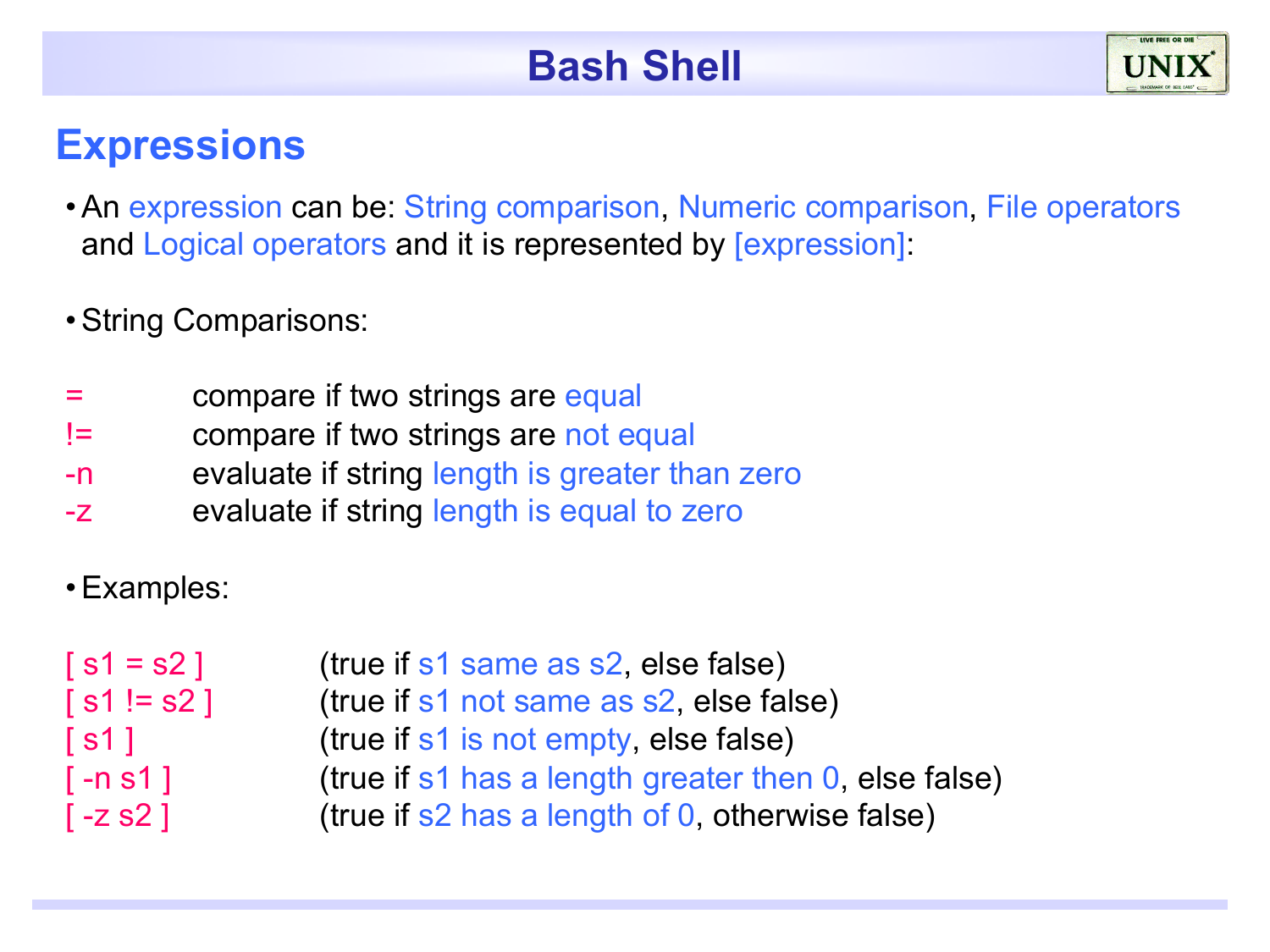#### **Expressions**

- •An expression can be: String comparison, Numeric comparison, File operators and Logical operators and it is represented by [expression]:
- •String Comparisons:
- = compare if two strings are equal
- != compare if two strings are not equal
- -n evaluate if string length is greater than zero
- -z evaluate if string length is equal to zero
- •Examples:

| (true if s1 same as s2, else false)                  |
|------------------------------------------------------|
| (true if s1 not same as s2, else false)              |
| (true if s1 is not empty, else false)                |
| (true if s1 has a length greater then 0, else false) |
| (true if s2 has a length of 0, otherwise false)      |
|                                                      |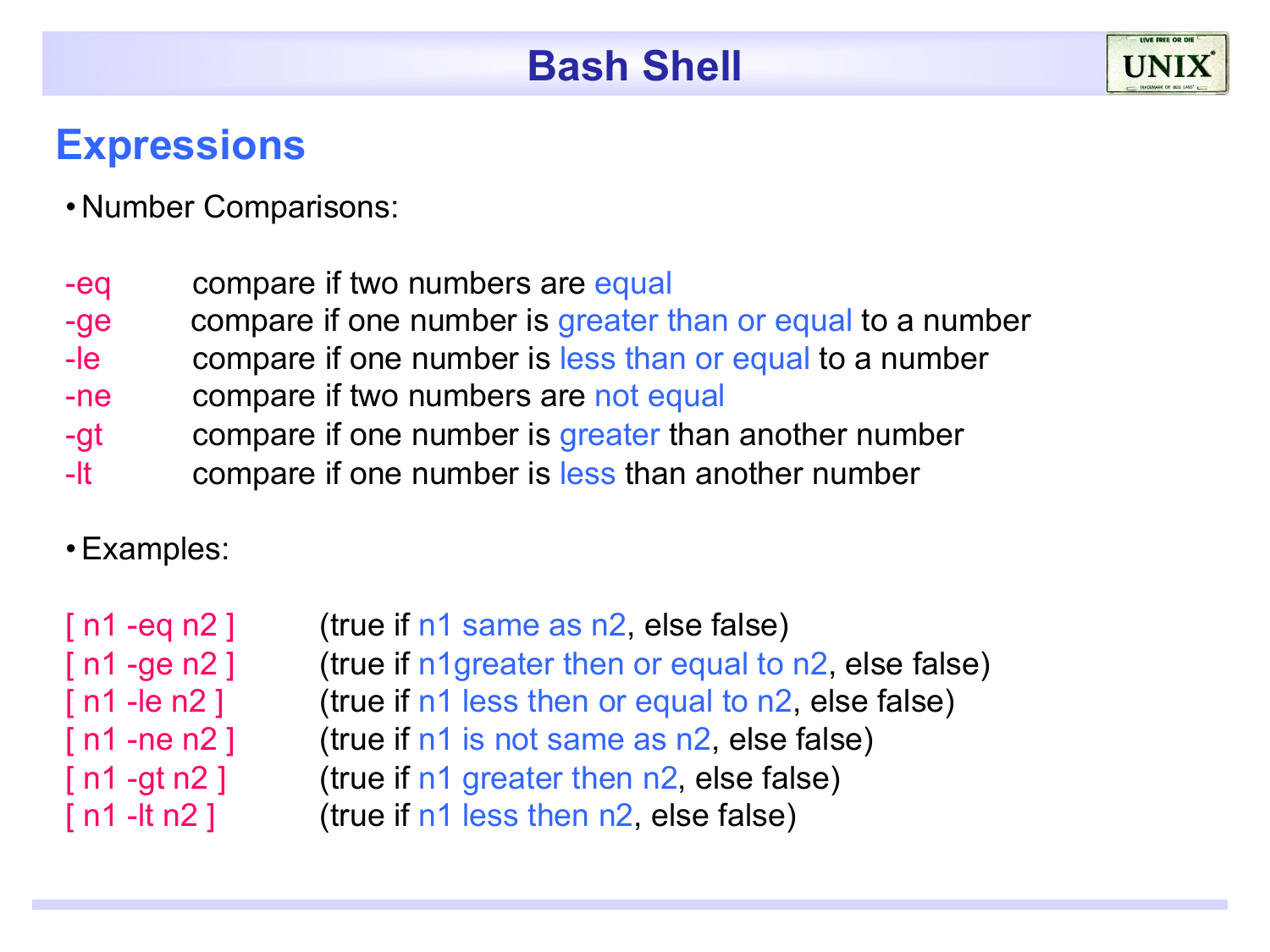#### **Expressions**

- Number Comparisons:
- -eq compare if two numbers are equal
- -ge compare if one number is greater than or equal to a number
- -le compare if one number is less than or equal to a number
- -ne compare if two numbers are not equal
- -gt compare if one number is greater than another number
- -It compare if one number is less than another number

•Examples:

| $\lceil$ n1 -eq n2 ]               | (true if n1 same as n2, else false)                 |
|------------------------------------|-----------------------------------------------------|
| $\lceil n1 - \text{ge } n2 \rceil$ | (true if n1greater then or equal to n2, else false) |
| $\lceil n1 - \text{le } n2 \rceil$ | (true if n1 less then or equal to n2, else false)   |
| $\lceil$ n1 -ne n2 $\rceil$        | (true if n1 is not same as n2, else false)          |
| $\lceil$ n1 -gt n2 ]               | (true if n1 greater then n2, else false)            |
| [ n1 -lt n2 ]                      | (true if n1 less then n2, else false)               |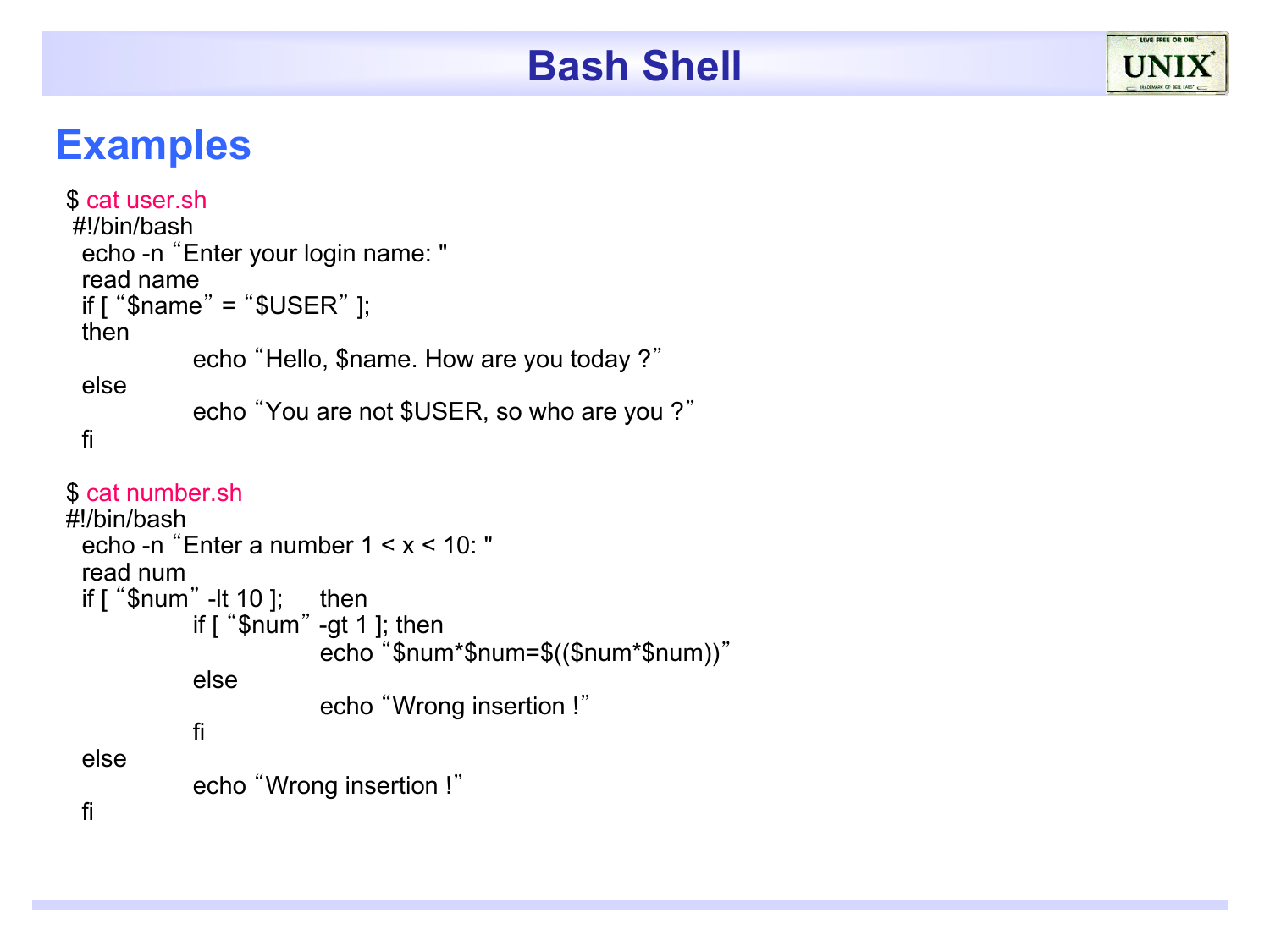#### **Examples**

```
$ cat user.sh 
 #!/bin/bash 
 echo -n "Enter your login name: " 
 read name 
 if [ "$name" = "$USER" ]; 
 then 
           echo "Hello, $name. How are you today ?"
 else 
           echo "You are not $USER, so who are you ?"
 fi 
$ cat number.sh
#!/bin/bash 
 echo -n "Enter a number 1 < x < 10: " 
 read num 
 if [ "$num" -lt 10 ]; then
```

```
if [ "$num" -gt 1 ]; then 
                     echo "$num*$num=$(($num*$num))"
          else 
                     echo "Wrong insertion !"
          fi 
else 
          echo "Wrong insertion !"
```
fi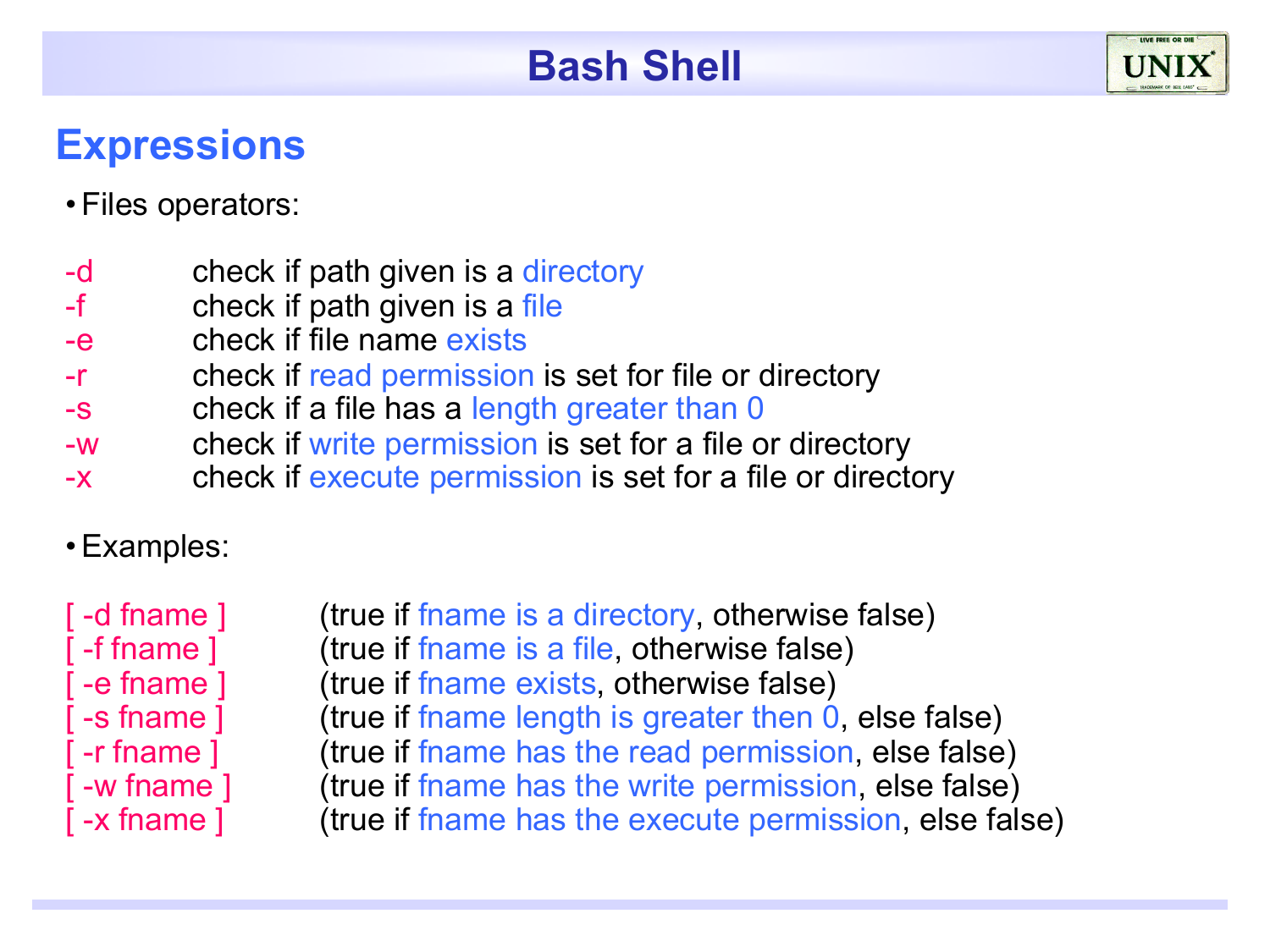## **Expressions**

#### •Files operators:

- -d check if path given is a directory
- -f check if path given is a file
- -e check if file name exists
- -r check if read permission is set for file or directory
- -s check if a file has a length greater than 0
- -w check if write permission is set for a file or directory
- -x check if execute permission is set for a file or directory
- •Examples:
- 

[ -d fname ] (true if fname is a directory, otherwise false) [ -f fname ] (true if fname is a file, otherwise false) -e fname 1 (true if fname exists, otherwise false) -s fname ] (true if fname length is greater then 0, else false) -r fname ] (true if fname has the read permission, else false) -w fname ] (true if fname has the write permission, else false) -x fname ] (true if fname has the execute permission, else false)

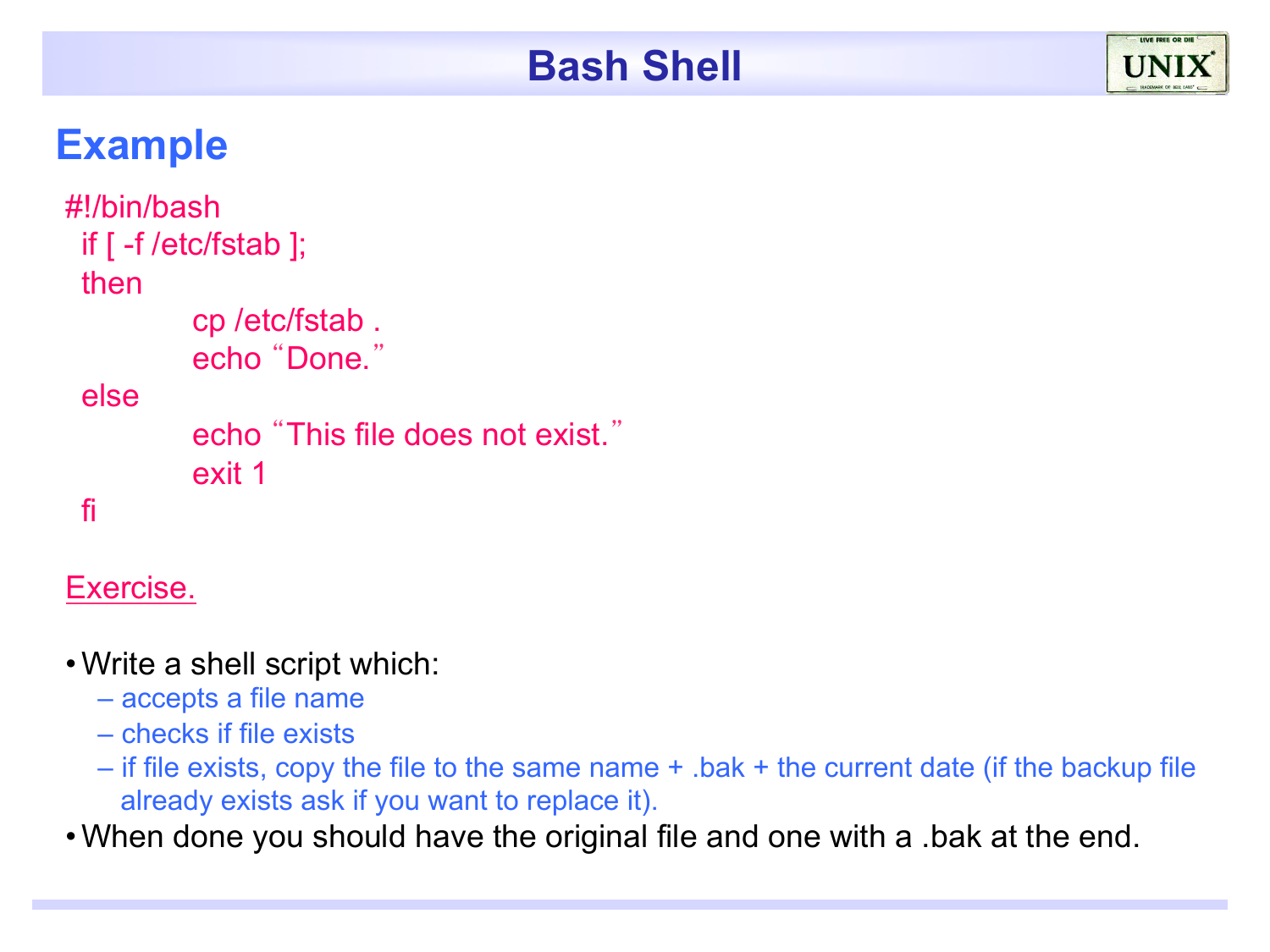## **Example**

```
#!/bin/bash 
 if [ -f /etc/fstab ]; 
 then 
          cp /etc/fstab . 
          echo "Done."
 else 
          echo "This file does not exist."
          exit 1 
 fi
```
#### Exercise.

- •Write a shell script which:
	- accepts a file name
	- checks if file exists
	- if file exists, copy the file to the same name + .bak + the current date (if the backup file already exists ask if you want to replace it).

•When done you should have the original file and one with a .bak at the end.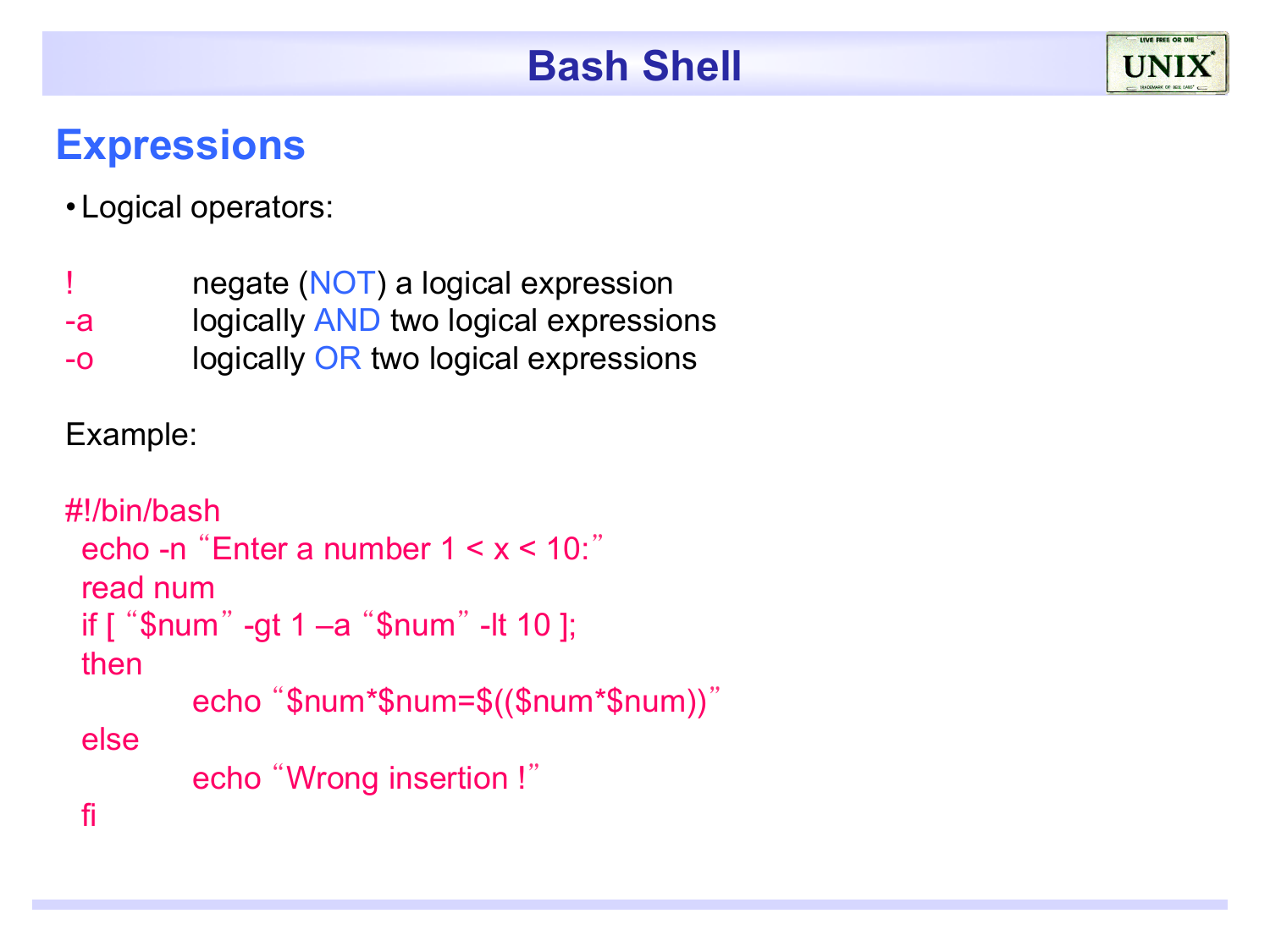## **Expressions**



- ! negate (NOT) a logical expression
- -a logically AND two logical expressions
- -o logically OR two logical expressions

Example:

```
#!/bin/bash 
 echo -n "Enter a number 1 < x < 10:"
 read num 
 if [ "$num" -gt 1 –a "$num" -lt 10 ]; 
 then 
         echo "$num*$num=$(($num*$num))"
 else 
         echo "Wrong insertion !"
 fi
```
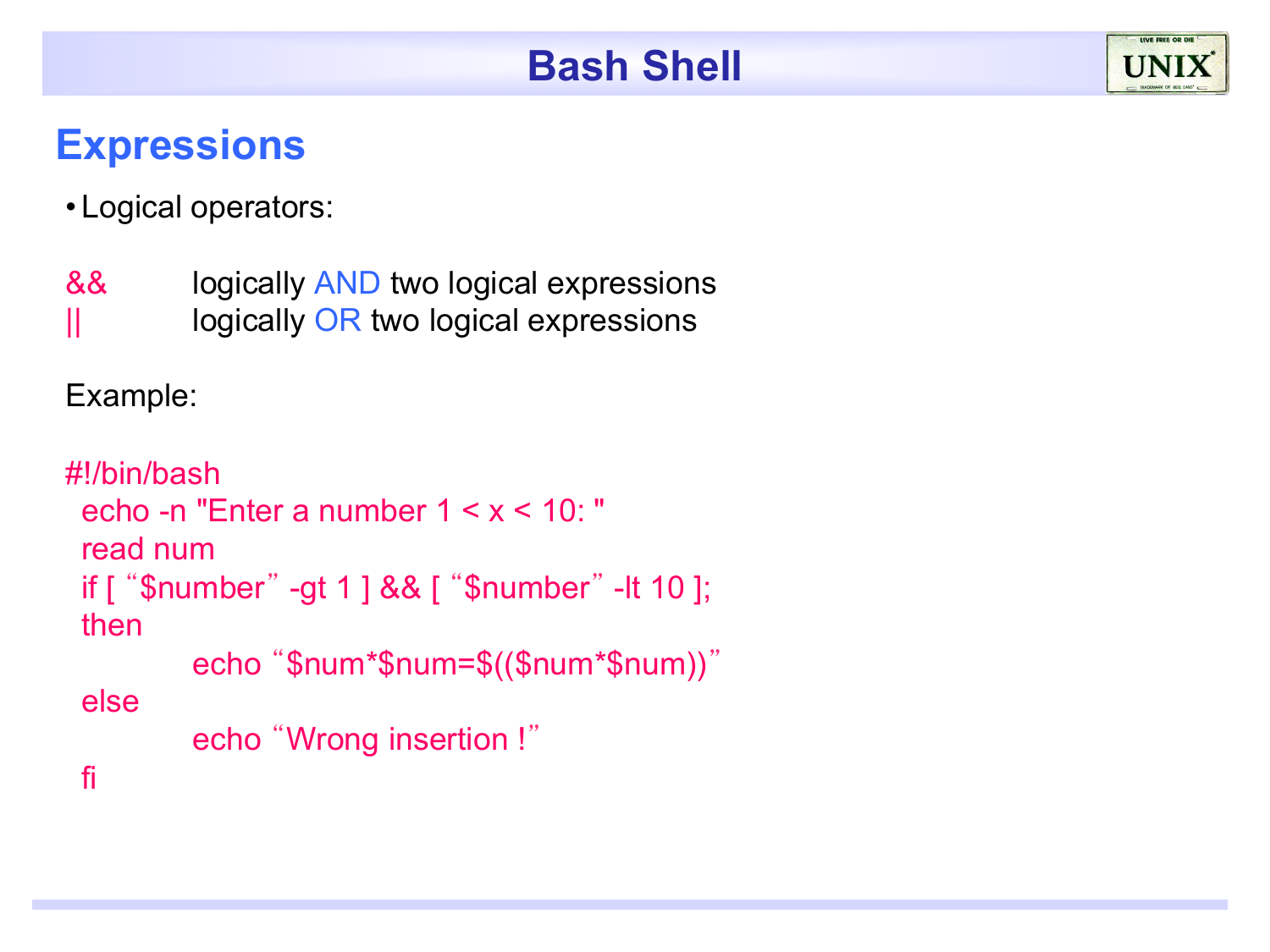## **Expressions**

• Logical operators:

&& logically AND two logical expressions  $\parallel$  logically OR two logical expressions

Example:

```
#!/bin/bash 
 echo -n "Enter a number 1 < x < 10: " 
 read num 
 if [ "$number" -gt 1 ] && [ "$number" -lt 10 ]; 
 then 
         echo "$num*$num=$(($num*$num))"
 else 
         echo "Wrong insertion !"
 fi
```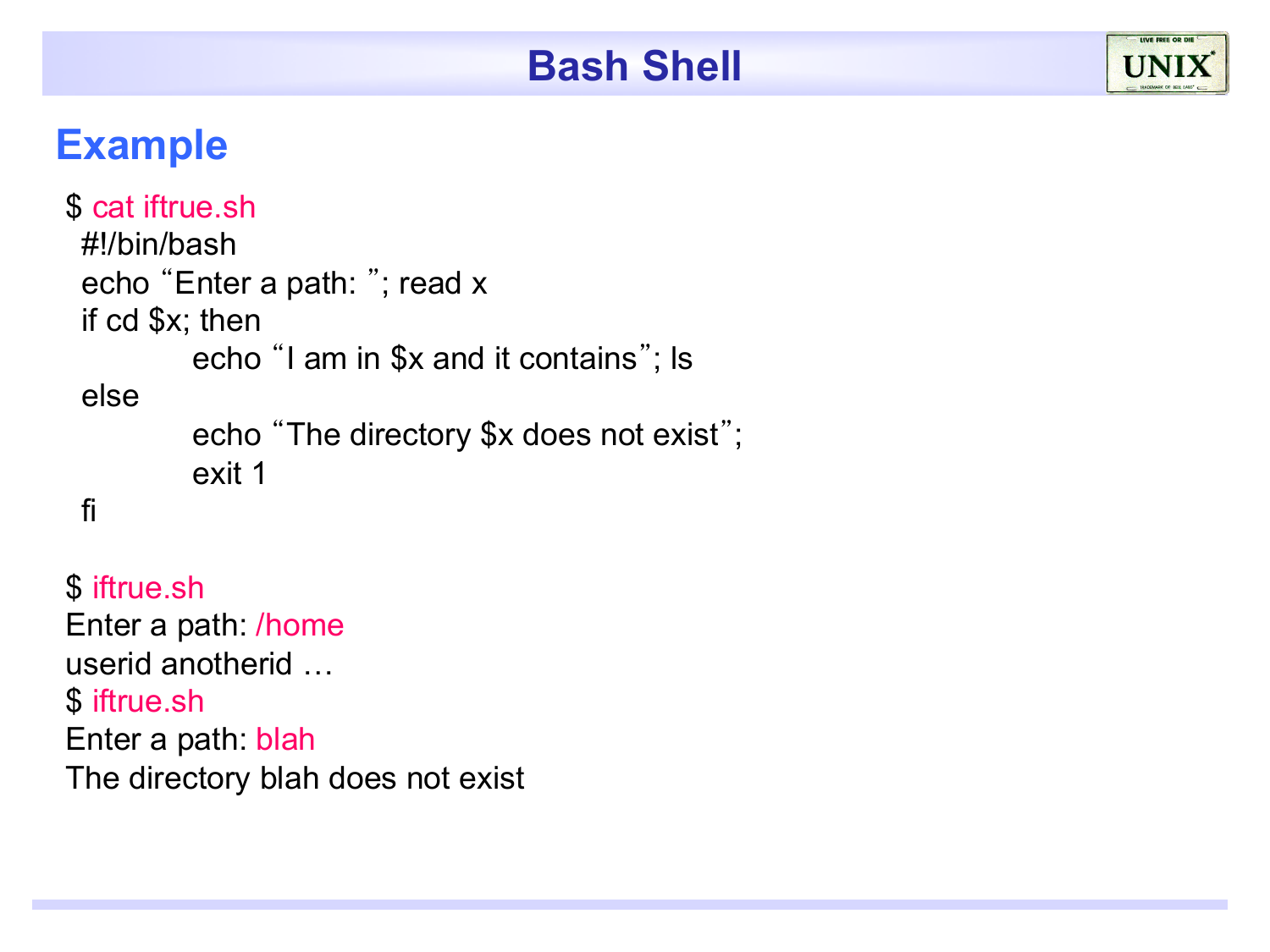## **Example**

```
$ cat iftrue.sh 
 #!/bin/bash 
 echo "Enter a path: "; read x 
 if cd $x; then 
          echo "I am in $x and it contains"; ls 
 else 
          echo "The directory $x does not exist"; 
          exit 1 
 fi
```
\$ iftrue.sh Enter a path: /home userid anotherid … \$ iftrue.sh Enter a path: blah The directory blah does not exist

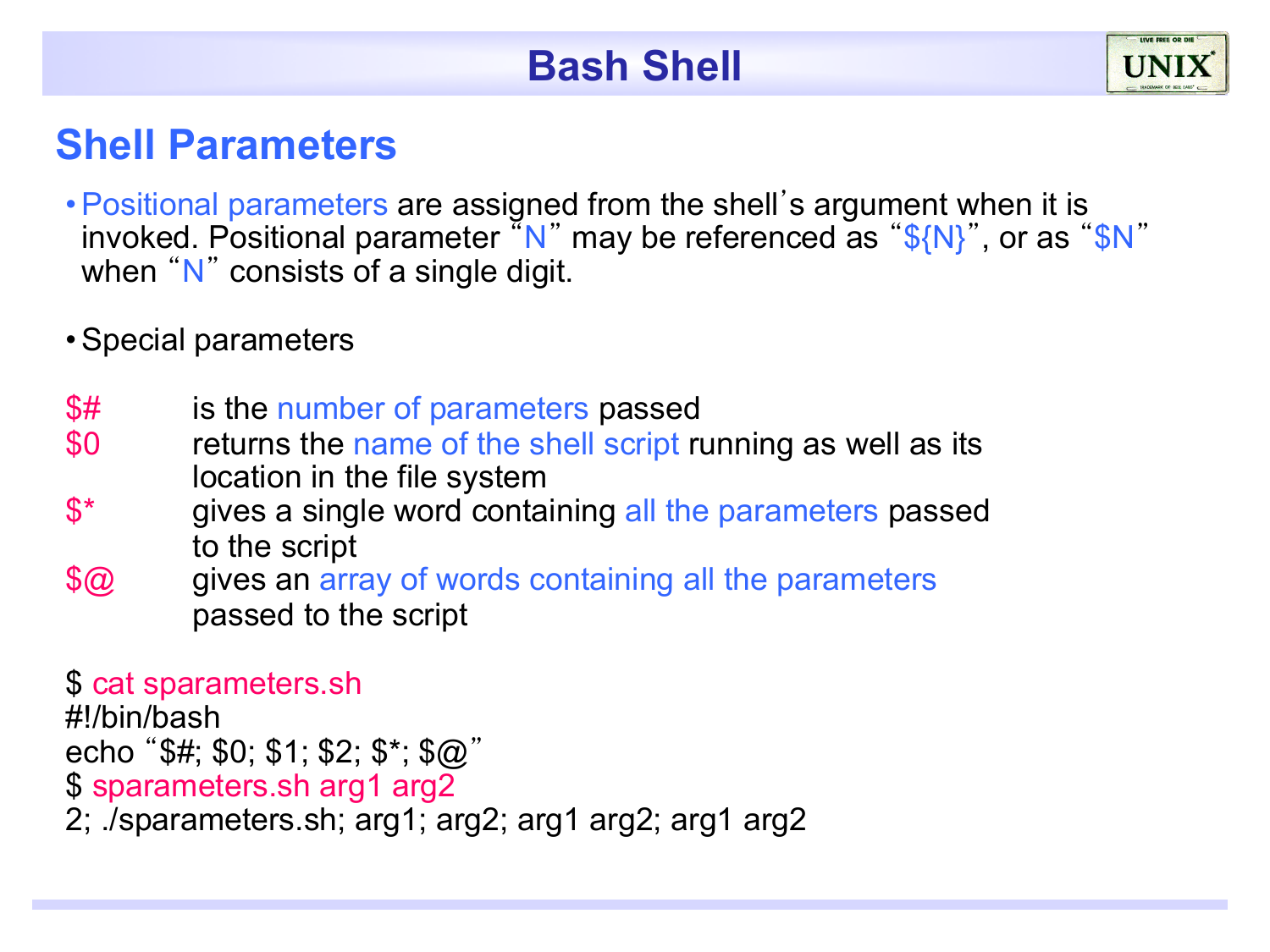#### **Shell Parameters**

- •Positional parameters are assigned from the shell's argument when it is invoked. Positional parameter  $\sqrt[n]{N}$  may be referenced as "\${N}", or as "\$N" when "N" consists of a single digit.
- •Special parameters
- \$# is the number of parameters passed
- \$0 returns the name of the shell script running as well as its location in the file system
- \$<sup>\*</sup> gives a single word containing all the parameters passed to the script
- \$@ gives an array of words containing all the parameters passed to the script

\$ cat sparameters.sh

#!/bin/bash echo "\$#; \$0; \$1; \$2; \$\*; \$@" \$ sparameters.sh arg1 arg2 2; ./sparameters.sh; arg1; arg2; arg1 arg2; arg1 arg2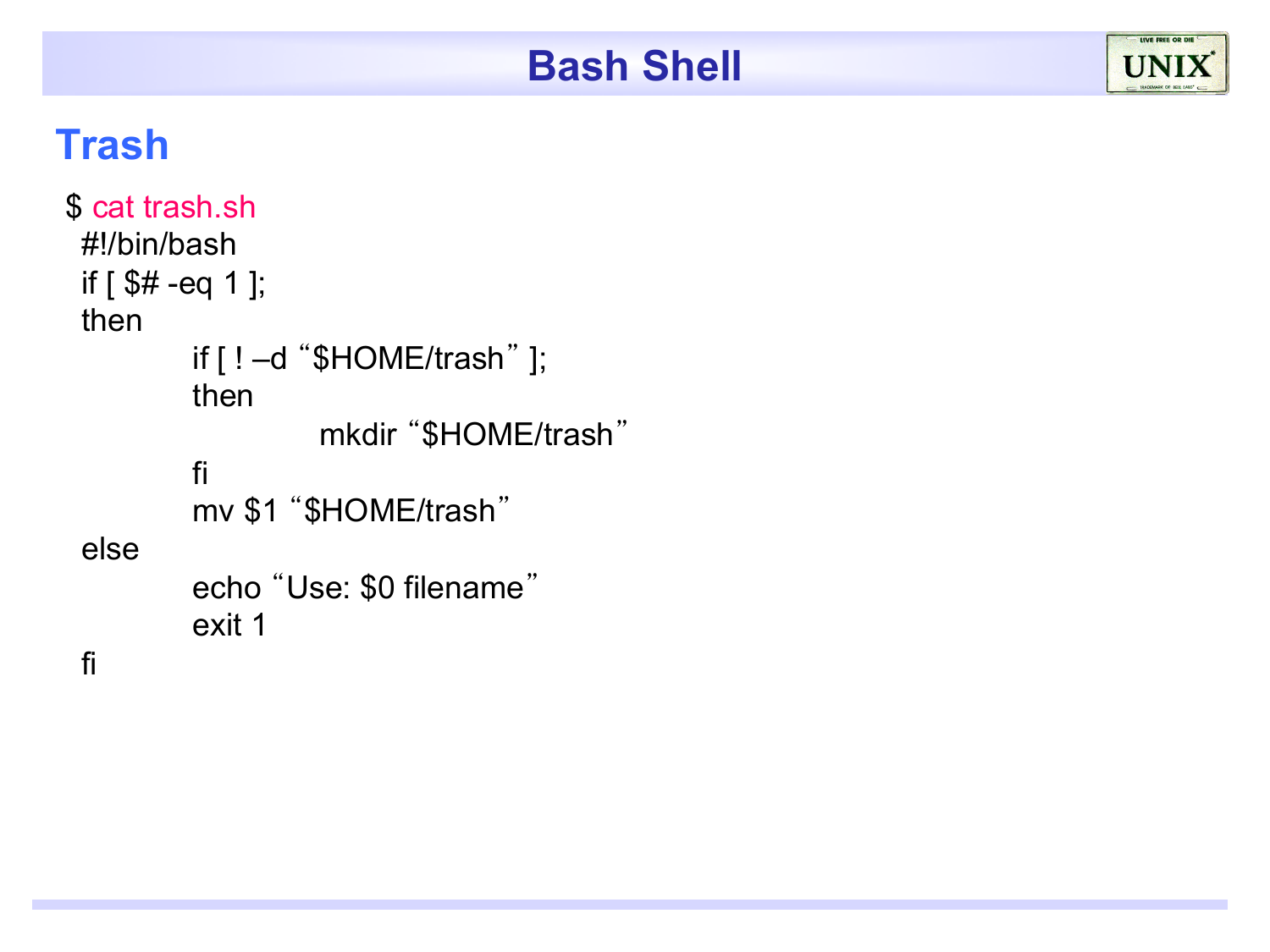#### **Trash**

```
$ cat trash.sh 
 #!/bin/bash 
 if [ $# -eq 1 ];
 then 
         if [ ! –d "$HOME/trash" ]; 
         then 
                   mkdir "$HOME/trash"
         fi 
         mv $1 "$HOME/trash"
 else 
         echo "Use: $0 filename"
         exit 1
```
fi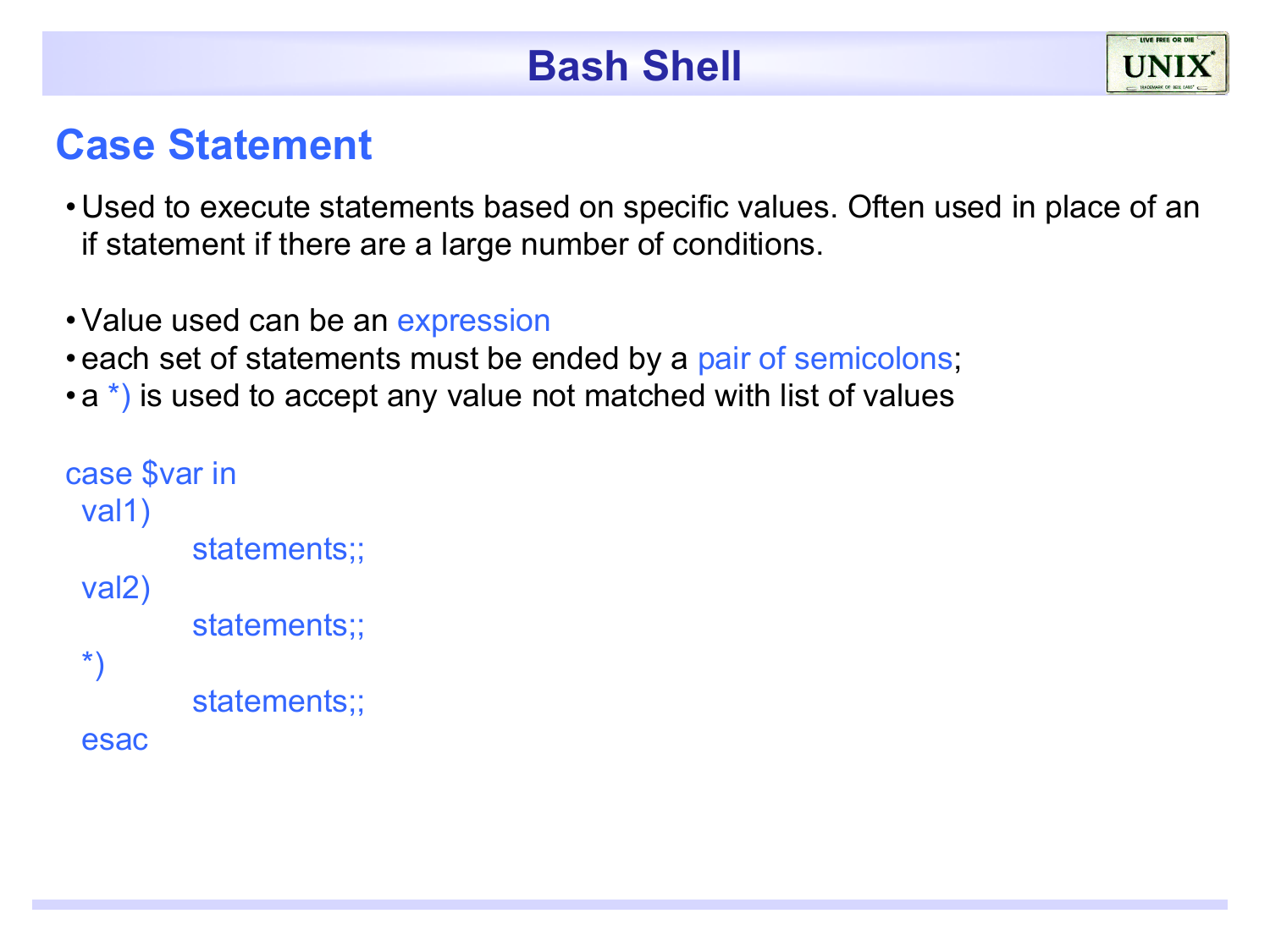#### **Case Statement**

- Used to execute statements based on specific values. Often used in place of an if statement if there are a large number of conditions.
- Value used can be an expression
- each set of statements must be ended by a pair of semicolons;
- a \*) is used to accept any value not matched with list of values

```
case $var in 
 val1) 
          statements;; 
 val2) 
          statements;; 
 *) 
          statements;; 
 esac
```
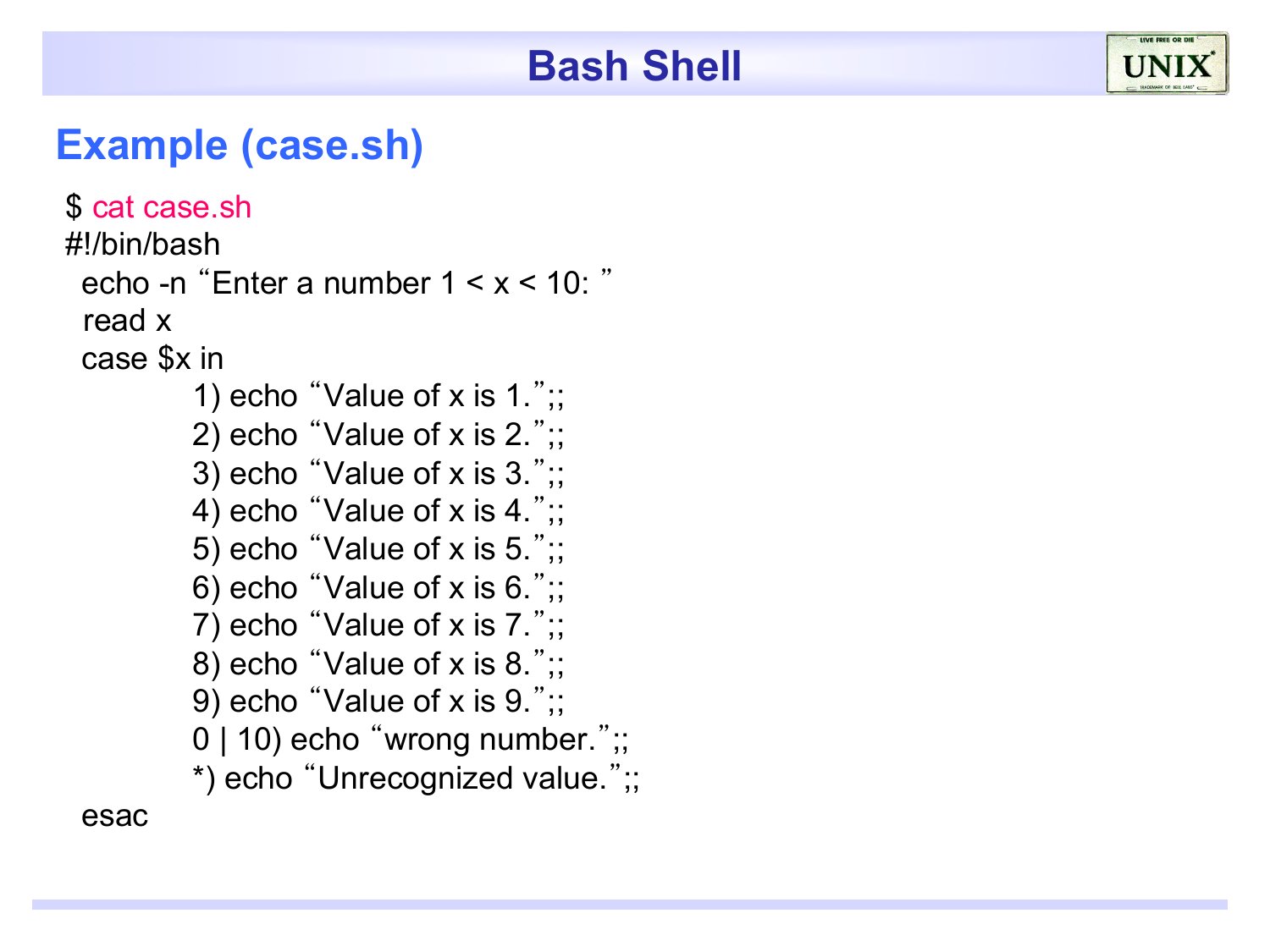#### **Example (case.sh)**

```
$ cat case.sh
#!/bin/bash 
 echo -n "Enter a number 1 < x < 10: "
  read x 
 case $x in 
         1) echo "Value of x is 1.";
         2) echo "Value of x is 2.";;
         3) echo "Value of x is 3.";; 
         4) echo "Value of x is 4.";;
         5) echo "Value of x is 5.';;
         6) echo "Value of x is 6.";
         7) echo "Value of x is 7.';;
         8) echo "Value of x is 8.";; 
         9) echo "Value of x is 9.";; 
         0 | 10) echo "wrong number.";;
         *) echo "Unrecognized value.";; 
 esac
```
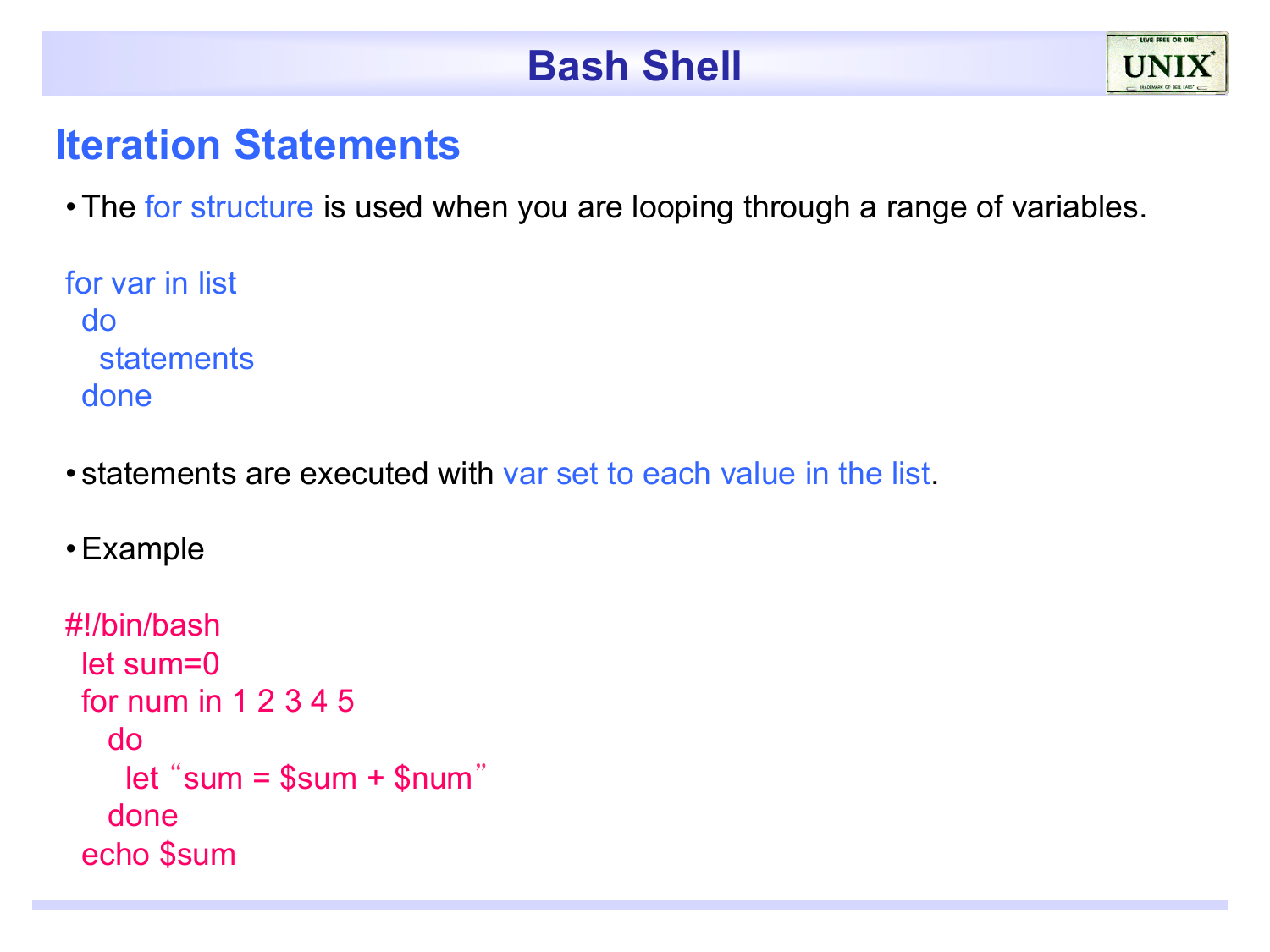#### **Iteration Statements**

• The for structure is used when you are looping through a range of variables.

for var in list do statements done

• statements are executed with var set to each value in the list.

•Example

```
#!/bin/bash 
 let sum=0 
 for num in 1 2 3 4 5 
    do 
     let "sum = $sum + $num"
    done
 echo $sum
```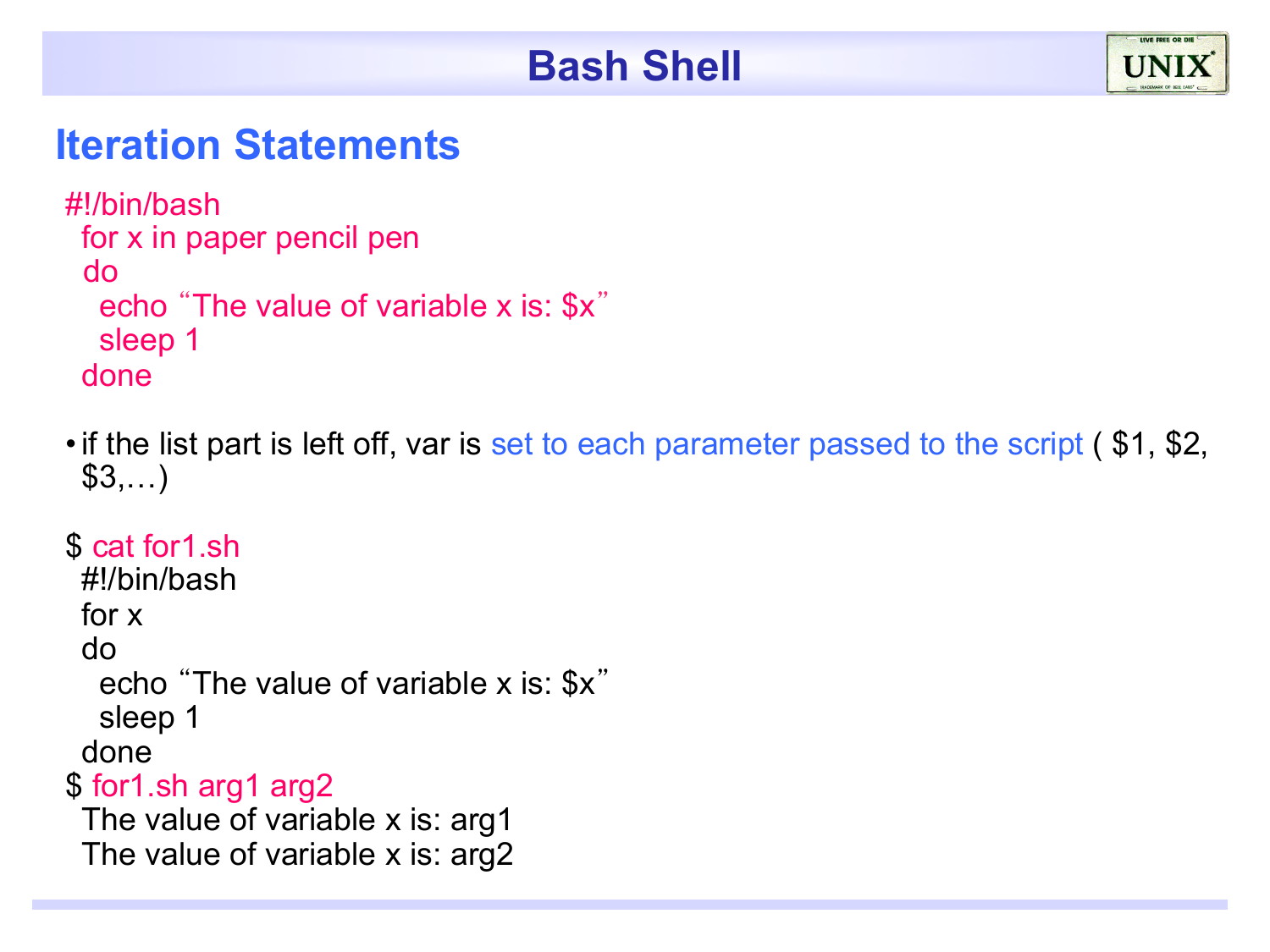

#### **Iteration Statements**

```
#!/bin/bash 
 for x in paper pencil pen 
  do 
   echo "The value of variable x is: $x"
   sleep 1 
 done
```
• if the list part is left off, var is set to each parameter passed to the script (\$1, \$2, \$3,…)

\$ cat for1.sh #!/bin/bash for x do echo "The value of variable x is: \$x" sleep 1 done \$ for1.sh arg1 arg2 The value of variable x is: arg1 The value of variable x is: arg2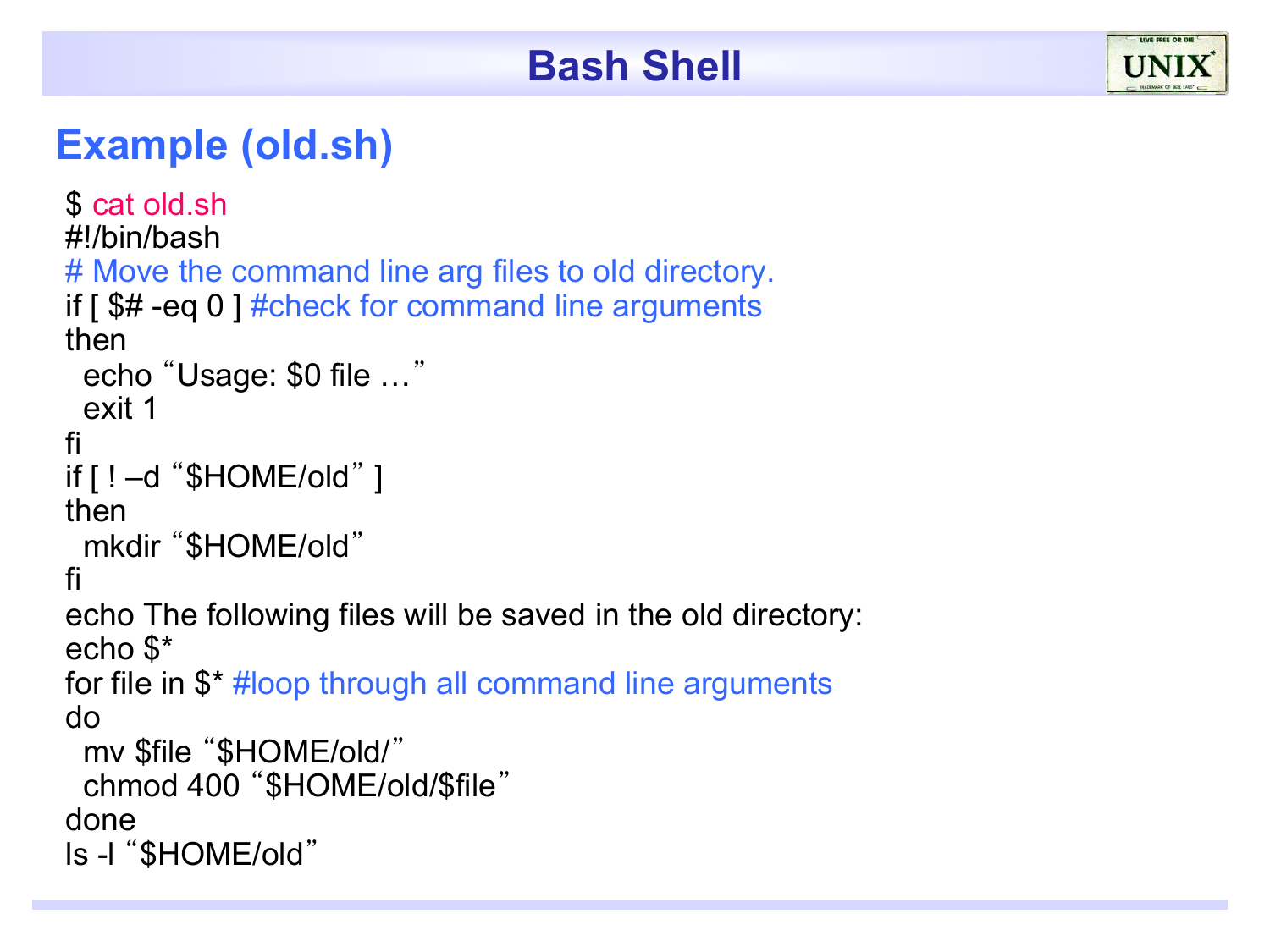#### **Example (old.sh)**

```
$ cat old.sh
#!/bin/bash 
# Move the command line arg files to old directory.
if \int $# -eq 0 ] #check for command line arguments
then 
  echo "Usage: $0 file …"
  exit 1 
fi 
if [] -d "$HOME/old" ]then 
  mkdir "$HOME/old"
fi 
echo The following files will be saved in the old directory: 
echo $* 
for file in $* #loop through all command line arguments
do 
  mv $file "$HOME/old/"
  chmod 400 "$HOME/old/$file"
done 
ls -l "$HOME/old"
```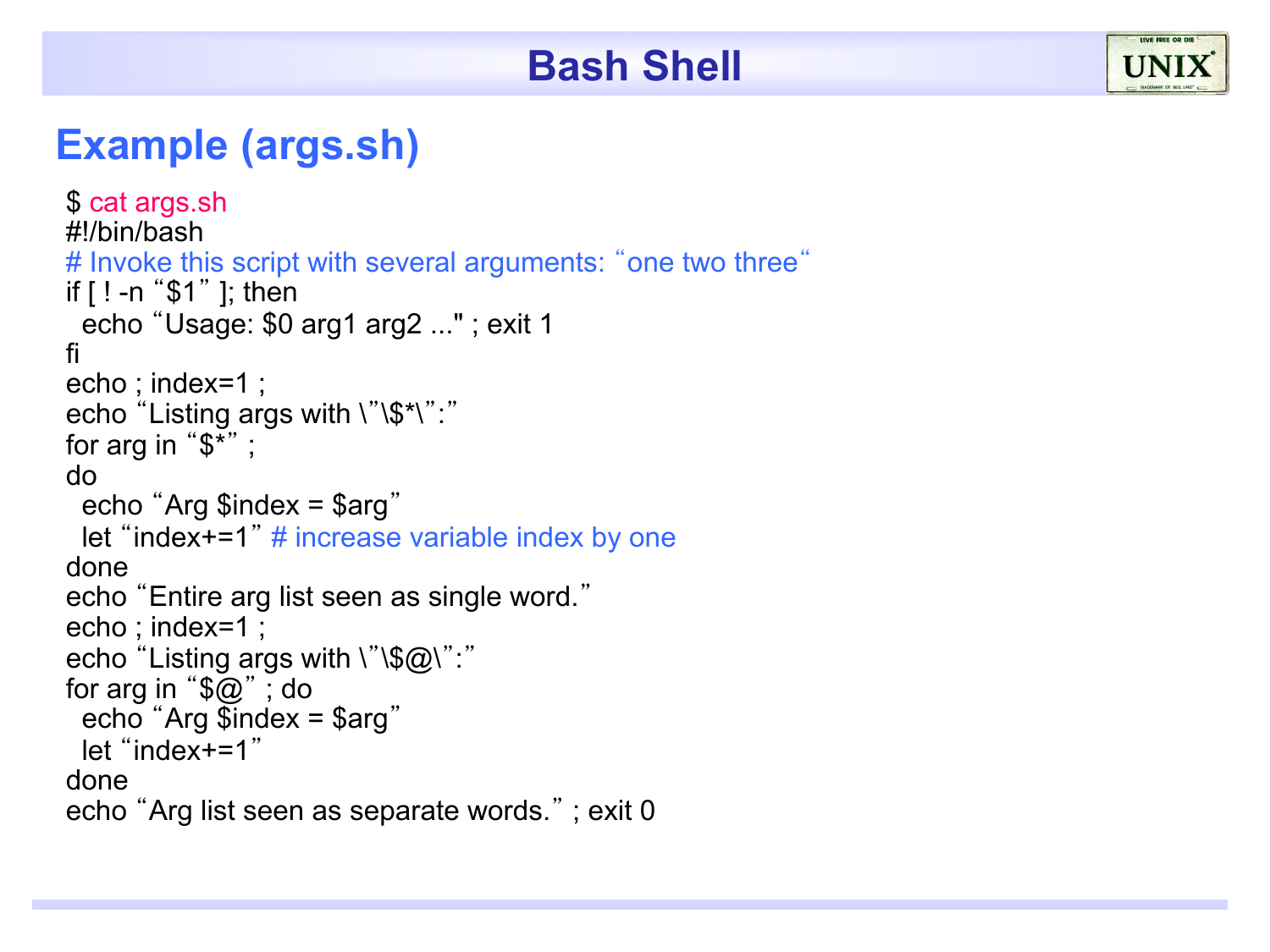#### **Example (args.sh)**

```
$ cat args.sh
#!/bin/bash 
# Invoke this script with several arguments: "one two three"
if [ ! -n "$1" ]; then 
 echo "Usage: $0 arg1 arg2 ..." ; exit 1 
fi 
echo ; index=1 ; 
echo "Listing args with \"\$*\":"
for arg in "$*" ; 
do 
 echo "Arg $index = $arg" 
 let "index+=1" \# increase variable index by one
done 
echo "Entire arg list seen as single word." 
echo ; index=1 ; 
echo "Listing args with \sqrt{\$Q\}':"
for arg in "\mathcal{F}\omega"; do
 echo "Arg $index = $arg" 
 let "index+=1" 
done 
echo "Arg list seen as separate words." ; exit 0
```
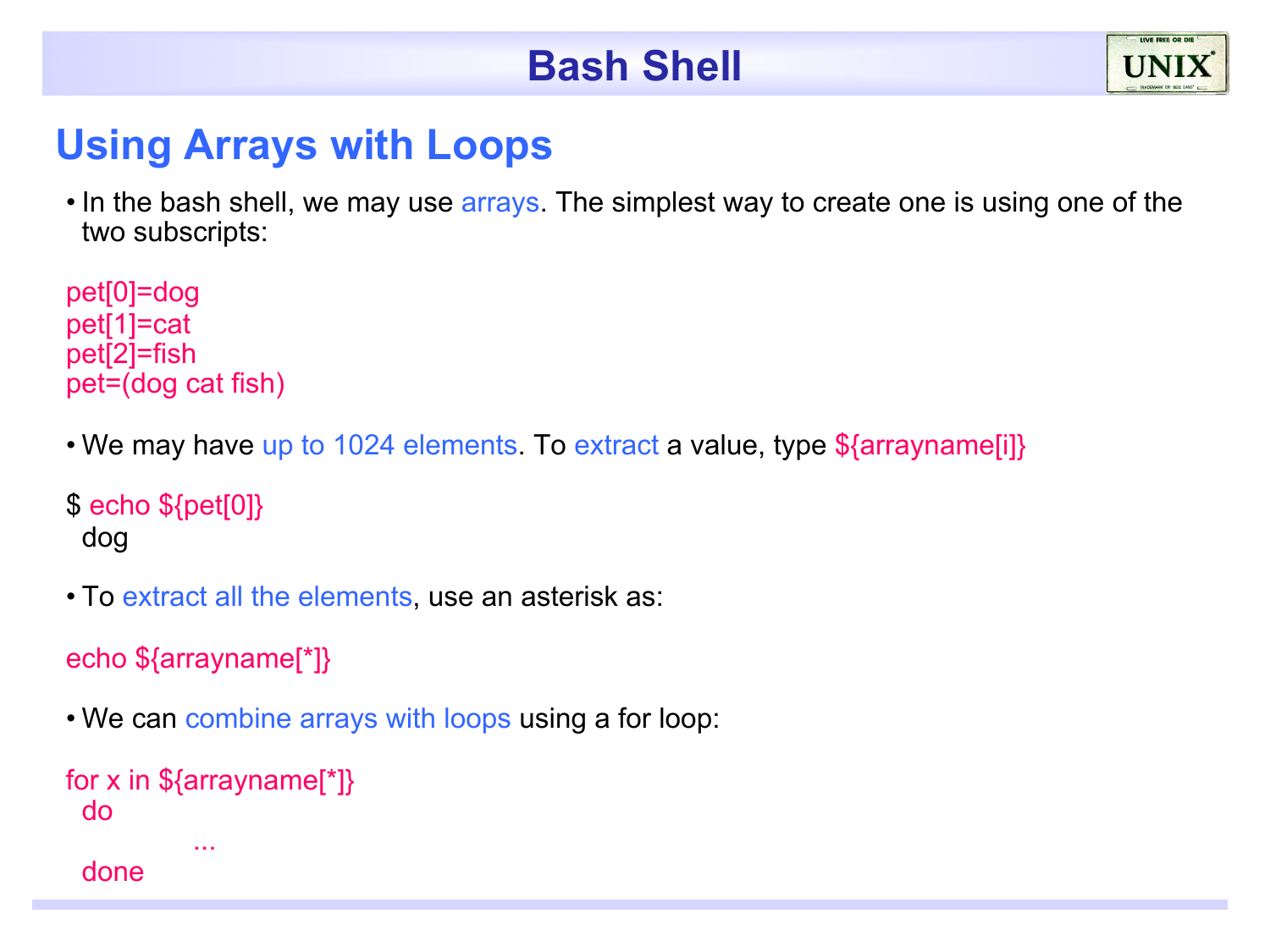#### **Using Arrays with Loops**

• In the bash shell, we may use arrays. The simplest way to create one is using one of the two subscripts:

pet[0]=dog pet[1]=cat pet[2]=fish pet=(dog cat fish)

• We may have up to 1024 elements. To extract a value, type \$ {arrayname [i] }

 $\$  echo  $\{pet[0]\}$ dog

• To extract all the elements, use an asterisk as:

```
echo ${arrayname[*]}
```
• We can combine arrays with loops using a for loop:

```
for x in \{arraynormal \}do 
           ... 
 done
```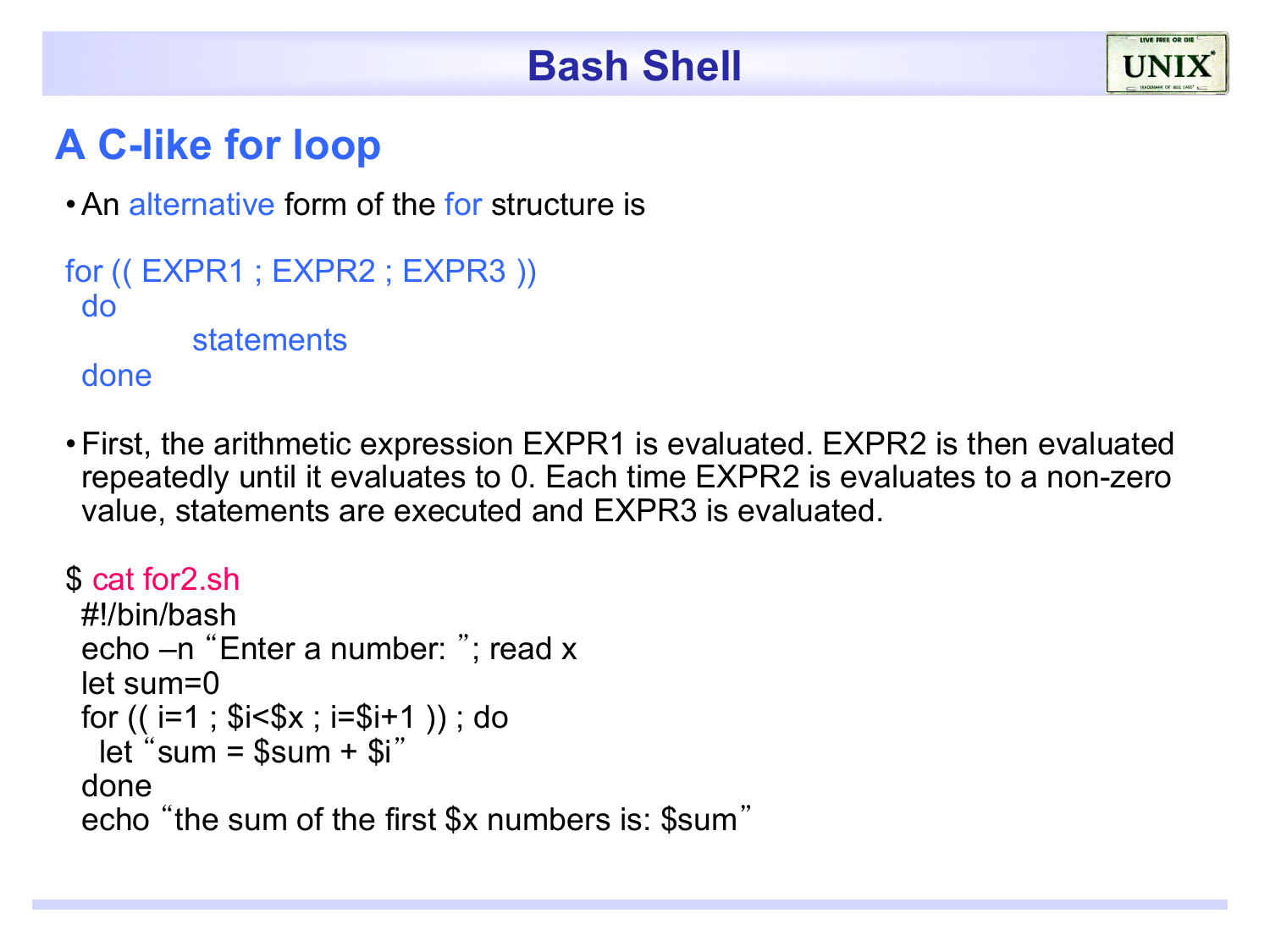#### **A C-like for loop**

• An alternative form of the for structure is

```
for (( EXPR1 ; EXPR2 ; EXPR3 )) 
 do 
          statements 
 done
```
•First, the arithmetic expression EXPR1 is evaluated. EXPR2 is then evaluated repeatedly until it evaluates to 0. Each time EXPR2 is evaluates to a non-zero value, statements are executed and EXPR3 is evaluated.

```
$ cat for2.sh 
 #!/bin/bash 
 echo –n "Enter a number: "; read x 
 let sum=0
 for (( i=1 ; $i<$x ; i=$i+1 )) ; do
  let "sum = ssum + Si"
 done 
 echo "the sum of the first $x numbers is: $sum"
```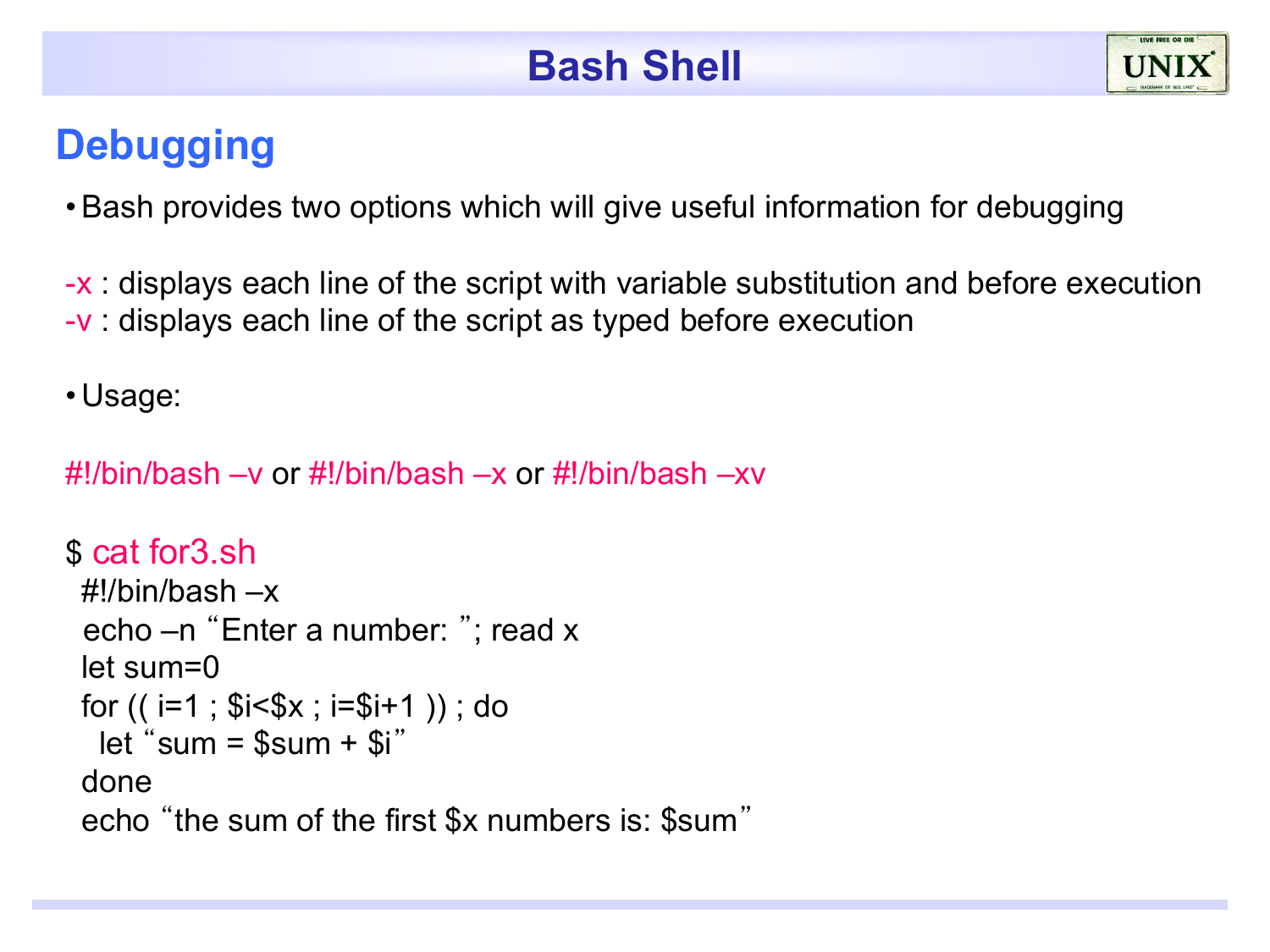## **Debugging**

•Bash provides two options which will give useful information for debugging

-x : displays each line of the script with variable substitution and before execution -v : displays each line of the script as typed before execution

• Usage:

#!/bin/bash –v or #!/bin/bash –x or #!/bin/bash –xv

```
$ cat for3.sh 
 #!/bin/bash –x 
  echo –n "Enter a number: "; read x 
 let sum=0
 for (( i=1 ; $i<\$x ; i=\$i+1 )); do
   let "sum = $sum + $i"
 done 
 echo "the sum of the first $x numbers is: $sum"
```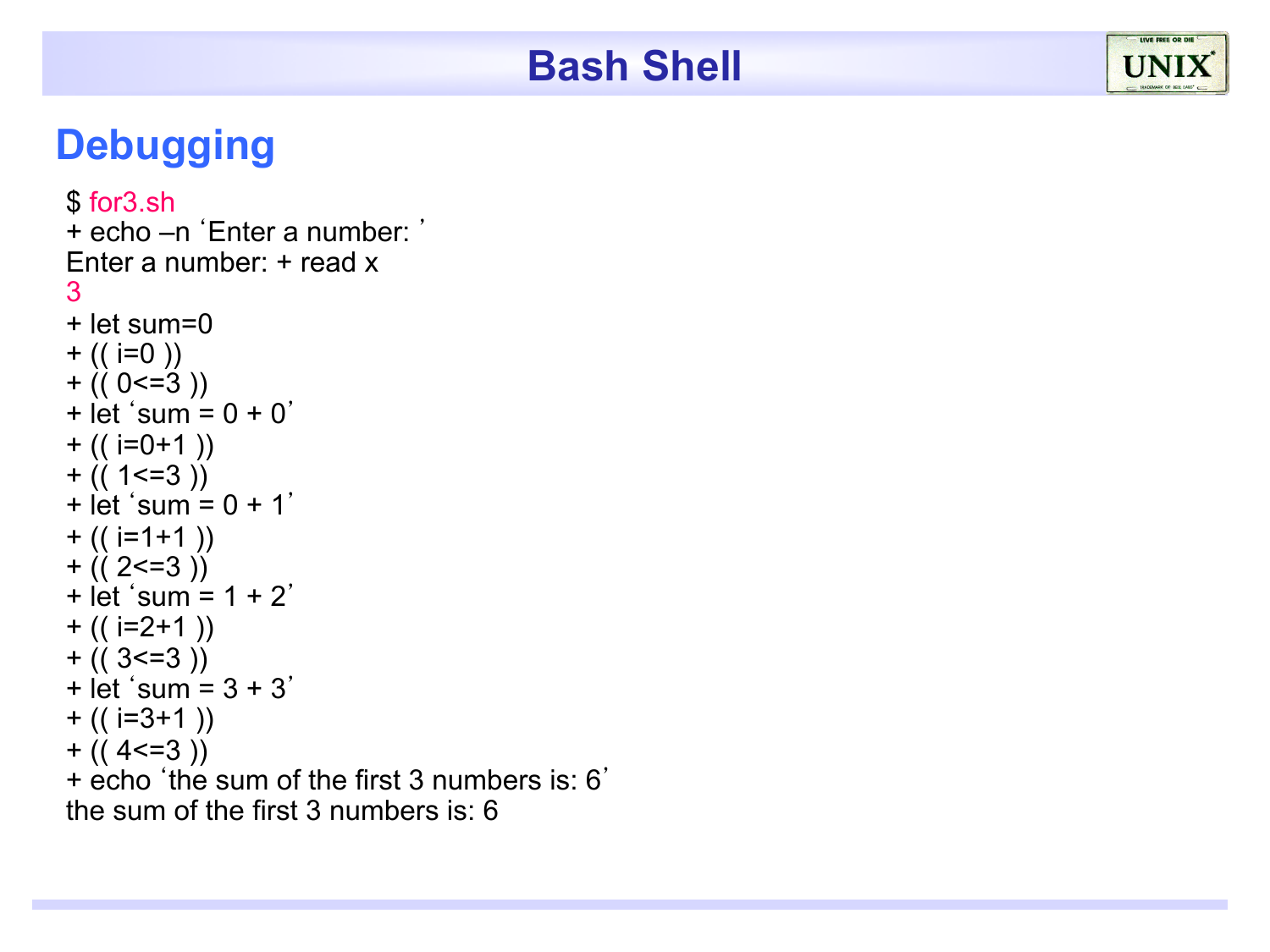## **Debugging**

```
$ for3.sh
+ echo –n 'Enter a number: '
Enter a number: + read x 
3
+ let sum=0 
+ (( i=0 ))
+ (( 0 < = 3 ))
+ let 'sum = 0 + 0'+ (( i=0+1) )+ (( 1 < = 3 )+ let 'sum = 0 + 1'
+ (( i=1+1) )+ (( 2 < = 3 )+ let 'sum = 1 + 2'
+ (( i=2+1) )+ (( 3 = 3 ))
+ let 'sum = 3 + 3'
+ (( i=3+1) )+ (( 4 < = 3 ))
+ echo 'the sum of the first 3 numbers is: 6'
the sum of the first 3 numbers is: 6
```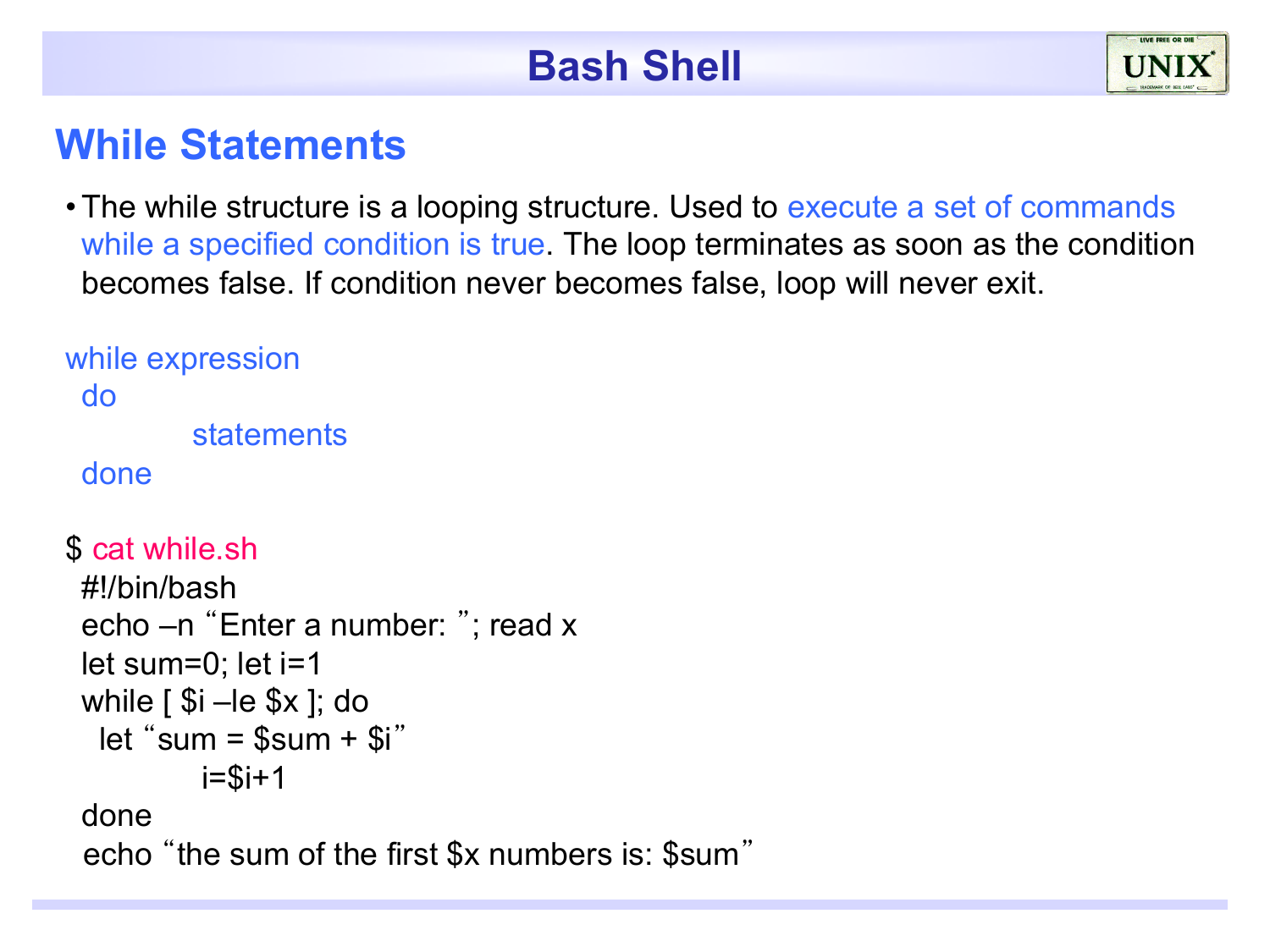#### **While Statements**

• The while structure is a looping structure. Used to execute a set of commands while a specified condition is true. The loop terminates as soon as the condition becomes false. If condition never becomes false, loop will never exit.

```
while expression 
 do 
         statements
 done
$ cat while.sh
```

```
#!/bin/bash 
echo –n "Enter a number: "; read x 
let sum=0; let i=1
while \lceil $i –le $x \rceil; do
 let "sum = sum + si"
         i=Si+1done 
 echo "the sum of the first $x numbers is: $sum"
```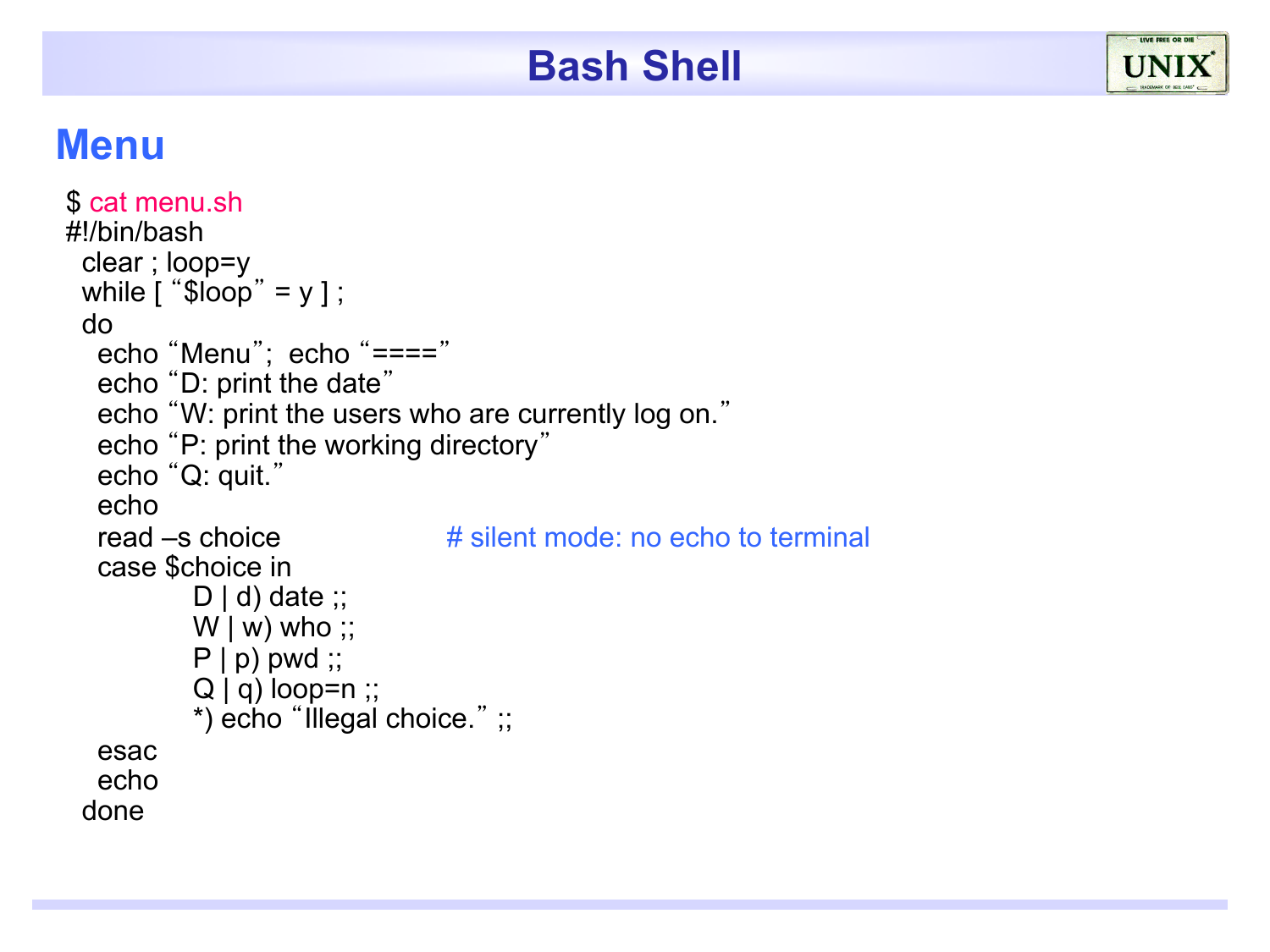#### **Menu**

```
$ cat menu.sh
#!/bin/bash 
 clear ; loop=y 
 while [ "$loop" = y ];
 do 
   echo "Menu"; echo "===="
   echo "D: print the date"
   echo "W: print the users who are currently log on."
   echo "P: print the working directory"
   echo "Q: quit."
   echo 
  read –s choice \# silent mode: no echo to terminal
   case $choice in 
          D | d) date ;;
          W | w) who ;;
          P | p) pwd ;;
          Q | q) loop=n ;;
          *) echo "Illegal choice." ;; 
   esac 
   echo 
 done
```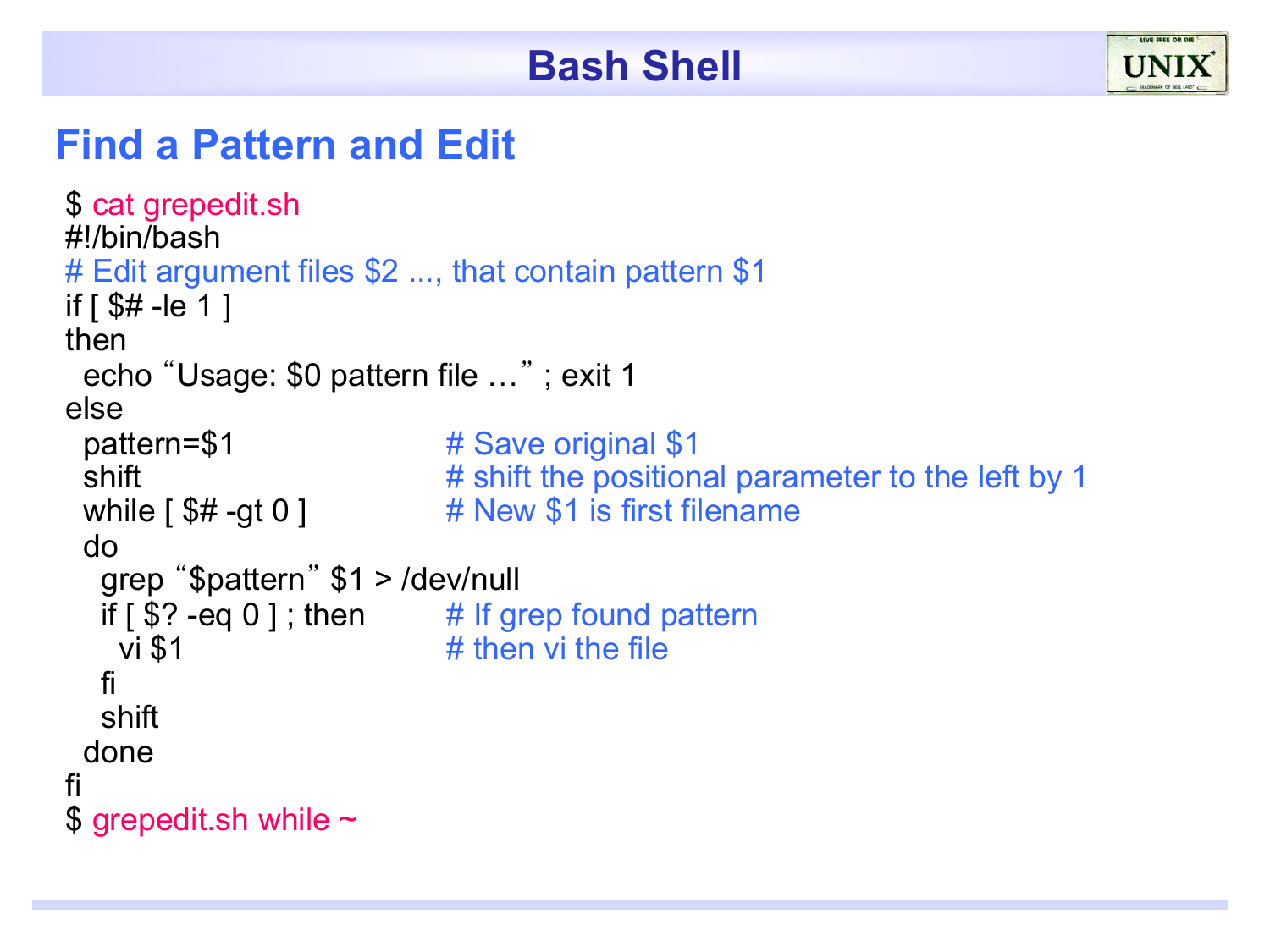#### **Find a Pattern and Edit**

```
$ cat grepedit.sh
#!/bin/bash 
# Edit argument files $2 ..., that contain pattern $1 
if [ $# -le 1 ]
then 
  echo "Usage: $0 pattern file …" ; exit 1 
else 
 pattern=$1 # Save original $1
 shift \# shift the positional parameter to the left by 1
 while \lceil $# -gt 0 ] \qquad # New $1 is first filename
  do 
   grep "$pattern" $1 > /dev/null 
  if \lceil $? -eq 0 ]; then \# If grep found pattern
   vi $1 # then vi the file
   fi 
   shift 
  done 
fi 
$ grepedit.sh while \sim
```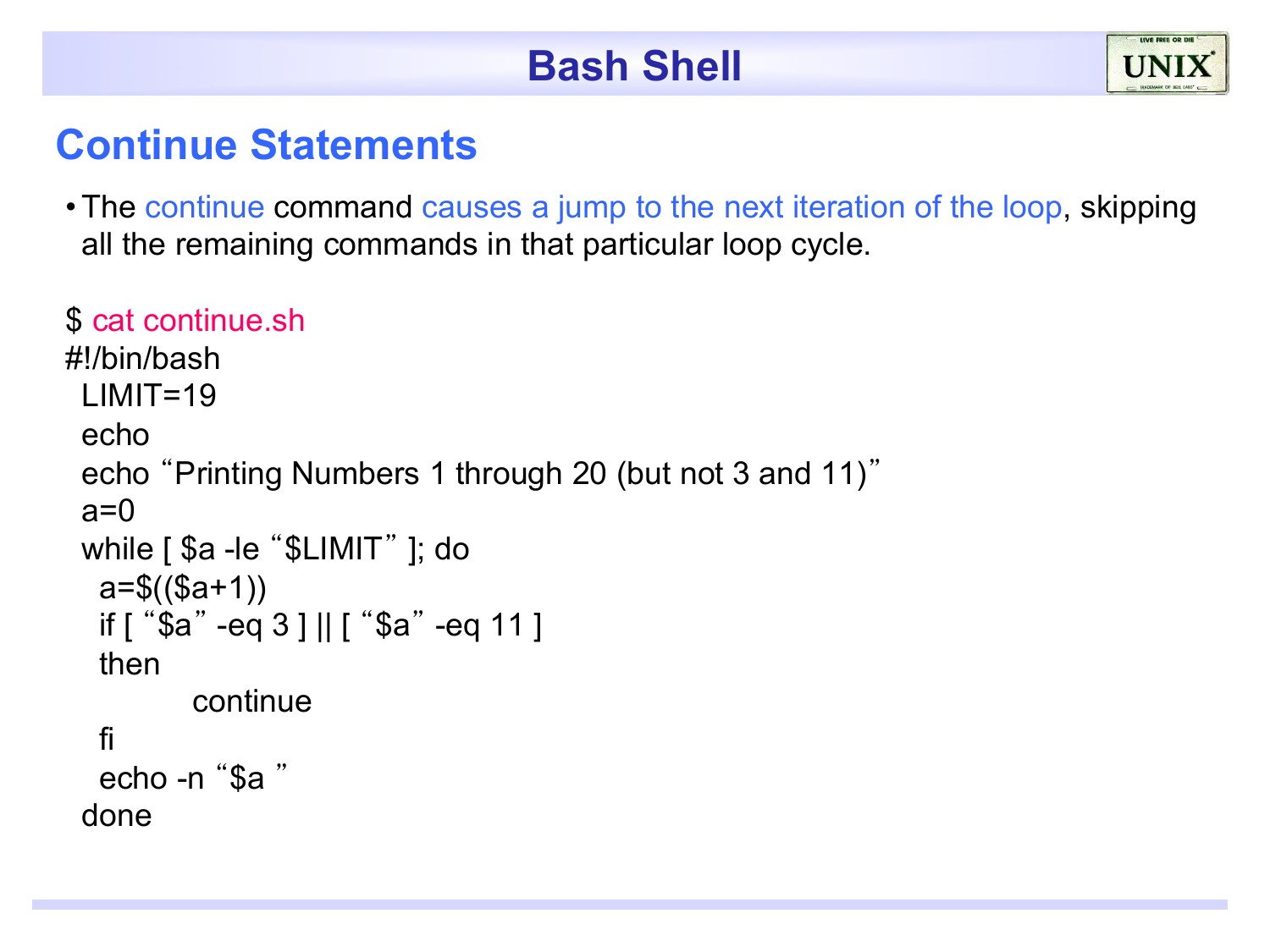#### **Continue Statements**

•The continue command causes a jump to the next iteration of the loop, skipping all the remaining commands in that particular loop cycle.

#### \$ cat continue.sh

```
#!/bin/bash 
 LIMIT=19echo 
 echo "Printing Numbers 1 through 20 (but not 3 and 11)"
 a=0while [ $a -le "$LIMIT" ]; do 
  a = \$((\$a+1)) if [ "$a" -eq 3 ] || [ "$a" -eq 11 ] 
   then 
         continue 
   fi 
   echo -n "$a " 
 done
```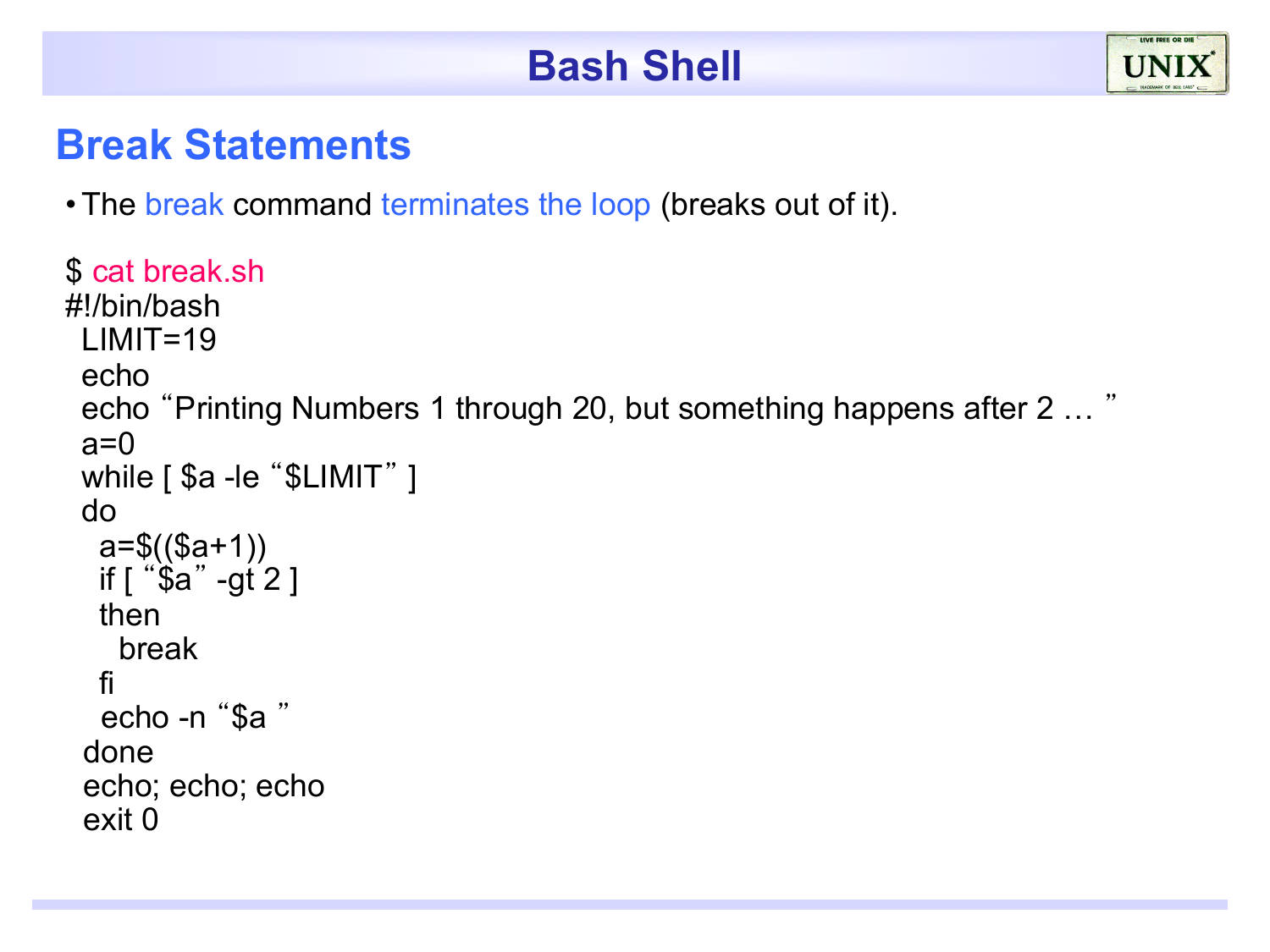#### **Break Statements**

• The break command terminates the loop (breaks out of it).

```
$ cat break.sh
#!/bin/bash 
 LIMIT=19echo 
 echo "Printing Numbers 1 through 20, but something happens after 2 … "
 a=0while [ $a -le "$LIMIT" ]
 do 
  a=$(\$a+1)) if [ "$a" -gt 2 ] 
   then 
     break 
   fi 
   echo -n "$a " 
  done 
  echo; echo; echo 
  exit 0
```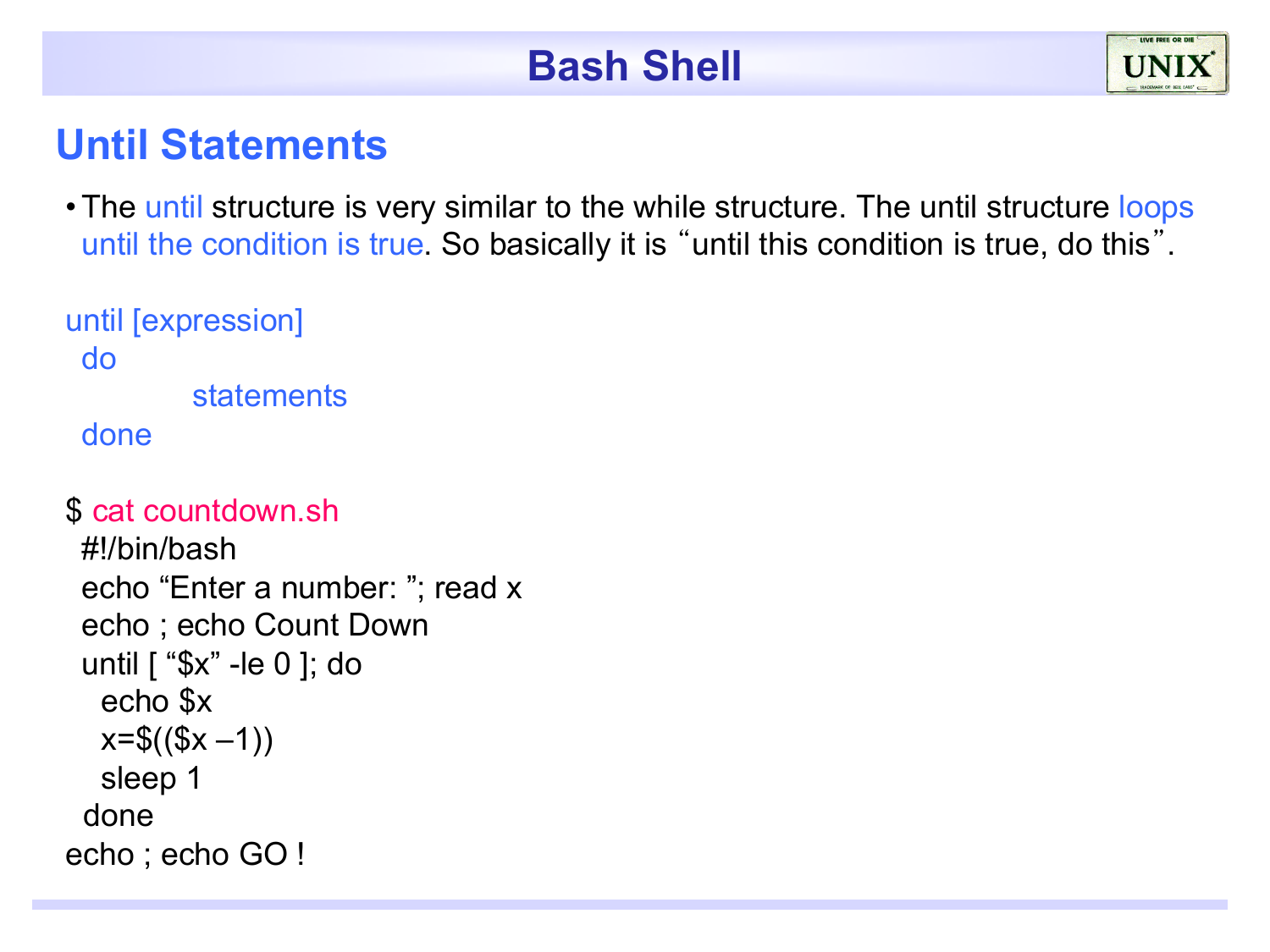#### **Until Statements**

• The until structure is very similar to the while structure. The until structure loops until the condition is true. So basically it is "until this condition is true, do this".

```
until [expression] 
 do 
         statements 
 done
```

```
$ cat countdown.sh
```

```
#!/bin/bash 
 echo "Enter a number: "; read x 
 echo ; echo Count Down 
 until [ "$x" -le 0 ]; do 
   echo $x 
  x=$(($x-1)) sleep 1 
  done 
echo ; echo GO !
```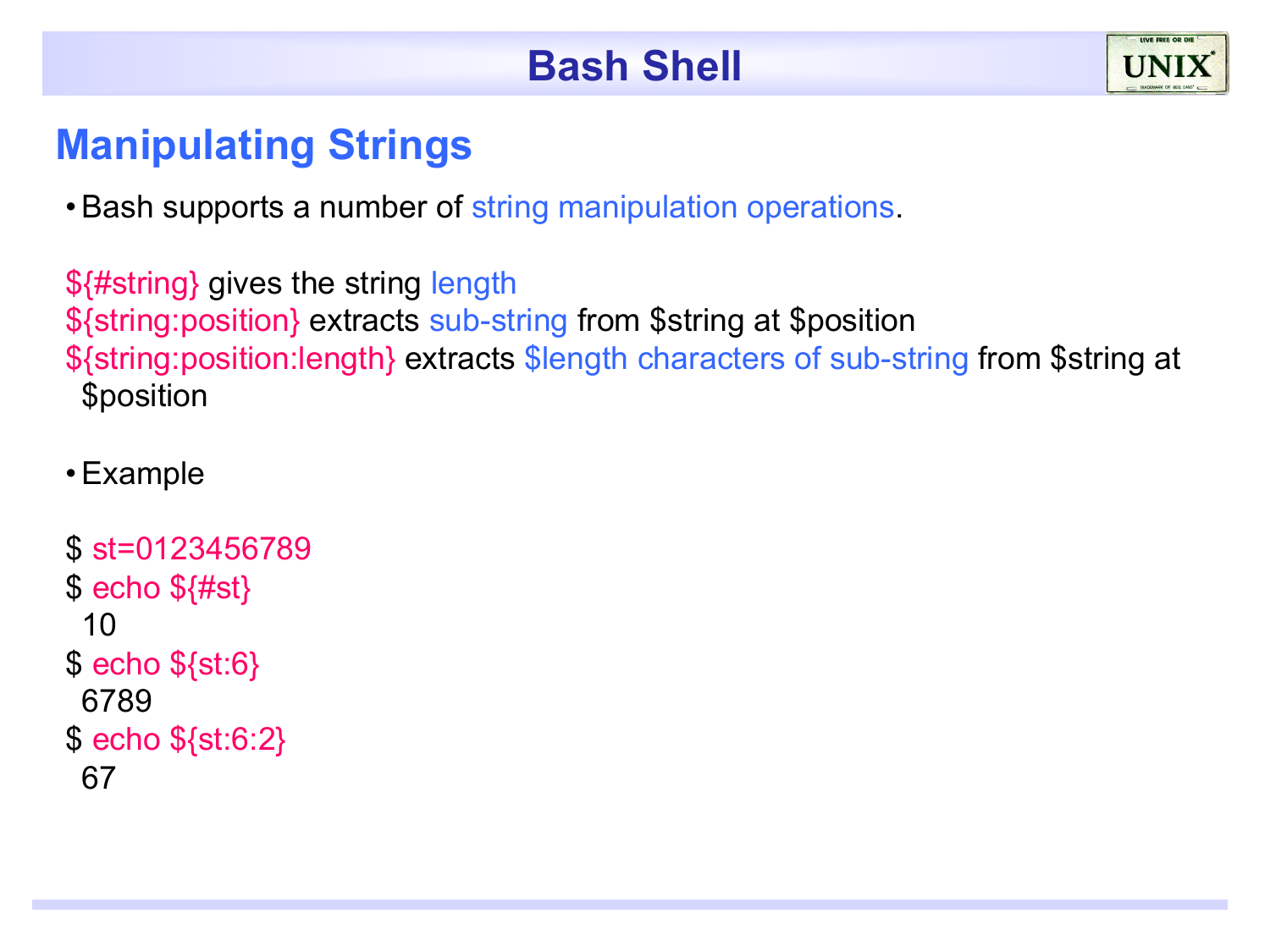

#### **Manipulating Strings**

• Bash supports a number of string manipulation operations.

\${#string} gives the string length \${string:position} extracts sub-string from \$string at \$position \${string:position:length} extracts \$length characters of sub-string from \$string at \$position

#### •Example

```
$ st=0123456789 
$ echo ${#st}
 10 
$ echo ${st:6} 
 6789 
$ echo ${st:6:2} 
 67
```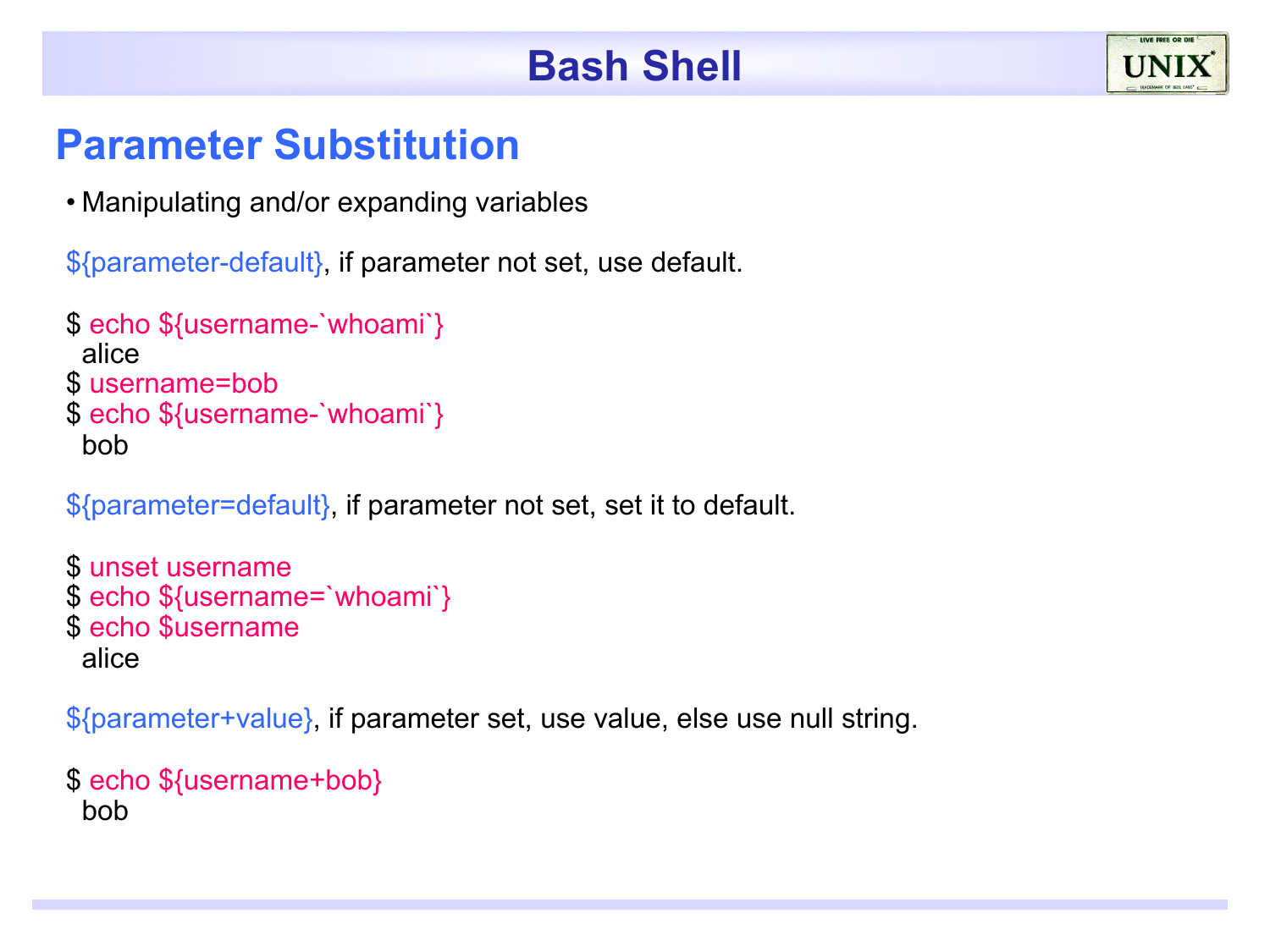#### **Parameter Substitution**

• Manipulating and/or expanding variables

\${parameter-default}, if parameter not set, use default.

```
$ echo ${username-`whoami`} 
 alice 
$ username=bob
$ echo ${username-`whoami`} 
 bob
```
\${parameter=default}, if parameter not set, set it to default.

```
$ unset username
$ echo ${username=`whoami`} 
$ echo $username 
 alice
```
\${parameter+value}, if parameter set, use value, else use null string.

```
$ echo ${username+bob} 
 bob
```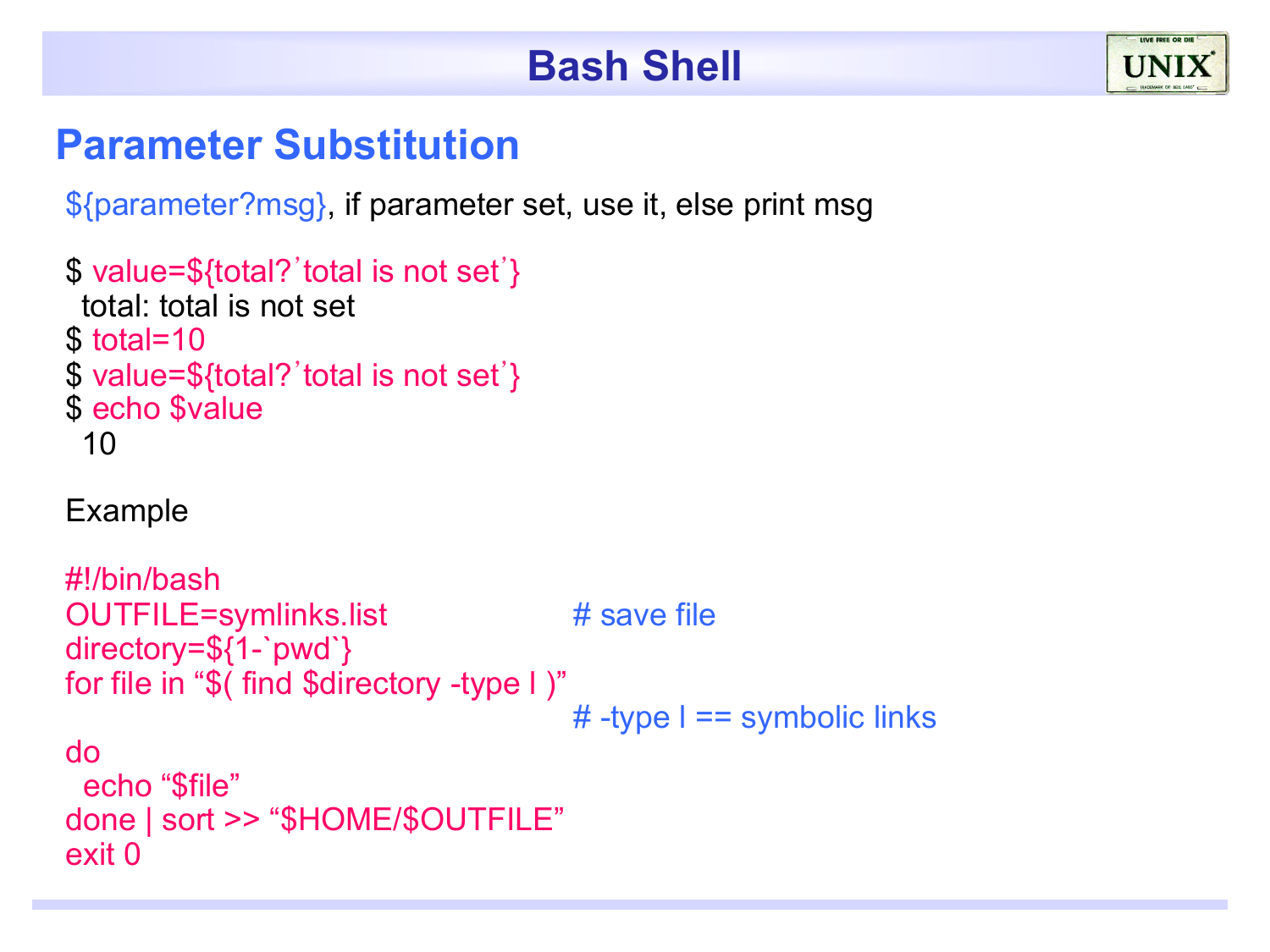#### **Parameter Substitution**

\${parameter?msg}, if parameter set, use it, else print msg

```
$ value=${total?'total is not set'} 
 total: total is not set 
$ total=10
$ value=${total?'total is not set'}
$ echo $value
 10
```
#### Example

```
#!/bin/bash 
OUTFILE=symlinks.list # save file
directory=${1-`pwd`} 
for file in "$( find $directory -type l )" 
                                     # -type l == symbolic links 
do 
  echo "$file" 
done | sort >> "$HOME/$OUTFILE" 
exit 0
```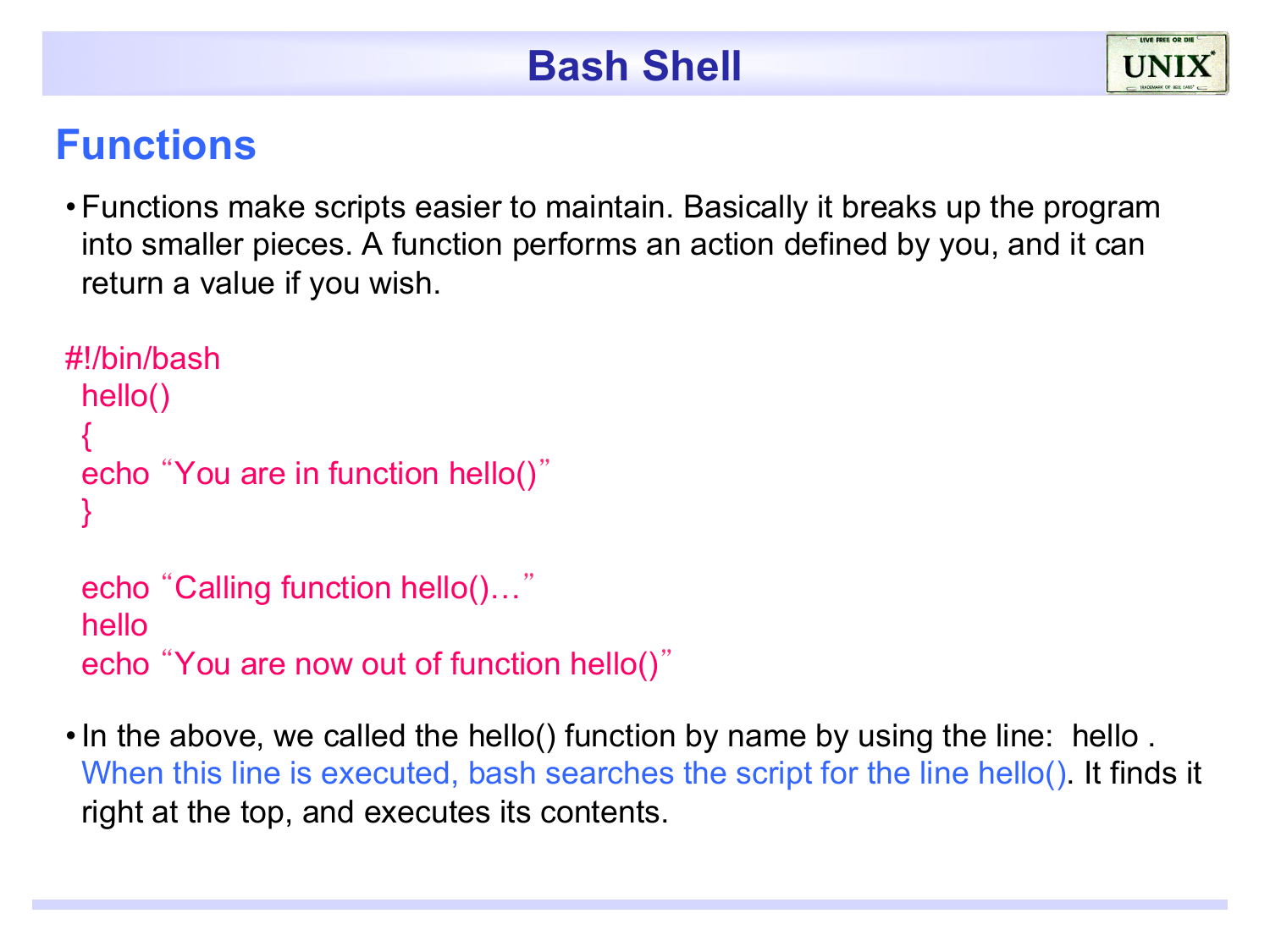#### **Functions**

•Functions make scripts easier to maintain. Basically it breaks up the program into smaller pieces. A function performs an action defined by you, and it can return a value if you wish.

```
#!/bin/bash 
 hello() 
 { 
 echo "You are in function hello()"
 }
```

```
echo "Calling function hello()…"
hello 
echo "You are now out of function hello()"
```
•In the above, we called the hello() function by name by using the line: hello . When this line is executed, bash searches the script for the line hello(). It finds it right at the top, and executes its contents.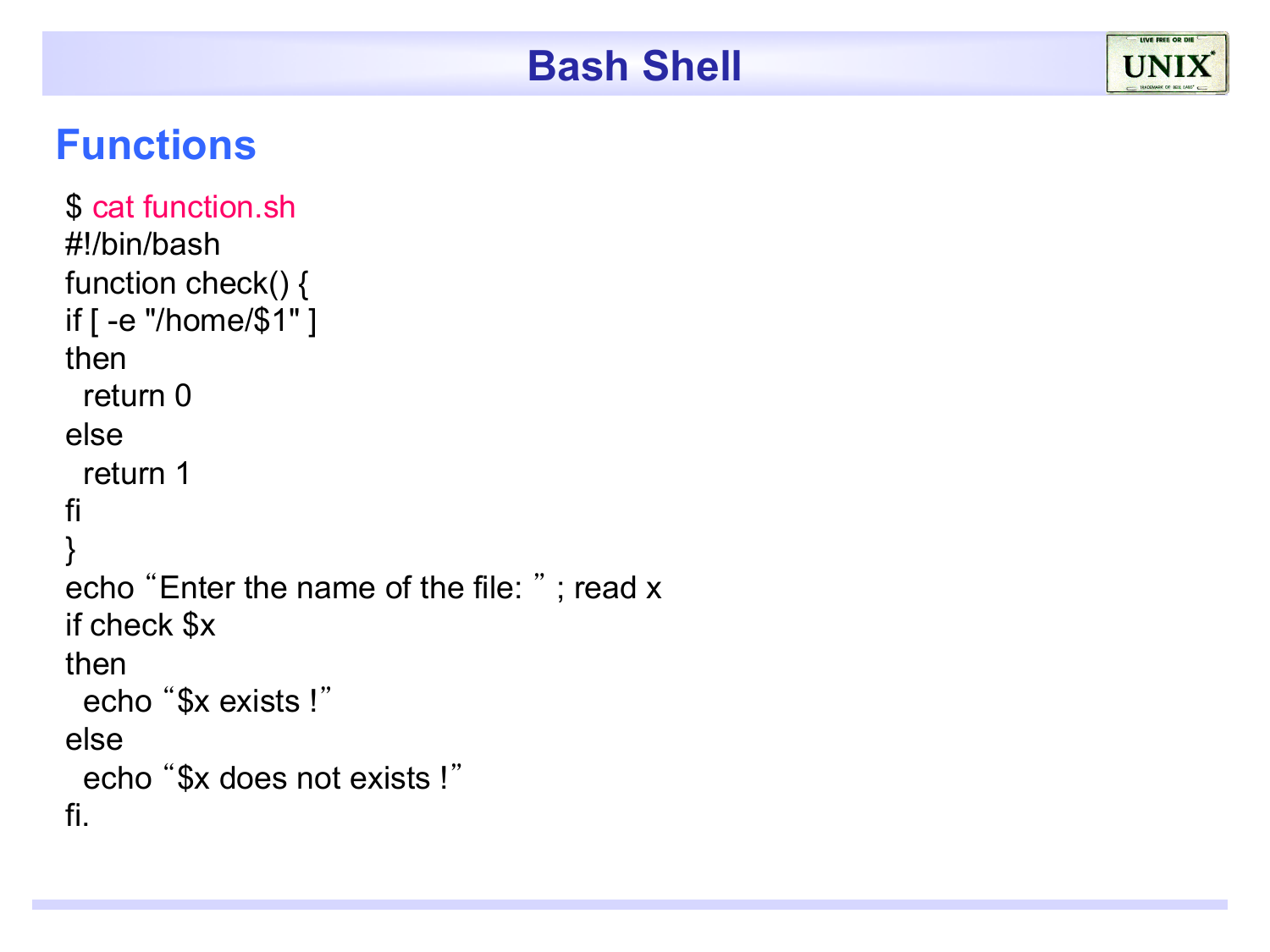#### **Functions**

```
$ cat function.sh
#!/bin/bash 
function check() { 
if [ -e "/home/$1" ] 
then 
  return 0 
else 
  return 1 
fi 
} 
echo "Enter the name of the file: " ; read x 
if check $x 
then 
  echo "$x exists !" 
else 
  echo "$x does not exists !" 
fi.
```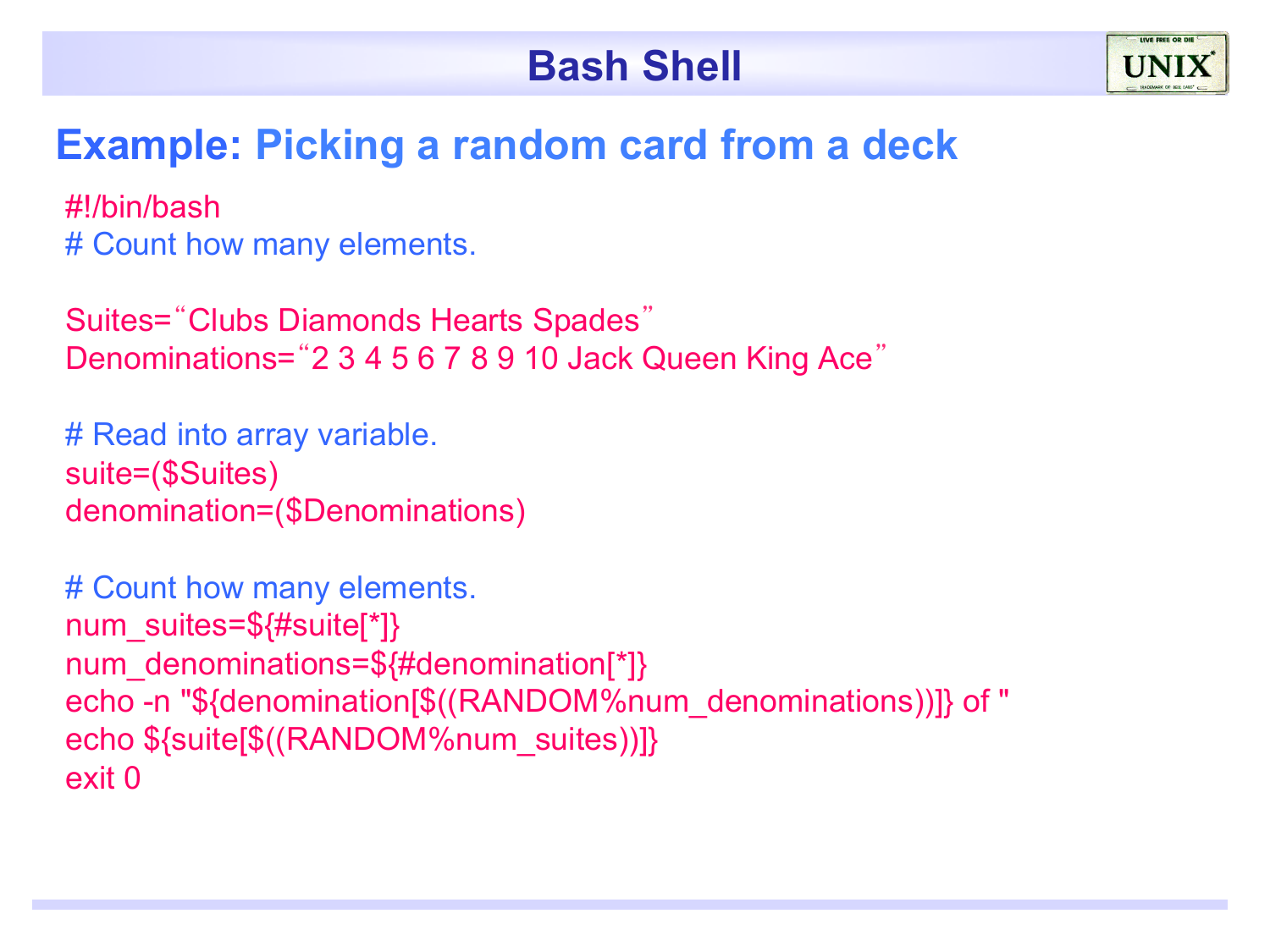

#### **Example: Picking a random card from a deck**

#!/bin/bash # Count how many elements.

Suites="Clubs Diamonds Hearts Spades" Denominations="2 3 4 5 6 7 8 9 10 Jack Queen King Ace"

# Read into array variable. suite=(\$Suites) denomination=(\$Denominations)

# Count how many elements. num\_suites=\${#suite[\*]} num\_denominations=\${#denomination[\*]} echo -n "\${denomination[\$((RANDOM%num\_denominations))]} of " echo \${suite[\$((RANDOM%num\_suites))]} exit 0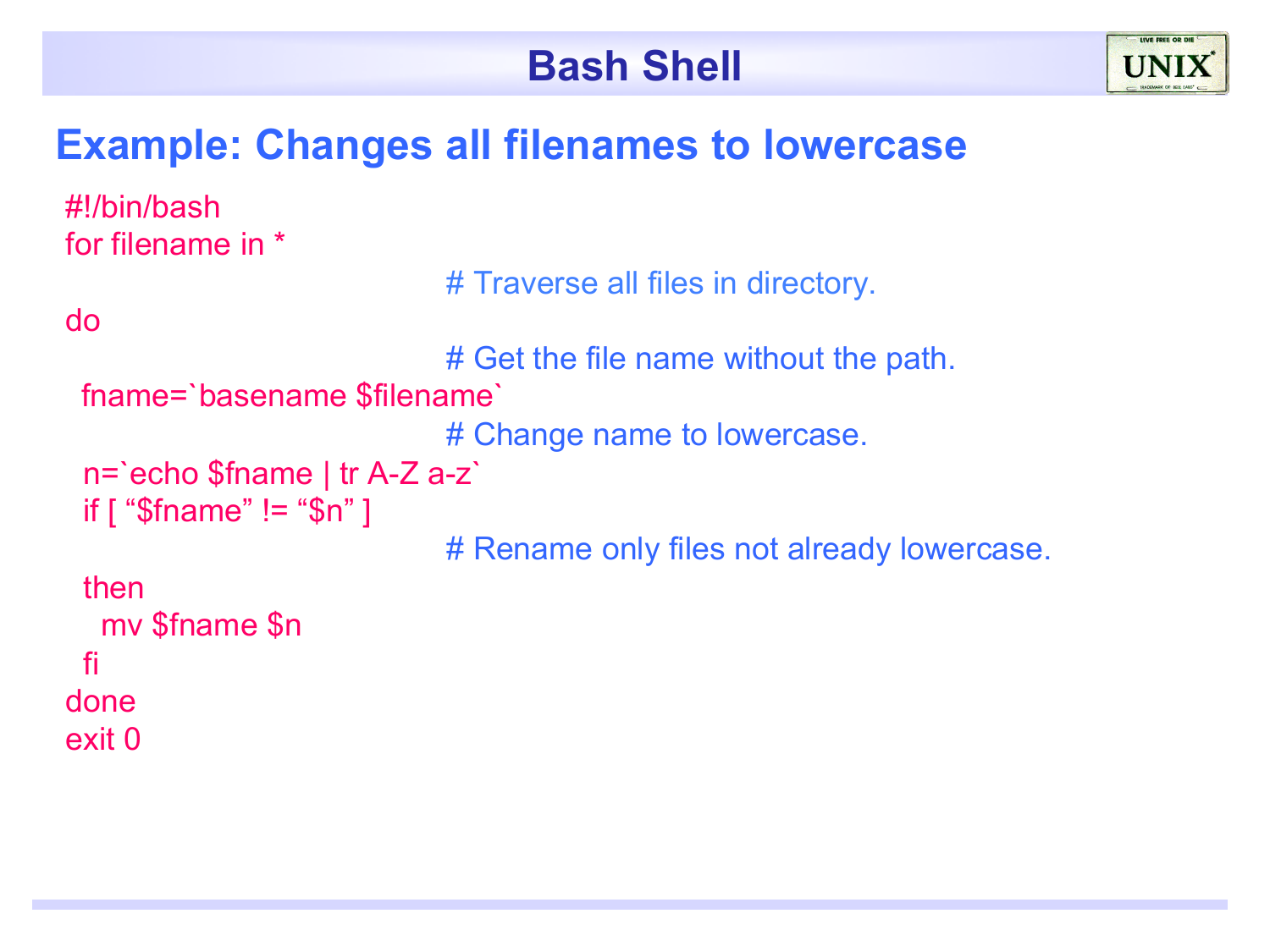

#### **Example: Changes all filenames to lowercase**

```
#!/bin/bash 
for filename in * 
                              # Traverse all files in directory. 
do 
                              # Get the file name without the path. 
 fname=`basename $filename` 
                              # Change name to lowercase.
  n=`echo $fname | tr A-Z a-z` 
 if [ "$fname" != "$n" ]
                              # Rename only files not already lowercase. 
  then 
   mv $fname $n 
  fi 
done 
exit 0
```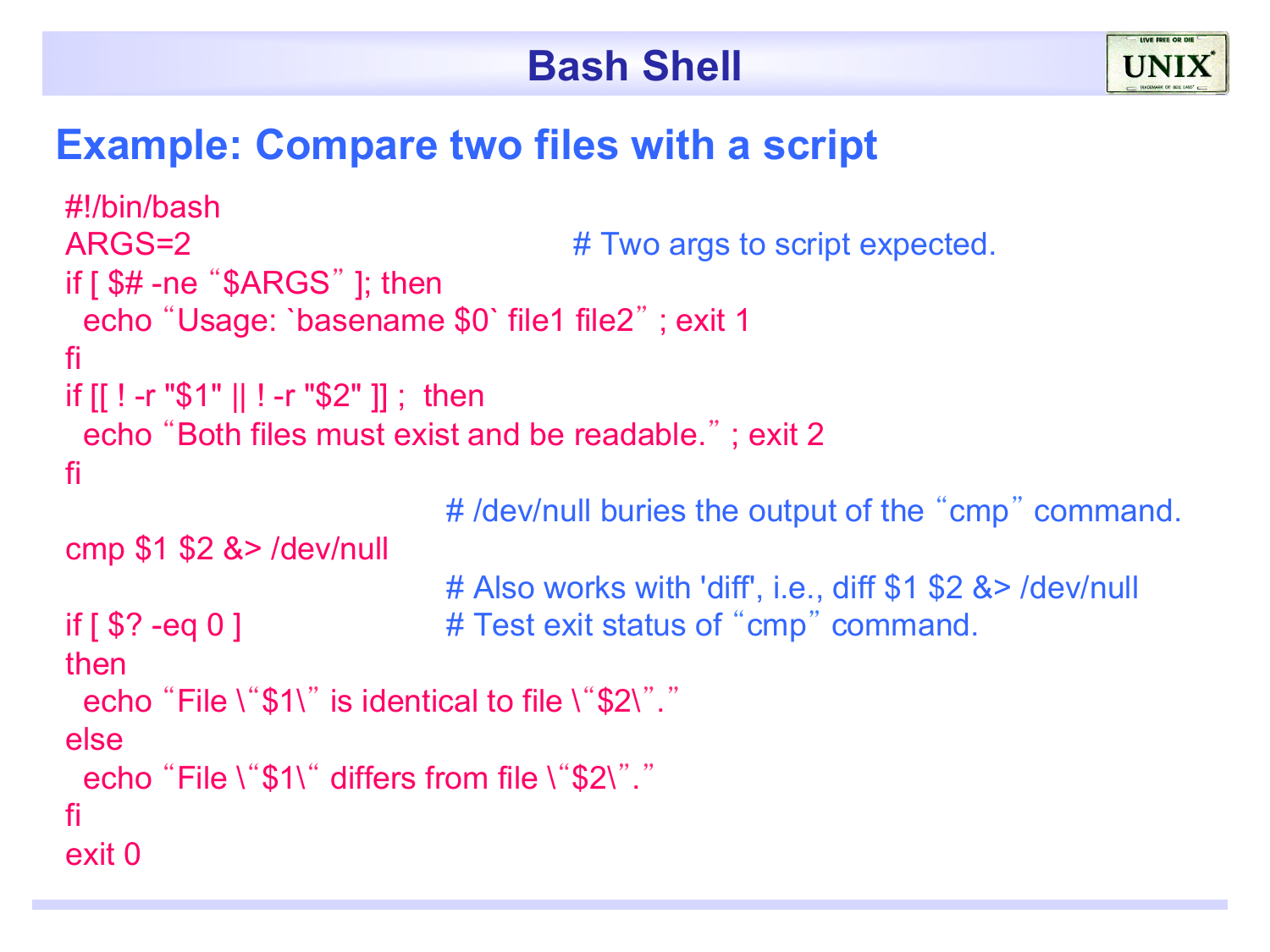

#### **Example: Compare two files with a script**

```
#!/bin/bash 
ARGS=2 \# Two args to script expected.if [ $# -ne "$ARGS" ]; then 
  echo "Usage: `basename $0` file1 file2" ; exit 1 
fi 
if [[ ! -r "$1" || ! -r "$2" ]] ; then 
  echo "Both files must exist and be readable." ; exit 2 
fi 
                            # /dev/null buries the output of the "cmp" command. 
cmp $1 $2 &> /dev/null 
                            # Also works with 'diff', i.e., diff $1 $2 &> /dev/null 
if [ $? -eq 0 ] \qquad # Test exit status of "cmp" command.
then 
 echo "File \"$1\" is identical to file \"$2\"."
else 
 echo "File \"$1\" differs from file \"$2\"."
fi 
exit 0
```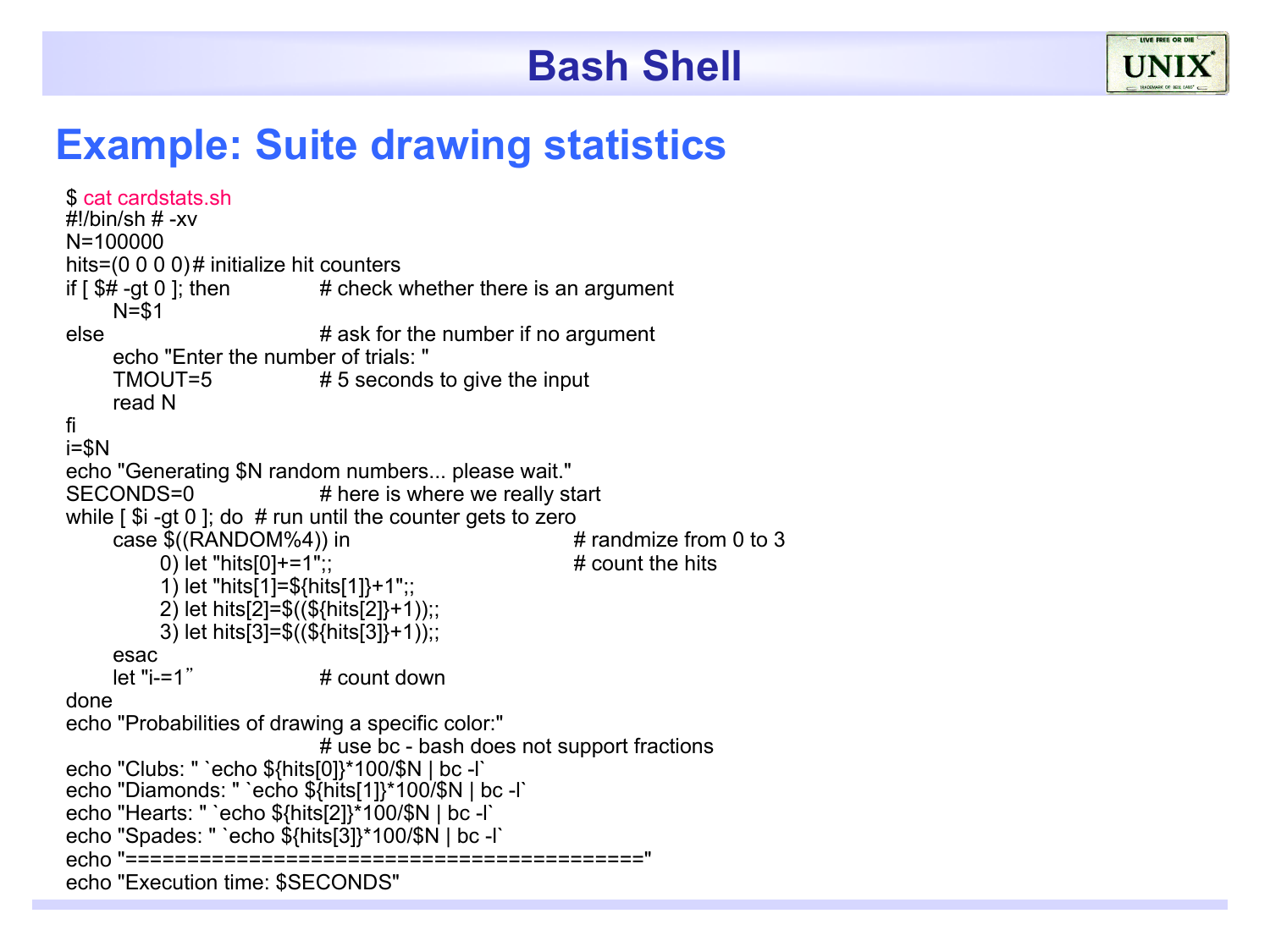

#### **Example: Suite drawing statistics**

```
$ cat cardstats.sh 
#!/bin/sh # -xv 
N=100000 
hits=(0 0 0 0)# initialize hit counters
if \sqrt{5\#}-gt 0 ]; then \# check whether there is an argument
      N=$1 
else \# ask for the number if no argument
      echo "Enter the number of trials: " 
     TMOUT=5 # 5 seconds to give the input
      read N 
fi 
i=$N 
echo "Generating $N random numbers... please wait." 
SECONDS=0 # here is where we really start
while \lceil $i -gt 0 ]; do # run until the counter gets to zero
     case ((RANDOM%4)) in (1) and \# randmize from 0 to 3<br>0) let "hits [0] + = 1"
          0) let "hits[0]+=1";
           1) let "hits[1]=${hits[1]}+1";; 
           2) let hits[2]=$((${hits[2]}+1));; 
          3) let hits[3]=\frac{3(5}{10}ts[3]}+1);;
      esac 
     let "i=1" \# count down
done 
echo "Probabilities of drawing a specific color:" 
                            # use bc - bash does not support fractions 
echo "Clubs: " `echo ${hits[0]}*100/$N | bc -l` 
echo "Diamonds: " `echo ${hits[1]}*100/$N | bc -l` 
echo "Hearts: " `echo ${hits[2]}*100/$N | bc -l` 
echo "Spades: " `echo ${hits[3]}*100/$N | bc -l` 
echo "==========================================" 
echo "Execution time: $SECONDS"
```